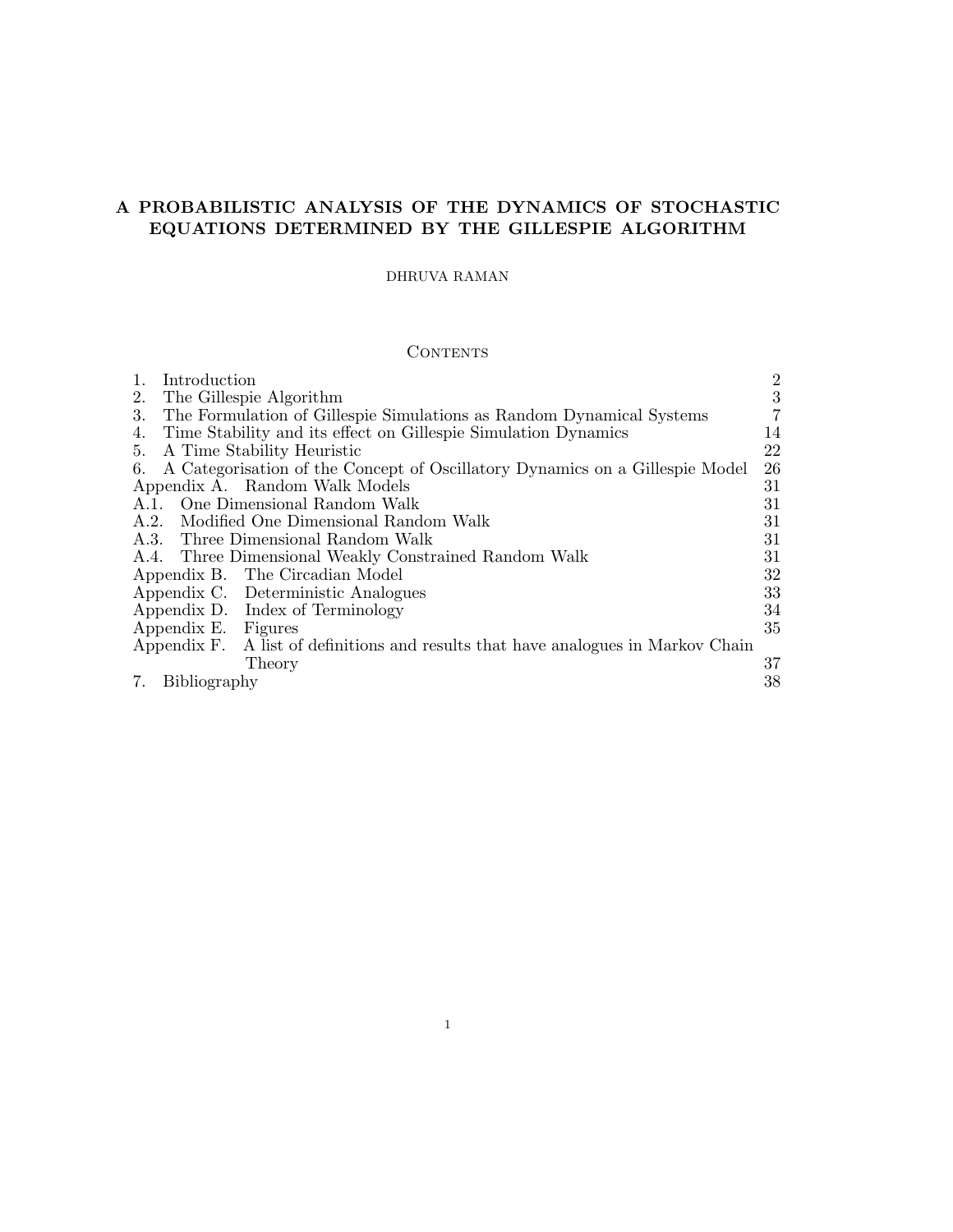## A PROBABILISTIC ANALYSIS OF THE DYNAMICS OF STOCHASTIC EQUATIONS DETERMINED BY THE GILLESPIE ALGORITHM

### DHRUVA RAMAN

## **CONTENTS**

| Introduction                                                                      | $\overline{2}$ |
|-----------------------------------------------------------------------------------|----------------|
| The Gillespie Algorithm<br>2.                                                     | 3              |
| The Formulation of Gillespie Simulations as Random Dynamical Systems<br>3.        | $\overline{7}$ |
| Time Stability and its effect on Gillespie Simulation Dynamics<br>4.              | 14             |
| 5. A Time Stability Heuristic                                                     | 22             |
| 6. A Categorisation of the Concept of Oscillatory Dynamics on a Gillespie Model   | 26             |
| Appendix A. Random Walk Models                                                    | 31             |
| A.1. One Dimensional Random Walk                                                  | 31             |
| A.2. Modified One Dimensional Random Walk                                         | 31             |
| A.3. Three Dimensional Random Walk                                                | 31             |
| A.4. Three Dimensional Weakly Constrained Random Walk                             | 31             |
| Appendix B. The Circadian Model                                                   | 32             |
| Appendix C. Deterministic Analogues                                               | 33             |
| Appendix D. Index of Terminology                                                  | 34             |
| Appendix E. Figures                                                               | 35             |
| Appendix F. A list of definitions and results that have analogues in Markov Chain |                |
| Theory                                                                            | 37             |
| 7.<br>Bibliography                                                                | 38             |

1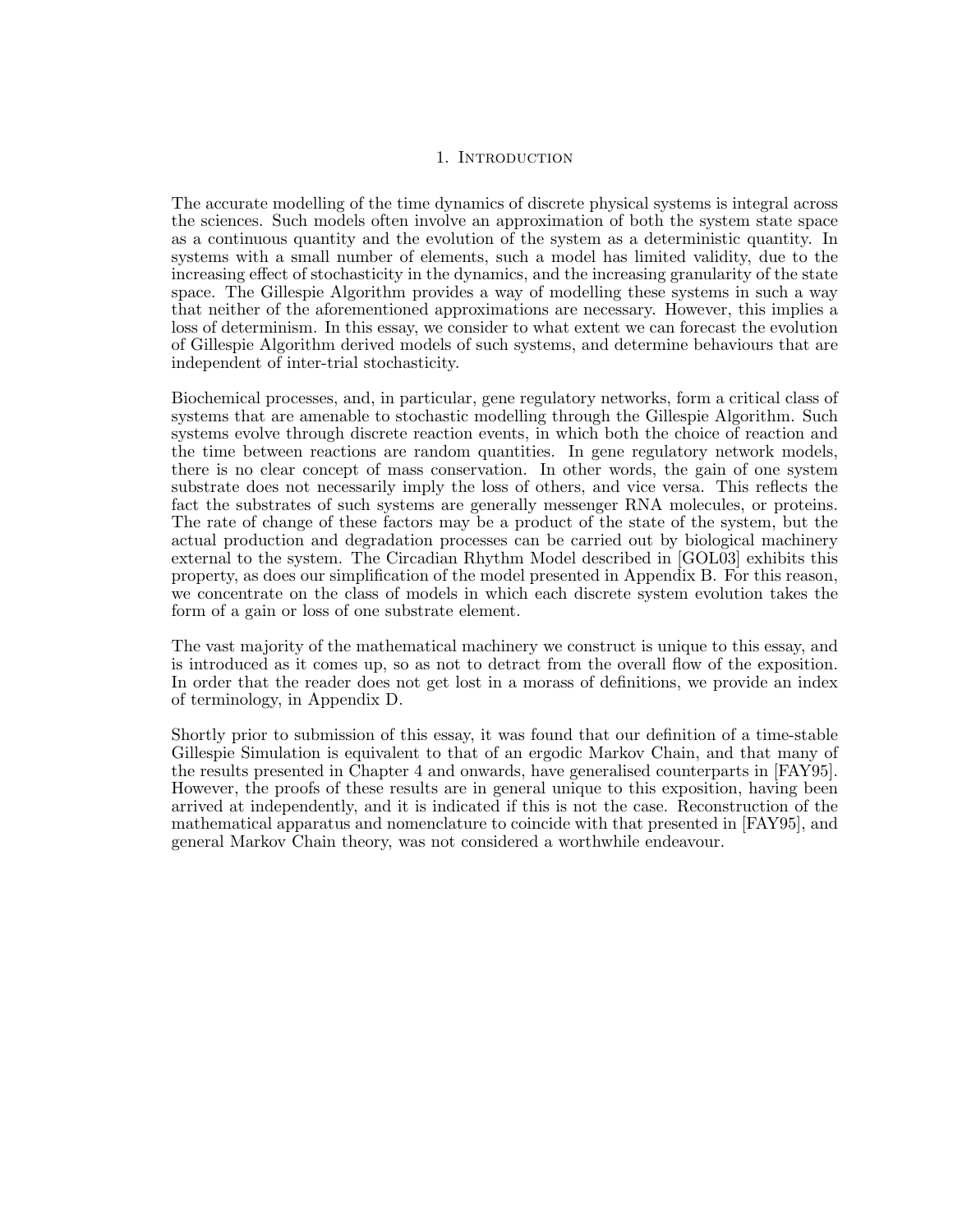#### 1. INTRODUCTION

The accurate modelling of the time dynamics of discrete physical systems is integral across the sciences. Such models often involve an approximation of both the system state space as a continuous quantity and the evolution of the system as a deterministic quantity. In systems with a small number of elements, such a model has limited validity, due to the increasing effect of stochasticity in the dynamics, and the increasing granularity of the state space. The Gillespie Algorithm provides a way of modelling these systems in such a way that neither of the aforementioned approximations are necessary. However, this implies a loss of determinism. In this essay, we consider to what extent we can forecast the evolution of Gillespie Algorithm derived models of such systems, and determine behaviours that are independent of inter-trial stochasticity.

Biochemical processes, and, in particular, gene regulatory networks, form a critical class of systems that are amenable to stochastic modelling through the Gillespie Algorithm. Such systems evolve through discrete reaction events, in which both the choice of reaction and the time between reactions are random quantities. In gene regulatory network models, there is no clear concept of mass conservation. In other words, the gain of one system substrate does not necessarily imply the loss of others, and vice versa. This reflects the fact the substrates of such systems are generally messenger RNA molecules, or proteins. The rate of change of these factors may be a product of the state of the system, but the actual production and degradation processes can be carried out by biological machinery external to the system. The Circadian Rhythm Model described in [GOL03] exhibits this property, as does our simplification of the model presented in Appendix B. For this reason, we concentrate on the class of models in which each discrete system evolution takes the form of a gain or loss of one substrate element.

The vast majority of the mathematical machinery we construct is unique to this essay, and is introduced as it comes up, so as not to detract from the overall flow of the exposition. In order that the reader does not get lost in a morass of definitions, we provide an index of terminology, in Appendix D.

Shortly prior to submission of this essay, it was found that our definition of a time-stable Gillespie Simulation is equivalent to that of an ergodic Markov Chain, and that many of the results presented in Chapter 4 and onwards, have generalised counterparts in [FAY95]. However, the proofs of these results are in general unique to this exposition, having been arrived at independently, and it is indicated if this is not the case. Reconstruction of the mathematical apparatus and nomenclature to coincide with that presented in [FAY95], and general Markov Chain theory, was not considered a worthwhile endeavour.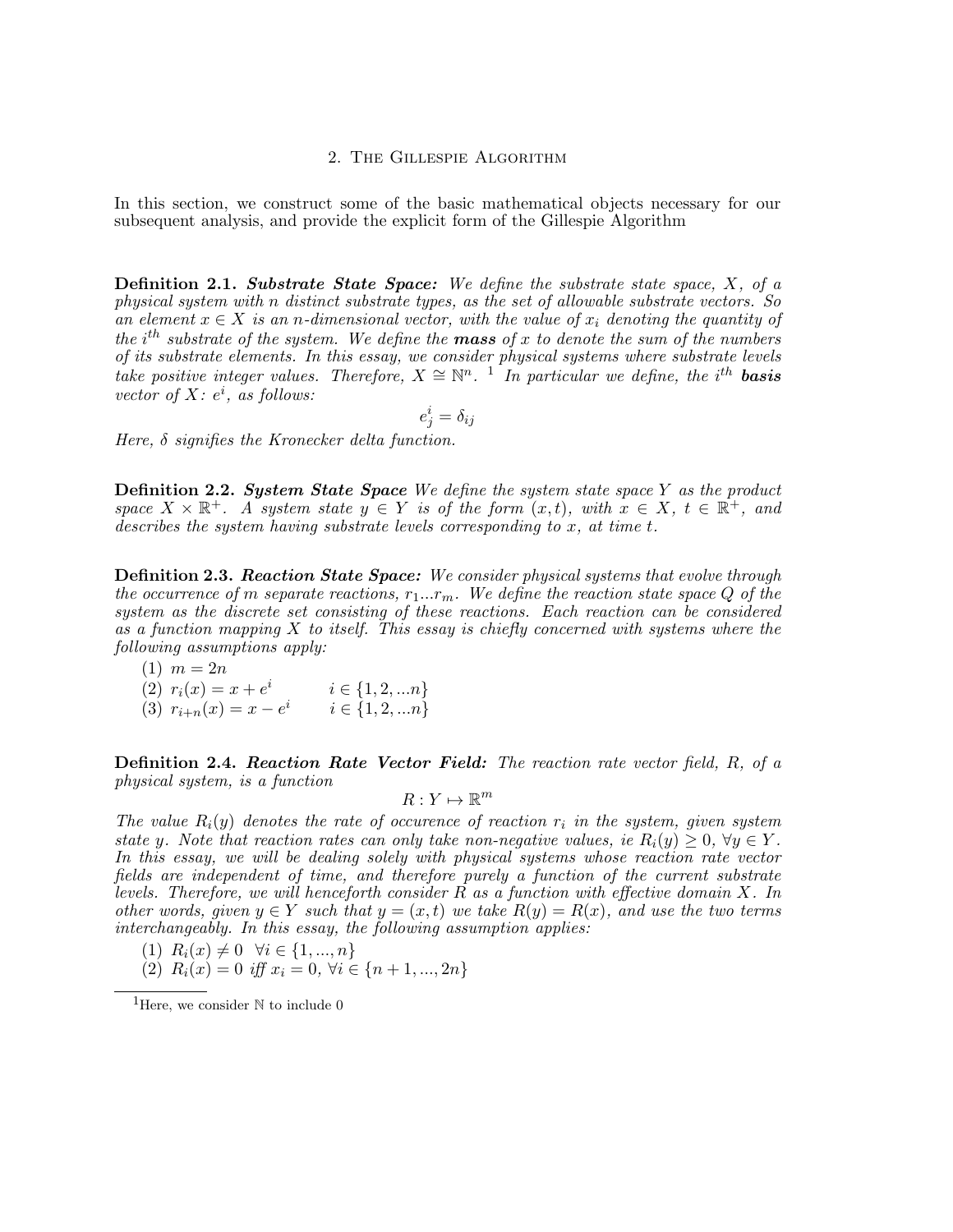### 2. The Gillespie Algorithm

In this section, we construct some of the basic mathematical objects necessary for our subsequent analysis, and provide the explicit form of the Gillespie Algorithm

**Definition 2.1. Substrate State Space:** We define the substrate state space,  $X$ , of a physical system with n distinct substrate types, as the set of allowable substrate vectors. So an element  $x \in X$  is an n-dimensional vector, with the value of  $x_i$  denoting the quantity of the  $i<sup>th</sup>$  substrate of the system. We define the **mass** of x to denote the sum of the numbers of its substrate elements. In this essay, we consider physical systems where substrate levels take positive integer values. Therefore,  $X \cong \mathbb{N}^n$ . <sup>1</sup> In particular we define, the i<sup>th</sup> basis vector of  $X: e^i$ , as follows:

$$
e^i_j = \delta_{ij}
$$

Here,  $\delta$  signifies the Kronecker delta function.

**Definition 2.2. System State Space** We define the system state space Y as the product space  $X \times \mathbb{R}^+$ . A system state  $y \in Y$  is of the form  $(x,t)$ , with  $x \in X$ ,  $t \in \mathbb{R}^+$ , and describes the system having substrate levels corresponding to x, at time t.

**Definition 2.3. Reaction State Space:** We consider physical systems that evolve through the occurrence of m separate reactions,  $r_1...r_m$ . We define the reaction state space Q of the system as the discrete set consisting of these reactions. Each reaction can be considered as a function mapping  $X$  to itself. This essay is chiefly concerned with systems where the following assumptions apply:

$$
(1) \ \ m=2n
$$

- (2)  $r_i(x) = x + e^i$   $i \in \{1, 2, ...n\}$
- (3)  $r_{i+n}(x) = x e^i$   $i \in \{1, 2, ... n\}$

**Definition 2.4. Reaction Rate Vector Field:** The reaction rate vector field,  $R$ , of a physical system, is a function

$$
R:Y\mapsto\mathbb{R}^m
$$

The value  $R_i(y)$  denotes the rate of occurence of reaction  $r_i$  in the system, given system state y. Note that reaction rates can only take non-negative values, ie  $R_i(y) \geq 0$ ,  $\forall y \in Y$ . In this essay, we will be dealing solely with physical systems whose reaction rate vector fields are independent of time, and therefore purely a function of the current substrate levels. Therefore, we will henceforth consider  $R$  as a function with effective domain  $X$ . In other words, given  $y \in Y$  such that  $y = (x, t)$  we take  $R(y) = R(x)$ , and use the two terms interchangeably. In this essay, the following assumption applies:

- (1)  $R_i(x) \neq 0 \ \forall i \in \{1, ..., n\}$
- (2)  $R_i(x) = 0$  iff  $x_i = 0$ ,  $\forall i \in \{n+1, ..., 2n\}$

<sup>&</sup>lt;sup>1</sup>Here, we consider  $\mathbb N$  to include 0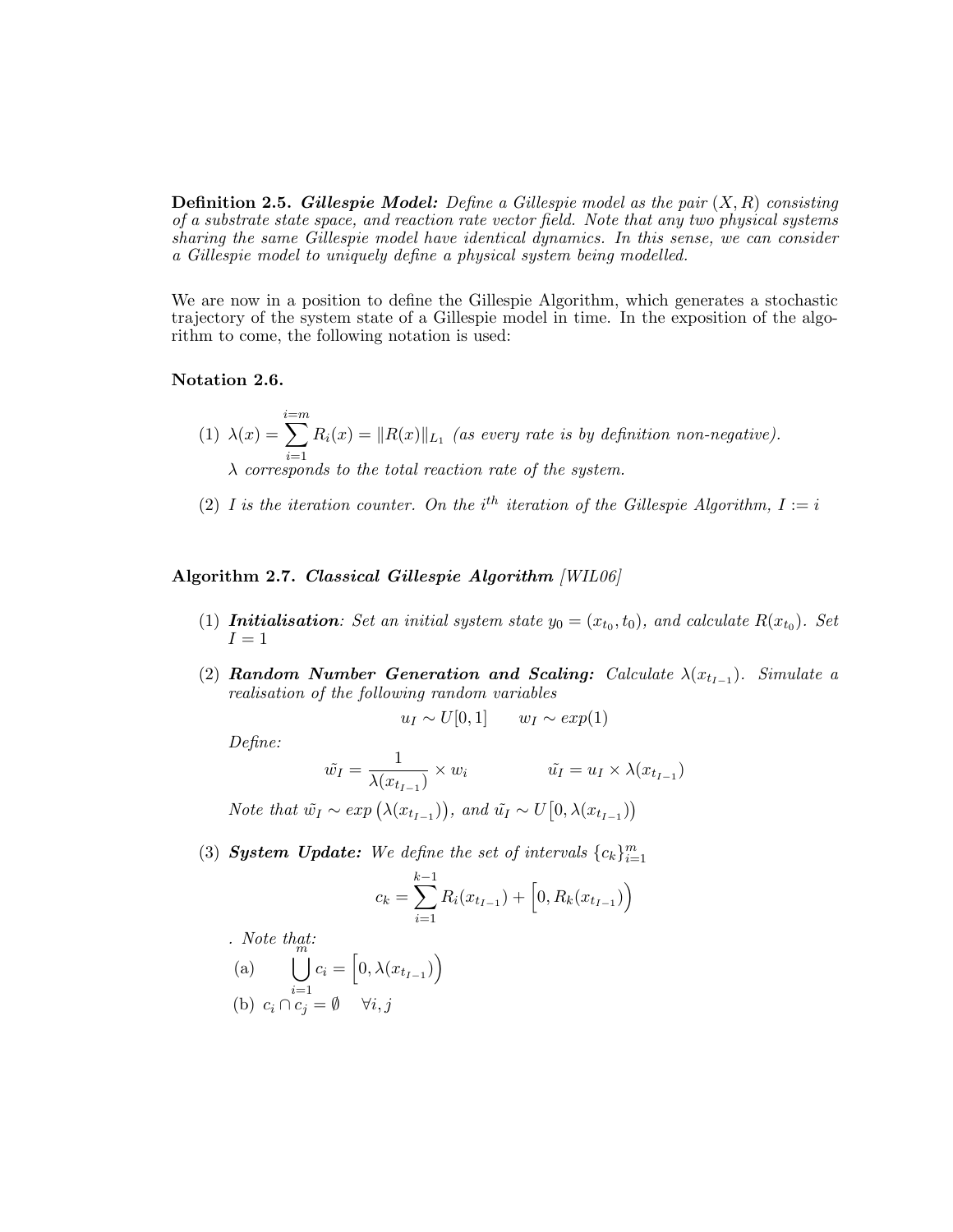**Definition 2.5. Gillespie Model:** Define a Gillespie model as the pair  $(X, R)$  consisting of a substrate state space, and reaction rate vector field. Note that any two physical systems sharing the same Gillespie model have identical dynamics. In this sense, we can consider a Gillespie model to uniquely define a physical system being modelled.

We are now in a position to define the Gillespie Algorithm, which generates a stochastic trajectory of the system state of a Gillespie model in time. In the exposition of the algorithm to come, the following notation is used:

#### Notation 2.6.

- $(1)$   $\lambda(x) =$  $\sum_{i=m}^{i=m}$  $i=1$  $R_i(x) = ||R(x)||_{L_1}$  (as every rate is by definition non-negative).  $\lambda$  corresponds to the total reaction rate of the system.
- (2) I is the iteration counter. On the i<sup>th</sup> iteration of the Gillespie Algorithm,  $I := i$

Algorithm 2.7. Classical Gillespie Algorithm [WIL06]

- (1) **Initialisation**: Set an initial system state  $y_0 = (x_{t_0}, t_0)$ , and calculate  $R(x_{t_0})$ . Set  $I=1$
- (2) Random Number Generation and Scaling: Calculate  $\lambda(x_{t_{I-1}})$ . Simulate a realisation of the following random variables

$$
u_I \sim U[0,1] \qquad w_I \sim exp(1)
$$

Define:

$$
\tilde{w}_I = \frac{1}{\lambda(x_{t_{I-1}})} \times w_i \qquad \qquad \tilde{u}_I = u_I \times \lambda(x_{t_{I-1}})
$$

Note that  $\tilde{w_I} \sim exp\left(\lambda(x_{t_{I-1}})\right)$ , and  $\tilde{u_I} \sim U\left[0, \lambda(x_{t_{I-1}})\right)$ 

(3) **System Update:** We define the set of intervals  ${c_k}_{i=1}^m$ 

$$
c_k = \sum_{i=1}^{k-1} R_i(x_{t_{I-1}}) + \left[0, R_k(x_{t_{I-1}})\right)
$$

. Note that:  
\n(a) 
$$
\bigcup_{i=1}^{m} c_i = \left[0, \lambda(x_{t_{I-1}})\right)
$$
\n(b)  $c_i \cap c_j = \emptyset \quad \forall i, j$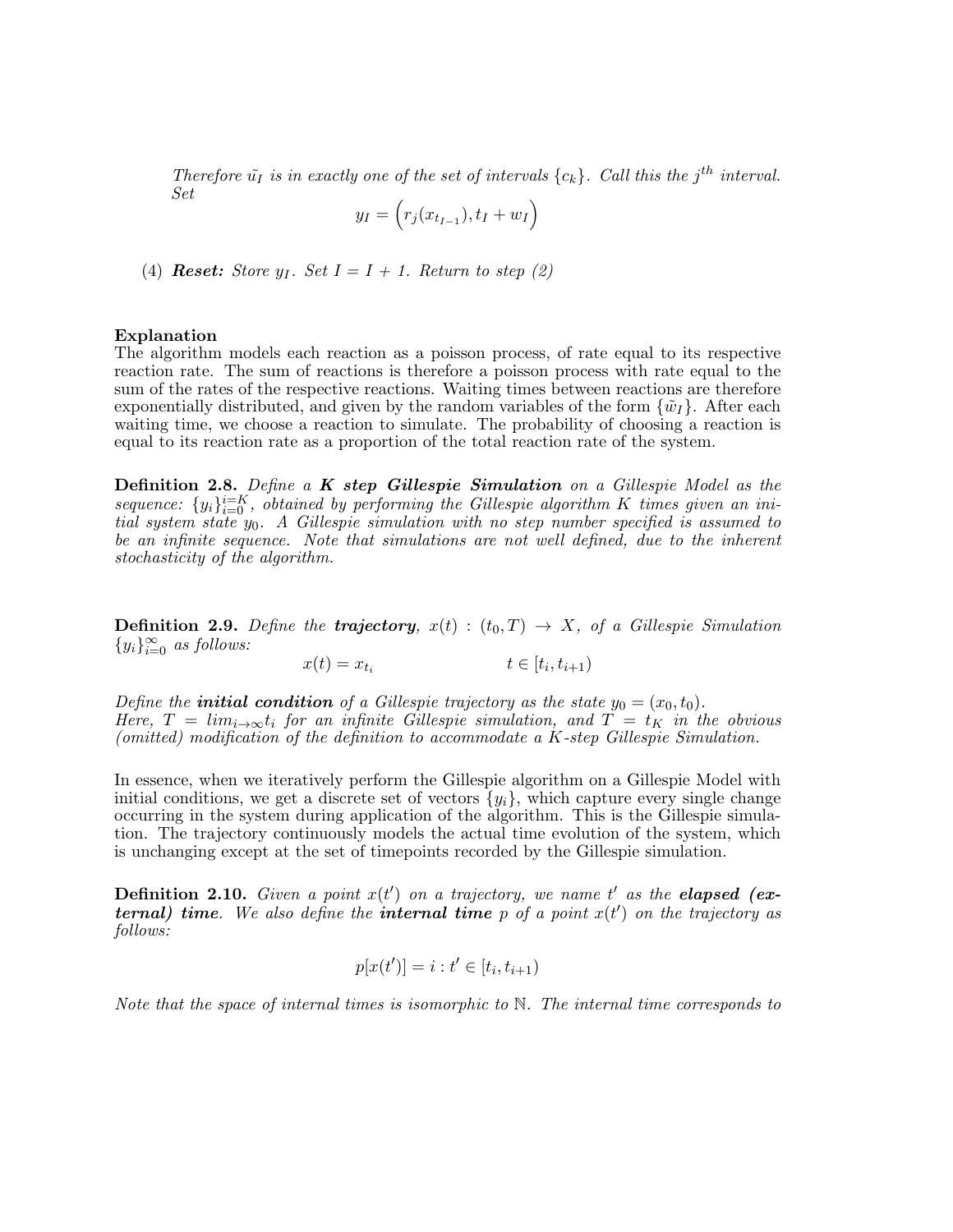Therefore  $\tilde{u}_I$  is in exactly one of the set of intervals  $\{c_k\}$ . Call this the j<sup>th</sup> interval. Set

$$
y_I = \left(r_j(x_{t_{I-1}}), t_I + w_I\right)
$$

(4) **Reset:** Store  $y_I$ . Set  $I = I + 1$ . Return to step (2)

#### Explanation

The algorithm models each reaction as a poisson process, of rate equal to its respective reaction rate. The sum of reactions is therefore a poisson process with rate equal to the sum of the rates of the respective reactions. Waiting times between reactions are therefore exponentially distributed, and given by the random variables of the form  $\{\tilde{w}_I\}$ . After each waiting time, we choose a reaction to simulate. The probability of choosing a reaction is equal to its reaction rate as a proportion of the total reaction rate of the system.

**Definition 2.8.** Define a **K** step Gillespie Simulation on a Gillespie Model as the sequence:  $\{y_i\}_{i=0}^{i=K}$ , obtained by performing the Gillespie algorithm K times given an initial system state  $y_0$ . A Gillespie simulation with no step number specified is assumed to be an infinite sequence. Note that simulations are not well defined, due to the inherent stochasticity of the algorithm.

**Definition 2.9.** Define the **trajectory**,  $x(t) : (t_0, T) \rightarrow X$ , of a Gillespie Simulation  ${y_i}_{i=0}^\infty$  as follows:

 $x(t) = x_{t_i}$  $t \in [t_i, t_{i+1})$ 

Define the **initial condition** of a Gillespie trajectory as the state  $y_0 = (x_0, t_0)$ . Here,  $T = lim_{i\rightarrow\infty}t_i$  for an infinite Gillespie simulation, and  $T = t_K$  in the obvious (omitted) modification of the definition to accommodate a K-step Gillespie Simulation.

In essence, when we iteratively perform the Gillespie algorithm on a Gillespie Model with initial conditions, we get a discrete set of vectors  $\{y_i\}$ , which capture every single change occurring in the system during application of the algorithm. This is the Gillespie simulation. The trajectory continuously models the actual time evolution of the system, which is unchanging except at the set of timepoints recorded by the Gillespie simulation.

**Definition 2.10.** Given a point  $x(t')$  on a trajectory, we name t' as the **elapsed** (external) time. We also define the internal time  $p$  of a point  $x(t')$  on the trajectory as follows:

$$
p[x(t')] = i : t' \in [t_i, t_{i+1})
$$

Note that the space of internal times is isomorphic to  $\mathbb N$ . The internal time corresponds to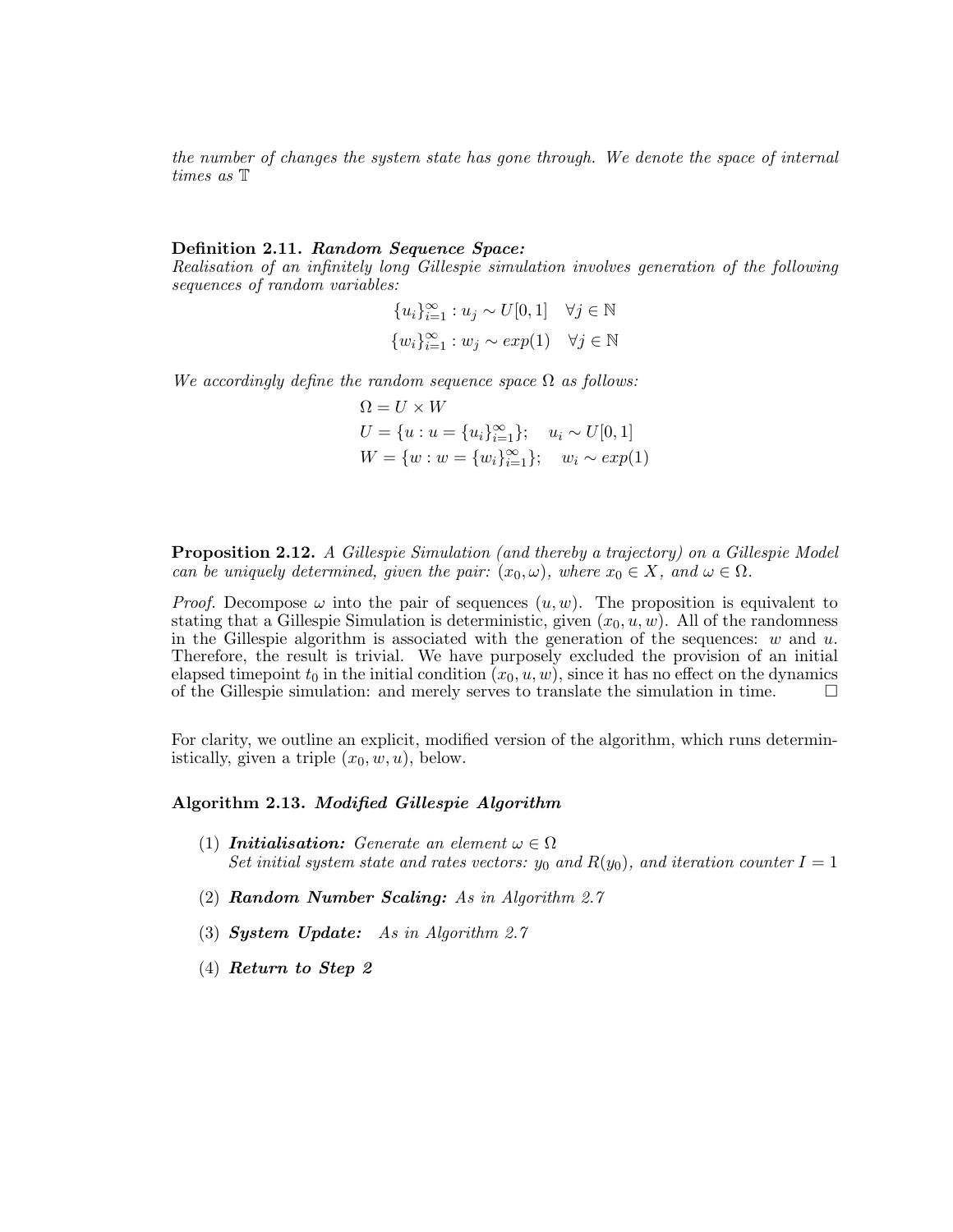the number of changes the system state has gone through. We denote the space of internal times as T

#### Definition 2.11. Random Sequence Space:

Realisation of an infinitely long Gillespie simulation involves generation of the following sequences of random variables:

> ${u_i}_{i=1}^{\infty} : u_j \sim U[0,1] \quad \forall j \in \mathbb{N}$  $\{w_i\}_{i=1}^{\infty}: w_j \sim exp(1) \quad \forall j \in \mathbb{N}$

We accordingly define the random sequence space  $\Omega$  as follows:

 $\Omega = U \times W$  $U = \{u : u = \{u_i\}_{i=1}^{\infty}\}; \quad u_i \sim U[0,1]$  $W = \{w : w = \{w_i\}_{i=1}^{\infty}\}; \quad w_i \sim exp(1)$ 

**Proposition 2.12.** A Gillespie Simulation (and thereby a trajectory) on a Gillespie Model can be uniquely determined, given the pair:  $(x_0, \omega)$ , where  $x_0 \in X$ , and  $\omega \in \Omega$ .

*Proof.* Decompose  $\omega$  into the pair of sequences  $(u, w)$ . The proposition is equivalent to stating that a Gillespie Simulation is deterministic, given  $(x_0, u, w)$ . All of the randomness in the Gillespie algorithm is associated with the generation of the sequences:  $w$  and  $u$ . Therefore, the result is trivial. We have purposely excluded the provision of an initial elapsed timepoint  $t_0$  in the initial condition  $(x_0, u, w)$ , since it has no effect on the dynamics of the Gillespie simulation: and merely serves to translate the simulation in time.  $\Box$ 

For clarity, we outline an explicit, modified version of the algorithm, which runs deterministically, given a triple  $(x_0, w, u)$ , below.

### Algorithm 2.13. Modified Gillespie Algorithm

- (1) **Initialisation:** Generate an element  $\omega \in \Omega$ Set initial system state and rates vectors:  $y_0$  and  $R(y_0)$ , and iteration counter  $I = 1$
- (2) Random Number Scaling: As in Algorithm 2.7
- (3) System Update: As in Algorithm 2.7
- (4) Return to Step 2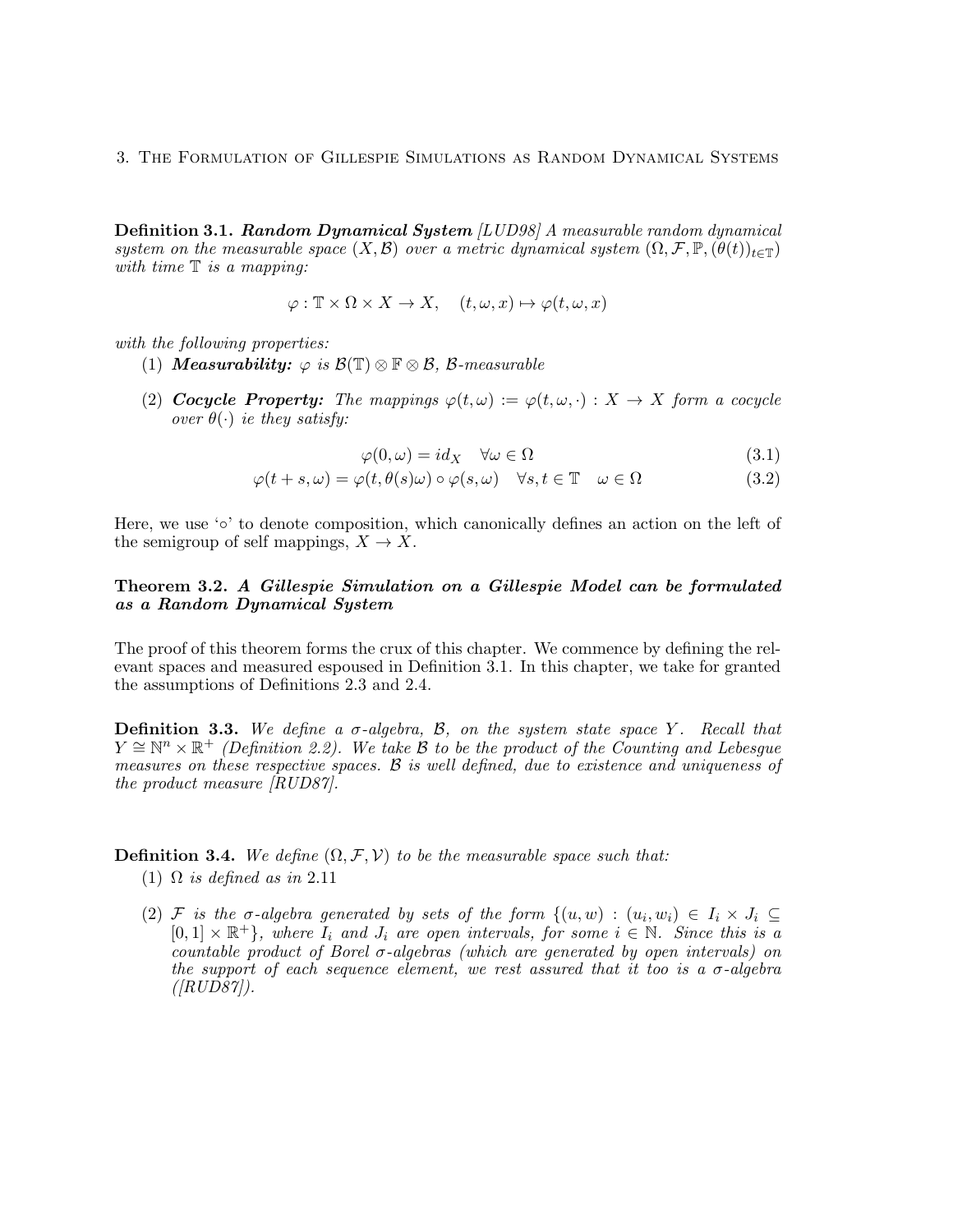**Definition 3.1. Random Dynamical System** [LUD98] A measurable random dynamical system on the measurable space  $(X, \mathcal{B})$  over a metric dynamical system  $(\Omega, \mathcal{F}, \mathbb{P}, (\theta(t))_{t \in \mathbb{T}})$ with time  $\mathbb T$  is a mapping:

$$
\varphi: \mathbb{T} \times \Omega \times X \to X, \quad (t, \omega, x) \mapsto \varphi(t, \omega, x)
$$

with the following properties:

- (1) Measurability:  $\varphi$  is  $\mathcal{B}(\mathbb{T}) \otimes \mathbb{F} \otimes \mathcal{B}$ ,  $\mathcal{B}\text{-}measurable$
- (2) Cocycle Property: The mappings  $\varphi(t,\omega) := \varphi(t,\omega, \cdot) : X \to X$  form a cocycle over  $\theta(\cdot)$  ie they satisfy:

$$
\varphi(0,\omega) = id_X \quad \forall \omega \in \Omega \tag{3.1}
$$

$$
\varphi(t+s,\omega) = \varphi(t,\theta(s)\omega) \circ \varphi(s,\omega) \quad \forall s, t \in \mathbb{T} \quad \omega \in \Omega \tag{3.2}
$$

Here, we use '∘' to denote composition, which canonically defines an action on the left of the semigroup of self mappings,  $X \to X$ .

### Theorem 3.2. A Gillespie Simulation on a Gillespie Model can be formulated as a Random Dynamical System

The proof of this theorem forms the crux of this chapter. We commence by defining the relevant spaces and measured espoused in Definition 3.1. In this chapter, we take for granted the assumptions of Definitions 2.3 and 2.4.

**Definition 3.3.** We define a  $\sigma$ -algebra, B, on the system state space Y. Recall that  $Y \cong \mathbb{N}^n \times \mathbb{R}^+$  (Definition 2.2). We take B to be the product of the Counting and Lebesgue measures on these respective spaces. B is well defined, due to existence and uniqueness of the product measure [RUD87].

**Definition 3.4.** We define  $(\Omega, \mathcal{F}, \mathcal{V})$  to be the measurable space such that:

- (1)  $\Omega$  is defined as in 2.11
- (2) F is the  $\sigma$ -algebra generated by sets of the form  $\{(u,w) : (u_i,w_i) \in I_i \times J_i \subseteq I_j\}$  $[0,1] \times \mathbb{R}^+$ , where  $I_i$  and  $J_i$  are open intervals, for some  $i \in \mathbb{N}$ . Since this is a countable product of Borel  $\sigma$ -algebras (which are generated by open intervals) on the support of each sequence element, we rest assured that it too is a  $\sigma$ -algebra  $([RUD87]).$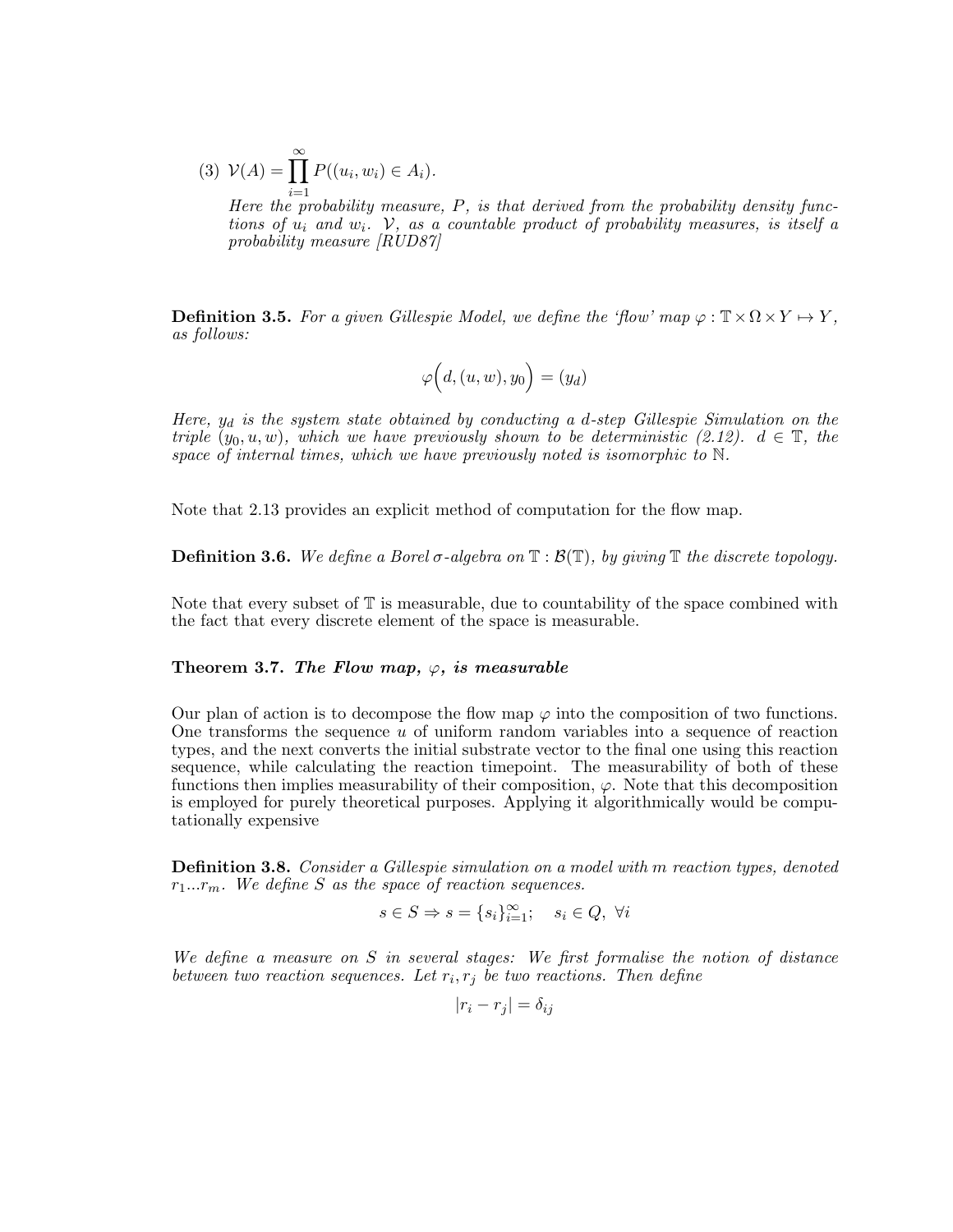(3)  $\mathcal{V}(A) = \prod_{i=1}^{\infty} P((u_i, w_i) \in A_i).$  $i=1$ <br>Here the probability measure, P, is that derived from the probability density functions of  $u_i$  and  $w_i$ . V, as a countable product of probability measures, is itself a probability measure [RUD87]

**Definition 3.5.** For a given Gillespie Model, we define the 'flow' map  $\varphi : \mathbb{T} \times \Omega \times Y \mapsto Y$ , as follows:

$$
\varphi\Bigl(d,(u,w),y_0\Bigr)=(y_d)
$$

Here,  $y_d$  is the system state obtained by conducting a d-step Gillespie Simulation on the triple  $(y_0, u, w)$ , which we have previously shown to be deterministic (2.12).  $d \in \mathbb{T}$ , the space of internal times, which we have previously noted is isomorphic to N.

Note that 2.13 provides an explicit method of computation for the flow map.

**Definition 3.6.** We define a Borel  $\sigma$ -algebra on  $\mathbb{T} : \mathcal{B}(\mathbb{T})$ , by giving  $\mathbb{T}$  the discrete topology.

Note that every subset of T is measurable, due to countability of the space combined with the fact that every discrete element of the space is measurable.

#### Theorem 3.7. The Flow map,  $\varphi$ , is measurable

Our plan of action is to decompose the flow map  $\varphi$  into the composition of two functions. One transforms the sequence  $u$  of uniform random variables into a sequence of reaction types, and the next converts the initial substrate vector to the final one using this reaction sequence, while calculating the reaction timepoint. The measurability of both of these functions then implies measurability of their composition,  $\varphi$ . Note that this decomposition is employed for purely theoretical purposes. Applying it algorithmically would be computationally expensive

**Definition 3.8.** Consider a Gillespie simulation on a model with m reaction types, denoted  $r_1...r_m$ . We define S as the space of reaction sequences.

$$
s\in S\Rightarrow s=\{s_i\}_{i=1}^\infty;\quad s_i\in Q,\ \forall i
$$

We define a measure on S in several stages: We first formalise the notion of distance between two reaction sequences. Let  $r_i, r_j$  be two reactions. Then define

$$
|r_i - r_j| = \delta_{ij}
$$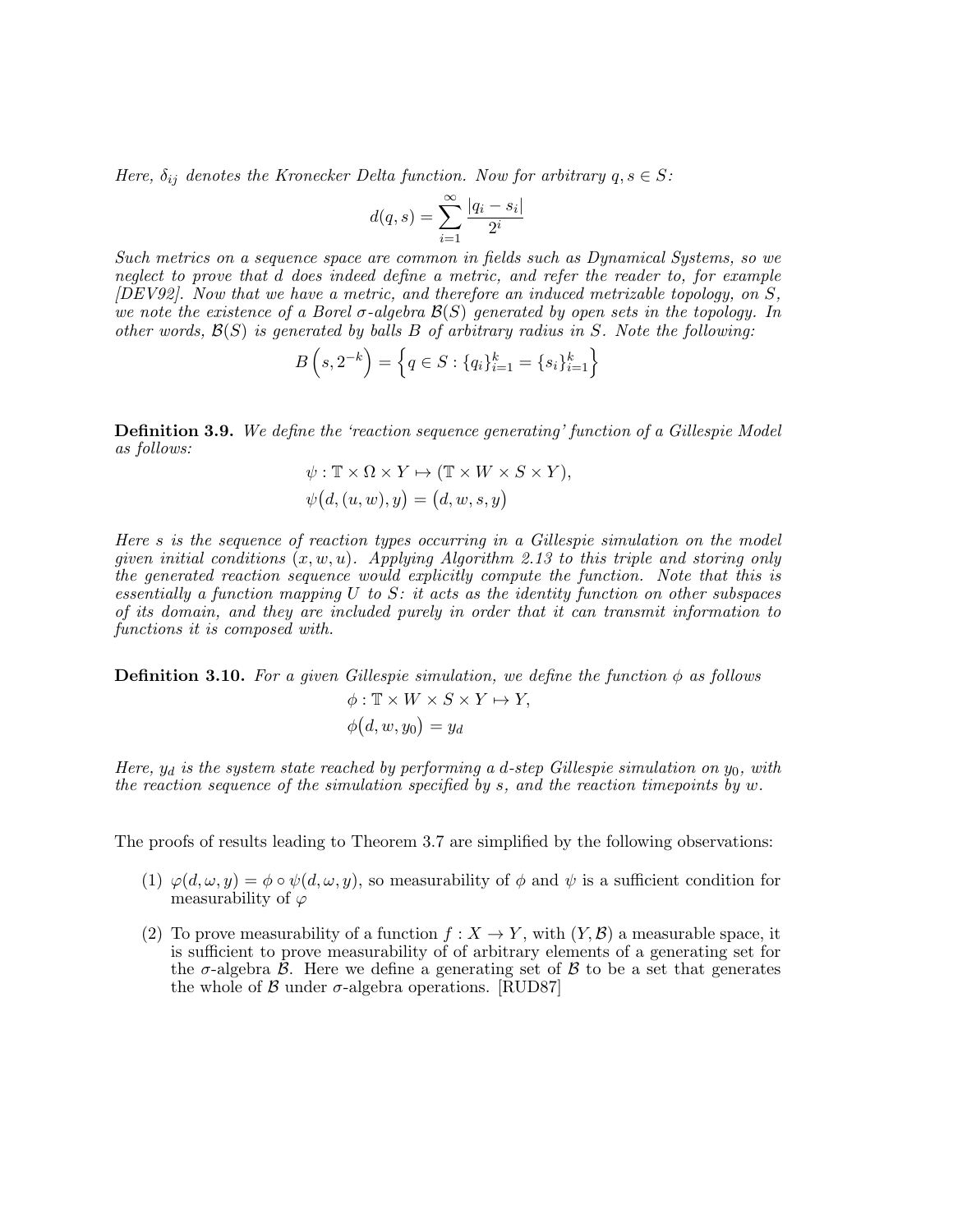Here,  $\delta_{ij}$  denotes the Kronecker Delta function. Now for arbitrary  $q, s \in S$ :

$$
d(q,s) = \sum_{i=1}^{\infty} \frac{|q_i - s_i|}{2^i}
$$

Such metrics on a sequence space are common in fields such as Dynamical Systems, so we neglect to prove that d does indeed define a metric, and refer the reader to, for example  $[DEV92]$ . Now that we have a metric, and therefore an induced metrizable topology, on S, we note the existence of a Borel  $\sigma$ -algebra  $\mathcal{B}(S)$  generated by open sets in the topology. In other words,  $\mathcal{B}(S)$  is generated by balls B of arbitrary radius in S. Note the following:

$$
B(s, 2^{-k}) = \left\{ q \in S : \{q_i\}_{i=1}^k = \{s_i\}_{i=1}^k \right\}
$$

**Definition 3.9.** We define the 'reaction sequence generating' function of a Gillespie Model as follows:

$$
\psi: \mathbb{T} \times \Omega \times Y \mapsto (\mathbb{T} \times W \times S \times Y),
$$
  

$$
\psi(d, (u, w), y) = (d, w, s, y)
$$

Here s is the sequence of reaction types occurring in a Gillespie simulation on the model given initial conditions  $(x, w, u)$ . Applying Algorithm 2.13 to this triple and storing only the generated reaction sequence would explicitly compute the function. Note that this is essentially a function mapping  $U$  to  $S$ : it acts as the identity function on other subspaces of its domain, and they are included purely in order that it can transmit information to functions it is composed with.

**Definition 3.10.** For a given Gillespie simulation, we define the function  $\phi$  as follows  $\phi: \mathbb{T} \times W \times S \times Y \mapsto Y$ ,  $\phi\bigl(d,w,y_0\bigr)=y_d$ 

Here,  $y_d$  is the system state reached by performing a d-step Gillespie simulation on  $y_0$ , with the reaction sequence of the simulation specified by s, and the reaction timepoints by w.

The proofs of results leading to Theorem 3.7 are simplified by the following observations:

- (1)  $\varphi(d,\omega,y) = \phi \circ \psi(d,\omega,y)$ , so measurability of  $\phi$  and  $\psi$  is a sufficient condition for measurability of  $\varphi$
- (2) To prove measurability of a function  $f: X \to Y$ , with  $(Y, \mathcal{B})$  a measurable space, it is sufficient to prove measurability of of arbitrary elements of a generating set for the  $\sigma$ -algebra  $\beta$ . Here we define a generating set of  $\beta$  to be a set that generates the whole of  $\beta$  under  $\sigma$ -algebra operations. [RUD87]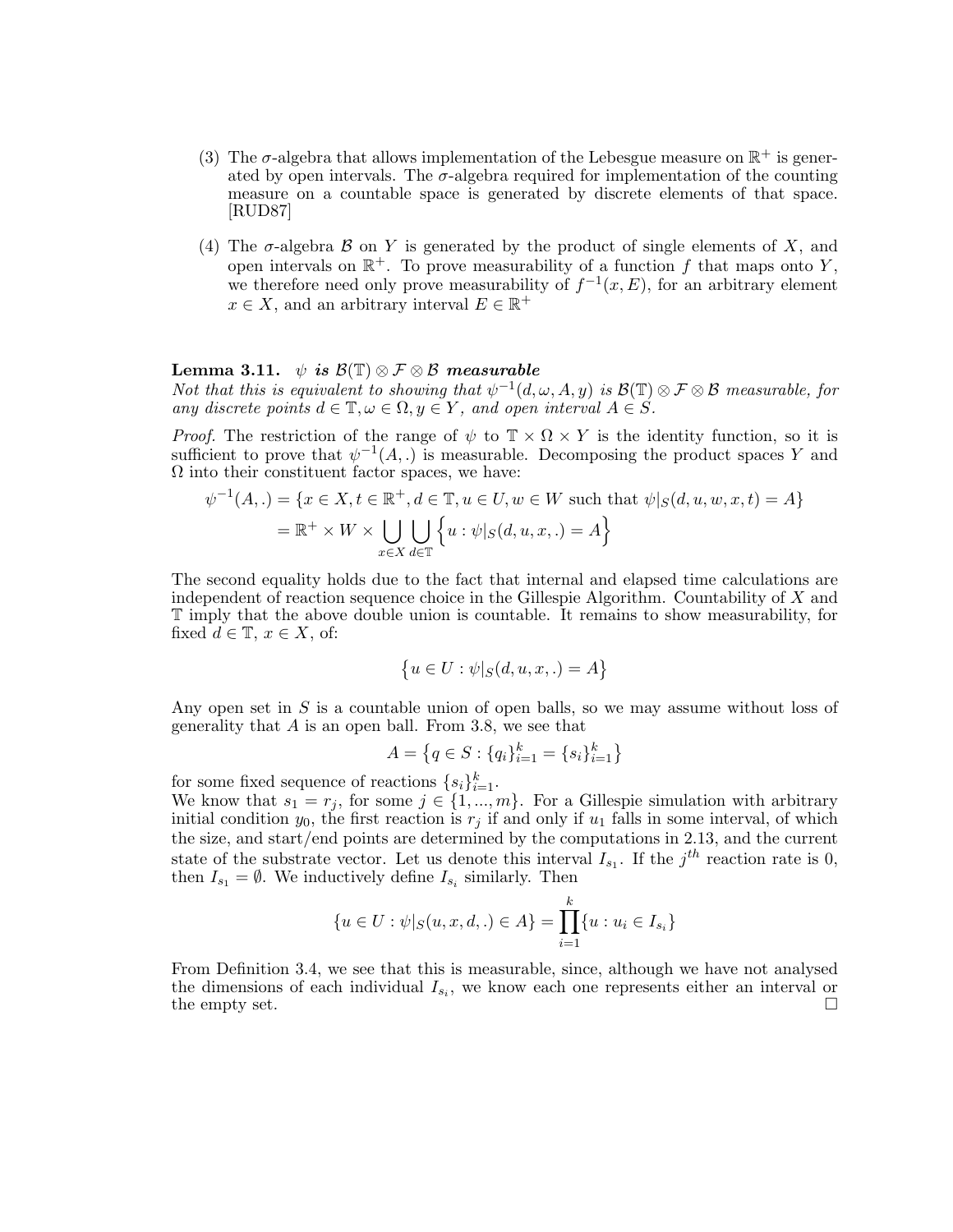- (3) The  $\sigma$ -algebra that allows implementation of the Lebesgue measure on  $\mathbb{R}^+$  is generated by open intervals. The  $\sigma$ -algebra required for implementation of the counting measure on a countable space is generated by discrete elements of that space. [RUD87]
- (4) The  $\sigma$ -algebra  $\beta$  on Y is generated by the product of single elements of X, and open intervals on  $\mathbb{R}^+$ . To prove measurability of a function f that maps onto Y, we therefore need only prove measurability of  $f^{-1}(x, E)$ , for an arbitrary element  $x \in X$ , and an arbitrary interval  $E \in \mathbb{R}^+$

### Lemma 3.11.  $\psi$  is  $\mathcal{B}(\mathbb{T}) \otimes \mathcal{F} \otimes \mathcal{B}$  measurable

Not that this is equivalent to showing that  $\psi^{-1}(d,\omega,A,y)$  is  $\mathcal{B}(\mathbb{T})\otimes\mathcal{F}\otimes\mathcal{B}$  measurable, for any discrete points  $d \in \mathbb{T}, \omega \in \Omega, y \in Y$ , and open interval  $A \in S$ .

*Proof.* The restriction of the range of  $\psi$  to  $\mathbb{T} \times \Omega \times Y$  is the identity function, so it is sufficient to prove that  $\psi^{-1}(A,.)$  is measurable. Decomposing the product spaces Y and  $\Omega$  into their constituent factor spaces, we have:

$$
\psi^{-1}(A,.) = \{x \in X, t \in \mathbb{R}^+, d \in \mathbb{T}, u \in U, w \in W \text{ such that } \psi|_{S}(d, u, w, x, t) = A\}
$$

$$
= \mathbb{R}^+ \times W \times \bigcup_{x \in X} \bigcup_{d \in \mathbb{T}} \{u : \psi|_{S}(d, u, x, .) = A\}
$$

The second equality holds due to the fact that internal and elapsed time calculations are independent of reaction sequence choice in the Gillespie Algorithm. Countability of  $X$  and T imply that the above double union is countable. It remains to show measurability, for fixed  $d \in \mathbb{T}$ ,  $x \in X$ , of:

$$
\left\{u \in U : \psi|_{S}(d, u, x, .) = A\right\}
$$

Any open set in  $S$  is a countable union of open balls, so we may assume without loss of generality that  $A$  is an open ball. From 3.8, we see that

$$
A = \left\{ q \in S : \{q_i\}_{i=1}^k = \{s_i\}_{i=1}^k \right\}
$$

for some fixed sequence of reactions  $\{s_i\}_{i=1}^k$ .

We know that  $s_1 = r_j$ , for some  $j \in \{1, ..., m\}$ . For a Gillespie simulation with arbitrary initial condition  $y_0$ , the first reaction is  $r_j$  if and only if  $u_1$  falls in some interval, of which the size, and start/end points are determined by the computations in 2.13, and the current state of the substrate vector. Let us denote this interval  $I_{s_1}$ . If the  $j^{th}$  reaction rate is 0, then  $I_{s_1} = \emptyset$ . We inductively define  $I_{s_i}$  similarly. Then

$$
\{u \in U : \psi|_{S}(u, x, d, .) \in A\} = \prod_{i=1}^{k} \{u : u_i \in I_{s_i}\}\
$$

From Definition 3.4, we see that this is measurable, since, although we have not analysed the dimensions of each individual  $I_{s_i}$ , we know each one represents either an interval or the empty set.  $\Box$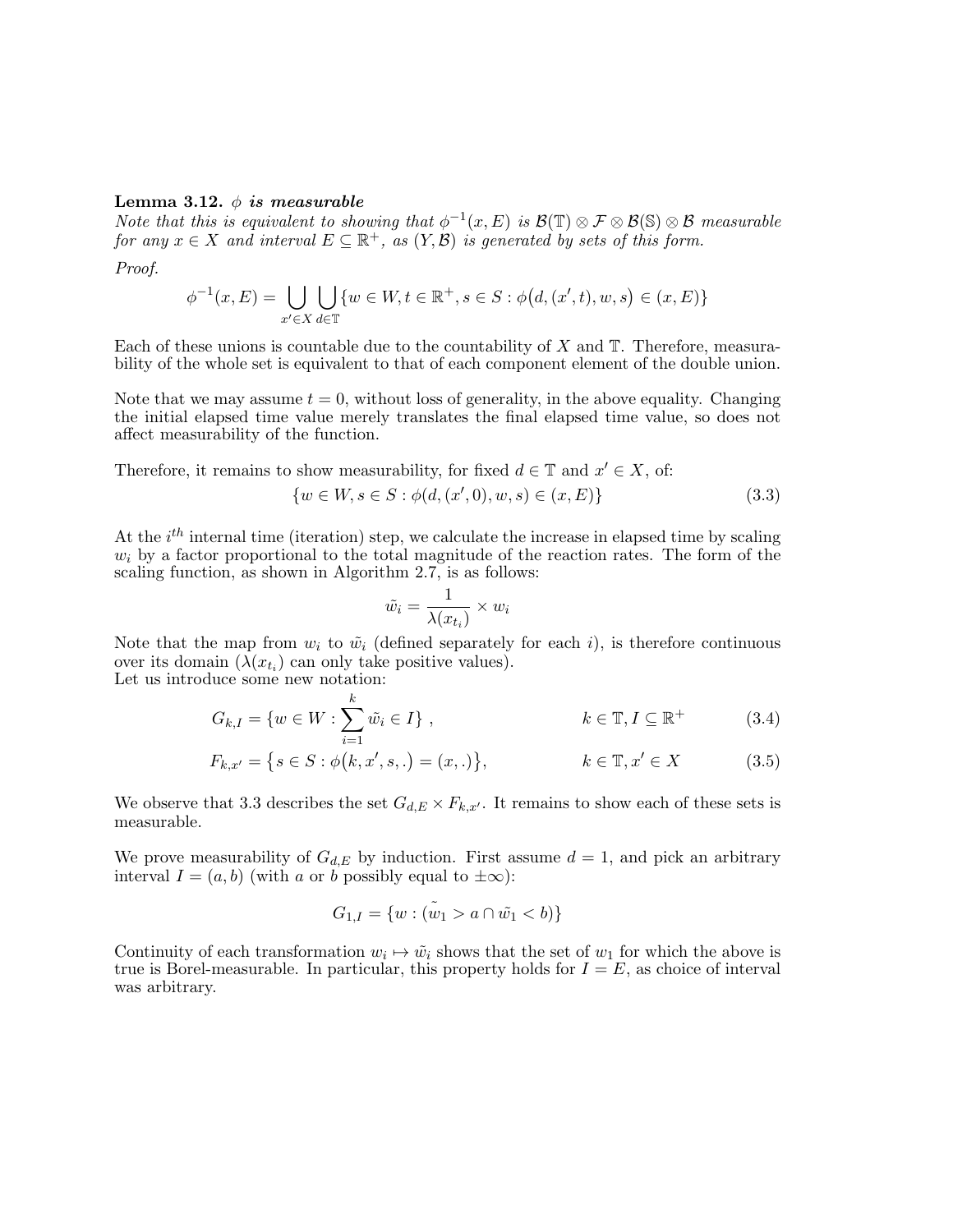#### Lemma 3.12.  $\phi$  is measurable

Note that this is equivalent to showing that  $\phi^{-1}(x,E)$  is  $\mathcal{B}(\mathbb{T}) \otimes \mathcal{F} \otimes \mathcal{B}(\mathbb{S}) \otimes \mathcal{B}$  measurable for any  $x \in X$  and interval  $E \subseteq \mathbb{R}^+$ , as  $(Y, \mathcal{B})$  is generated by sets of this form.

Proof.

$$
\phi^{-1}(x, E) = \bigcup_{x' \in X} \bigcup_{d \in \mathbb{T}} \{ w \in W, t \in \mathbb{R}^+, s \in S : \phi(d, (x', t), w, s) \in (x, E) \}
$$

Each of these unions is countable due to the countability of  $X$  and  $T$ . Therefore, measurability of the whole set is equivalent to that of each component element of the double union.

Note that we may assume  $t = 0$ , without loss of generality, in the above equality. Changing the initial elapsed time value merely translates the final elapsed time value, so does not affect measurability of the function.

Therefore, it remains to show measurability, for fixed  $d \in \mathbb{T}$  and  $x' \in X$ , of:

$$
\{w \in W, s \in S : \phi(d, (x', 0), w, s) \in (x, E)\}\tag{3.3}
$$

At the  $i<sup>th</sup>$  internal time (iteration) step, we calculate the increase in elapsed time by scaling  $w<sub>i</sub>$  by a factor proportional to the total magnitude of the reaction rates. The form of the scaling function, as shown in Algorithm 2.7, is as follows:

$$
\tilde{w_i} = \frac{1}{\lambda(x_{t_i})} \times w_i
$$

Note that the map from  $w_i$  to  $\tilde{w}_i$  (defined separately for each i), is therefore continuous over its domain  $(\lambda(x_{t_i})$  can only take positive values).

Let us introduce some new notation:

$$
G_{k,I} = \{ w \in W : \sum_{i=1}^{k} \tilde{w}_i \in I \}, \qquad k \in \mathbb{T}, I \subseteq \mathbb{R}^+ \tag{3.4}
$$

$$
F_{k,x'} = \{ s \in S : \phi(k, x', s, .) = (x, .)\}, \qquad k \in \mathbb{T}, x' \in X \tag{3.5}
$$

We observe that 3.3 describes the set  $G_{d,E} \times F_{k,x'}$ . It remains to show each of these sets is measurable.

We prove measurability of  $G_{d,E}$  by induction. First assume  $d=1$ , and pick an arbitrary interval  $I = (a, b)$  (with a or b possibly equal to  $\pm \infty$ ):

$$
G_{1,I} = \{ w : (\tilde{w}_1 > a \cap \tilde{w}_1 < b) \}
$$

Continuity of each transformation  $w_i \mapsto \tilde{w}_i$  shows that the set of  $w_1$  for which the above is true is Borel-measurable. In particular, this property holds for  $I = E$ , as choice of interval was arbitrary.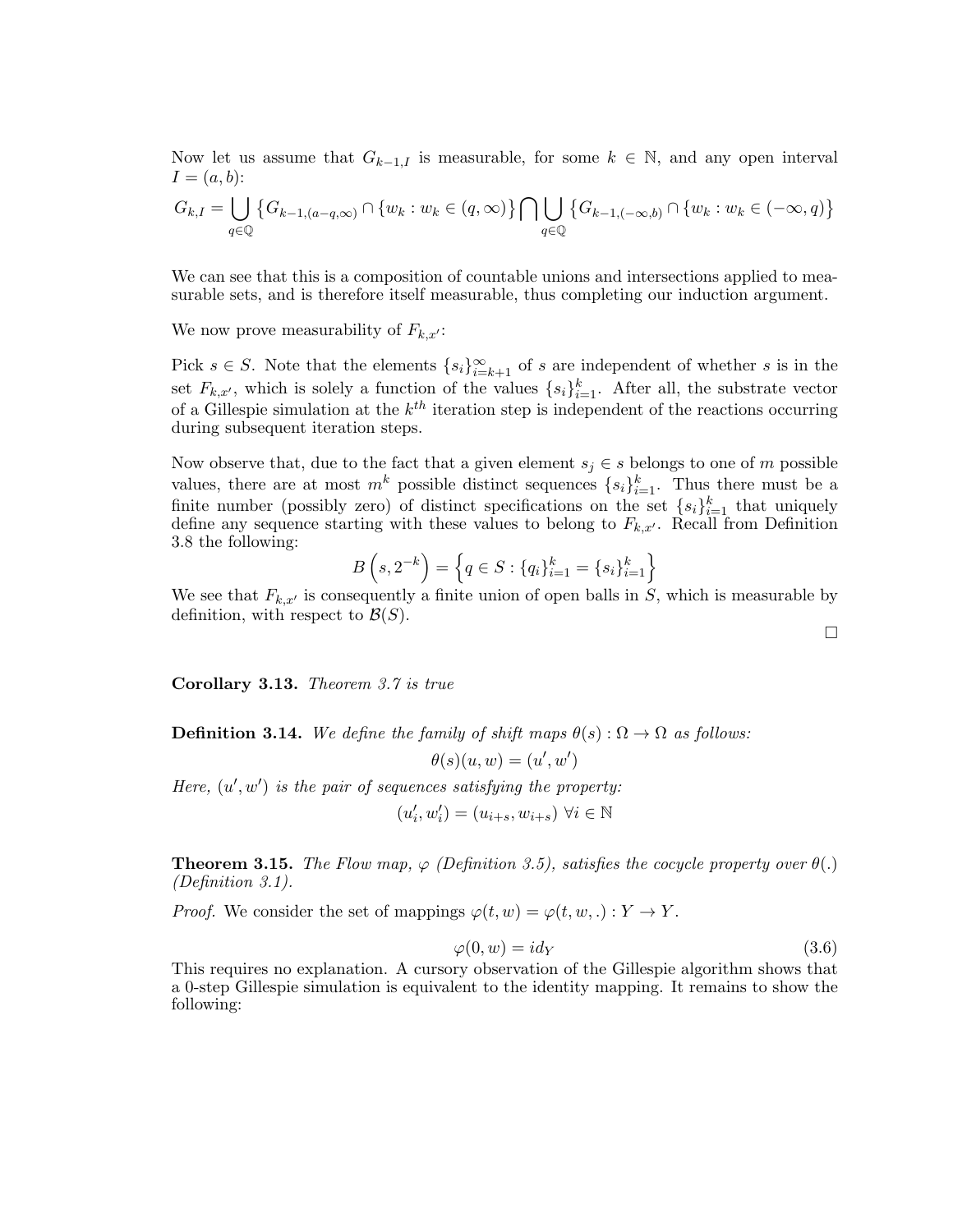Now let us assume that  $G_{k-1,I}$  is measurable, for some  $k \in \mathbb{N}$ , and any open interval  $I = (a, b)$ :

$$
G_{k,I} = \bigcup_{q \in \mathbb{Q}} \left\{ G_{k-1,(a-q,\infty)} \cap \{w_k : w_k \in (q,\infty)\} \bigcap \bigcup_{q \in \mathbb{Q}} \left\{ G_{k-1,(-\infty,b)} \cap \{w_k : w_k \in (-\infty,q)\} \right\} \right\}
$$

We can see that this is a composition of countable unions and intersections applied to measurable sets, and is therefore itself measurable, thus completing our induction argument.

We now prove measurability of  $F_{k,x'}$ :

Pick  $s \in S$ . Note that the elements  $\{s_i\}_{i=k+1}^{\infty}$  of s are independent of whether s is in the set  $F_{k,x'}$ , which is solely a function of the values  $\{s_i\}_{i=1}^k$ . After all, the substrate vector of a Gillespie simulation at the  $k^{th}$  iteration step is independent of the reactions occurring during subsequent iteration steps.

Now observe that, due to the fact that a given element  $s_j \in s$  belongs to one of m possible values, there are at most  $m^k$  possible distinct sequences  $\{s_i\}_{i=1}^k$ . Thus there must be a finite number (possibly zero) of distinct specifications on the set  $\{s_i\}_{i=1}^k$  that uniquely define any sequence starting with these values to belong to  $F_{k,x'}$ . Recall from Definition 3.8 the following:

$$
B(s, 2^{-k}) = \left\{ q \in S : \{q_i\}_{i=1}^k = \{s_i\}_{i=1}^k \right\}
$$

We see that  $F_{k,x'}$  is consequently a finite union of open balls in S, which is measurable by definition, with respect to  $\mathcal{B}(S)$ .

Corollary 3.13. Theorem 3.7 is true

**Definition 3.14.** We define the family of shift maps  $\theta(s) : \Omega \to \Omega$  as follows:  $\theta(s)(u,w) = (u',w')$ 

Here,  $(u', w')$  is the pair of sequences satisfying the property:

$$
(u'_i,w'_i)=(u_{i+s},w_{i+s})\ \forall i\in\mathbb{N}
$$

**Theorem 3.15.** The Flow map,  $\varphi$  (Definition 3.5), satisfies the cocycle property over  $\theta(.)$ (Definition 3.1).

*Proof.* We consider the set of mappings  $\varphi(t, w) = \varphi(t, w, .): Y \to Y$ .

$$
\varphi(0, w) = id_Y \tag{3.6}
$$

This requires no explanation. A cursory observation of the Gillespie algorithm shows that a 0-step Gillespie simulation is equivalent to the identity mapping. It remains to show the following:

 $\Box$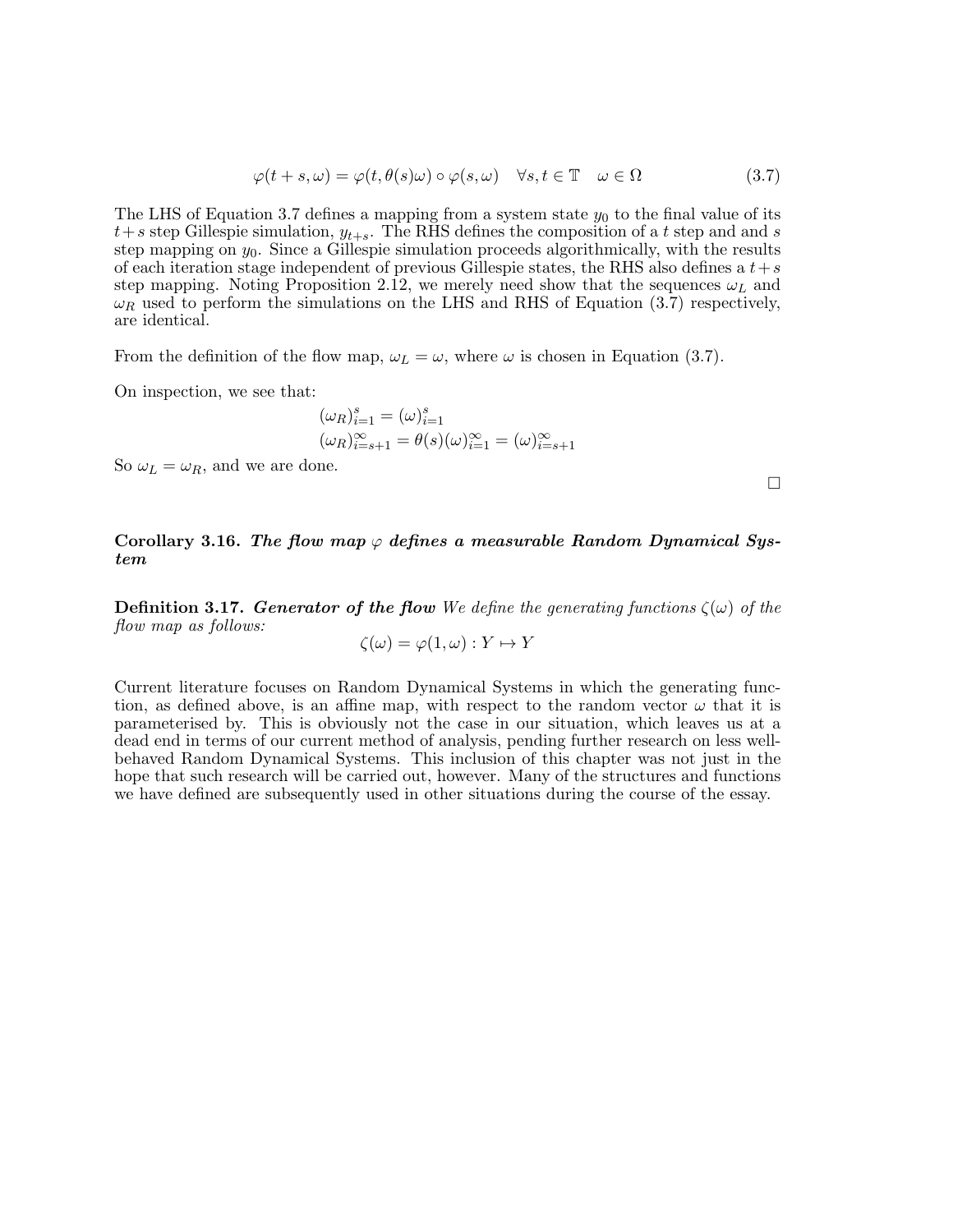$$
\varphi(t+s,\omega) = \varphi(t,\theta(s)\omega) \circ \varphi(s,\omega) \quad \forall s, t \in \mathbb{T} \quad \omega \in \Omega \tag{3.7}
$$

The LHS of Equation 3.7 defines a mapping from a system state  $y_0$  to the final value of its  $t+s$  step Gillespie simulation,  $y_{t+s}$ . The RHS defines the composition of a t step and and s step mapping on  $y_0$ . Since a Gillespie simulation proceeds algorithmically, with the results of each iteration stage independent of previous Gillespie states, the RHS also defines a  $t+s$ step mapping. Noting Proposition 2.12, we merely need show that the sequences  $\omega_L$  and  $\omega_R$  used to perform the simulations on the LHS and RHS of Equation (3.7) respectively, are identical.

From the definition of the flow map,  $\omega_L = \omega$ , where  $\omega$  is chosen in Equation (3.7).

On inspection, we see that:

$$
(\omega_R)_{i=1}^s = (\omega)_{i=1}^s
$$
  

$$
(\omega_R)_{i=s+1}^\infty = \theta(s)(\omega)_{i=1}^\infty = (\omega)_{i=s+1}^\infty
$$

So  $\omega_L = \omega_R$ , and we are done.

 $\Box$ 

### Corollary 3.16. The flow map  $\varphi$  defines a measurable Random Dynamical System

**Definition 3.17. Generator of the flow** We define the generating functions  $\zeta(\omega)$  of the flow map as follows:

$$
\zeta(\omega) = \varphi(1, \omega) : Y \mapsto Y
$$

Current literature focuses on Random Dynamical Systems in which the generating function, as defined above, is an affine map, with respect to the random vector  $\omega$  that it is parameterised by. This is obviously not the case in our situation, which leaves us at a dead end in terms of our current method of analysis, pending further research on less wellbehaved Random Dynamical Systems. This inclusion of this chapter was not just in the hope that such research will be carried out, however. Many of the structures and functions we have defined are subsequently used in other situations during the course of the essay.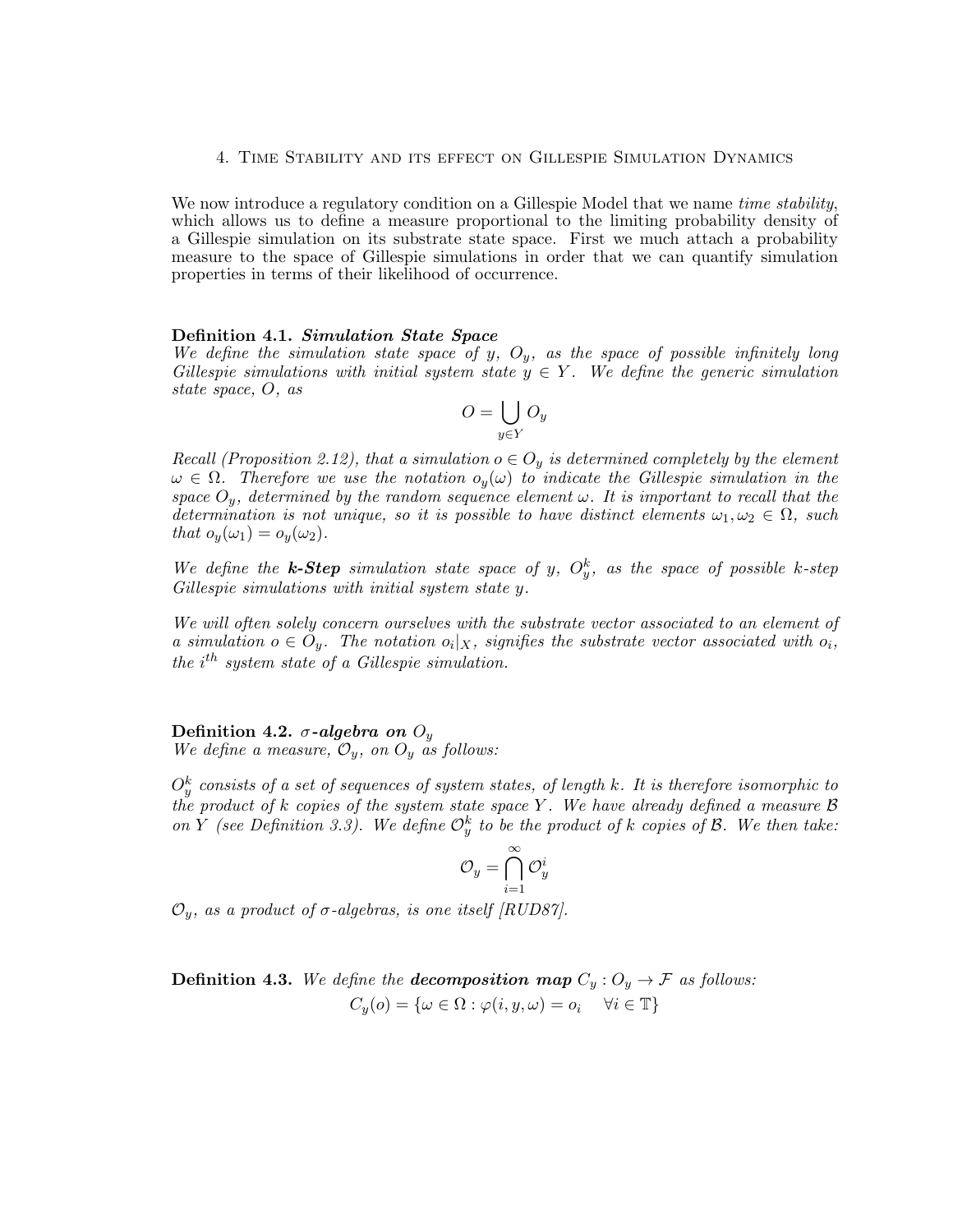#### 4. Time Stability and its effect on Gillespie Simulation Dynamics

We now introduce a regulatory condition on a Gillespie Model that we name *time stability*, which allows us to define a measure proportional to the limiting probability density of a Gillespie simulation on its substrate state space. First we much attach a probability measure to the space of Gillespie simulations in order that we can quantify simulation properties in terms of their likelihood of occurrence.

#### Definition 4.1. Simulation State Space

We define the simulation state space of y,  $O_y$ , as the space of possible infinitely long Gillespie simulations with initial system state  $y \in Y$ . We define the generic simulation state space, O, as

$$
O = \bigcup_{y \in Y} O_y
$$

Recall (Proposition 2.12), that a simulation  $o \in O_y$  is determined completely by the element  $\omega \in \Omega$ . Therefore we use the notation  $o_y(\omega)$  to indicate the Gillespie simulation in the space  $O_y$ , determined by the random sequence element  $\omega$ . It is important to recall that the determination is not unique, so it is possible to have distinct elements  $\omega_1, \omega_2 \in \Omega$ , such that  $o_y(\omega_1) = o_y(\omega_2)$ .

We define the **k-Step** simulation state space of y,  $O_y^k$ , as the space of possible k-step Gillespie simulations with initial system state y.

We will often solely concern ourselves with the substrate vector associated to an element of a simulation  $o \in O_y$ . The notation  $o_i | X$ , signifies the substrate vector associated with  $o_i$ , the  $i^{th}$  system state of a Gillespie simulation.

### Definition 4.2.  $\sigma$ -algebra on  $O_y$

We define a measure,  $\mathcal{O}_y$ , on  $\mathcal{O}_y$  as follows:

 $O_y^k$  consists of a set of sequences of system states, of length  $k$ . It is therefore isomorphic to the product of k copies of the system state space Y. We have already defined a measure  $\beta$ on Y (see Definition 3.3). We define  $\mathcal{O}_y^k$  to be the product of k copies of B. We then take:

$$
\mathcal{O}_y = \bigcap_{i=1}^\infty \mathcal{O}_y^i
$$

 $\mathcal{O}_v$ , as a product of  $\sigma$ -algebras, is one itself [RUD87].

**Definition 4.3.** We define the **decomposition map**  $C_y$  :  $O_y \rightarrow \mathcal{F}$  as follows:  $C_u(o) = \{\omega \in \Omega : \varphi(i, y, \omega) = o_i \quad \forall i \in \mathbb{T}\}\$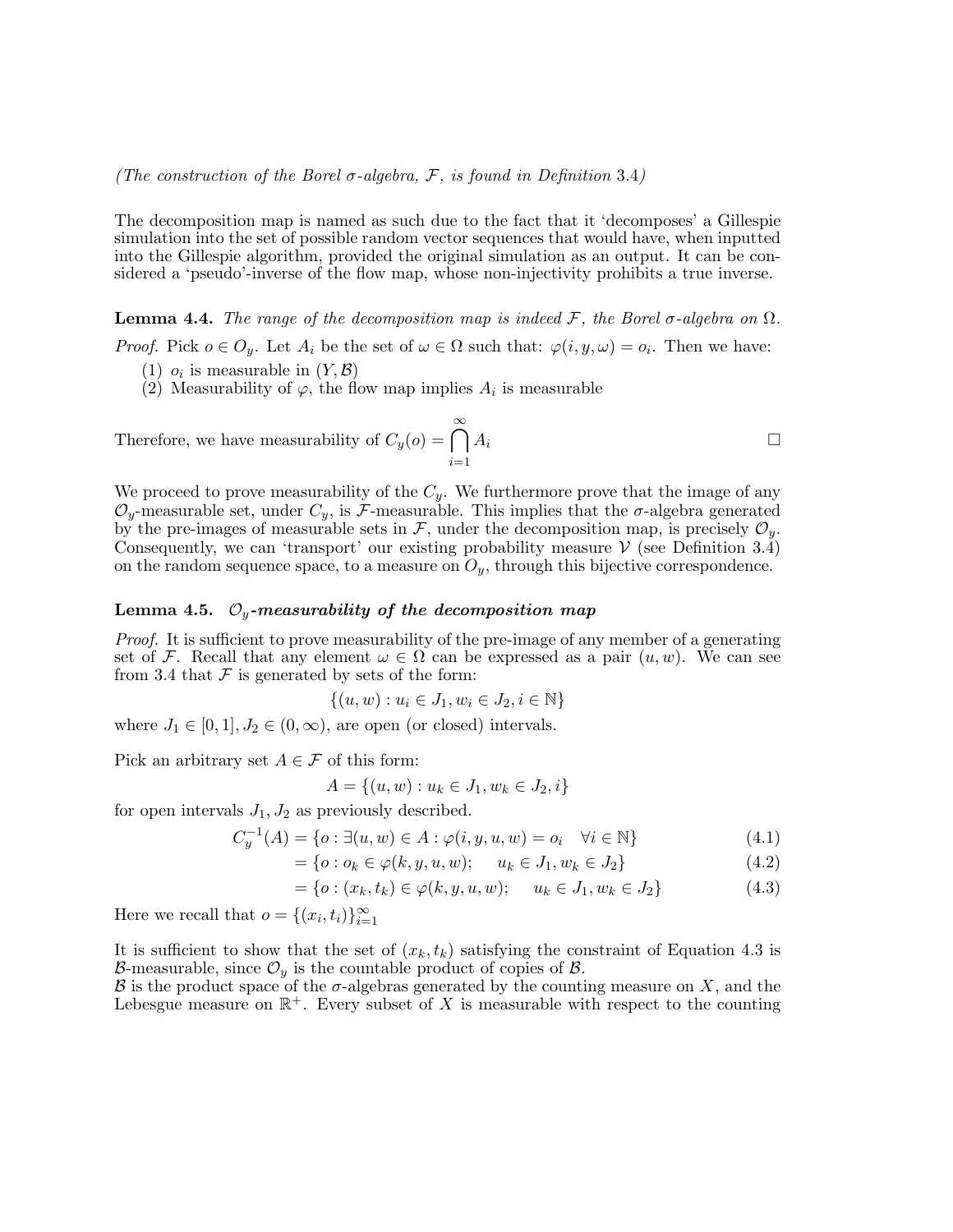(The construction of the Borel  $\sigma$ -algebra, F, is found in Definition 3.4)

The decomposition map is named as such due to the fact that it 'decomposes' a Gillespie simulation into the set of possible random vector sequences that would have, when inputted into the Gillespie algorithm, provided the original simulation as an output. It can be considered a 'pseudo'-inverse of the flow map, whose non-injectivity prohibits a true inverse.

**Lemma 4.4.** The range of the decomposition map is indeed F, the Borel  $\sigma$ -algebra on  $\Omega$ .

*Proof.* Pick  $o \in O_y$ . Let  $A_i$  be the set of  $\omega \in \Omega$  such that:  $\varphi(i, y, \omega) = o_i$ . Then we have:

- (1)  $o_i$  is measurable in  $(Y, \mathcal{B})$
- (2) Measurability of  $\varphi$ , the flow map implies  $A_i$  is measurable

Therefore, we have measurability of  $C_y(o) = \bigcap^{\infty}$  $i=1$  $A_i$ 

We proceed to prove measurability of the  $C_y$ . We furthermore prove that the image of any  $\mathcal{O}_y$ -measurable set, under  $C_y$ , is F-measurable. This implies that the  $\sigma$ -algebra generated by the pre-images of measurable sets in  $\mathcal{F}$ , under the decomposition map, is precisely  $\mathcal{O}_y$ . Consequently, we can 'transport' our existing probability measure  $V$  (see Definition 3.4) on the random sequence space, to a measure on  $O_y$ , through this bijective correspondence.

#### Lemma 4.5.  $\mathcal{O}_y$ -measurability of the decomposition map

Proof. It is sufficient to prove measurability of the pre-image of any member of a generating set of F. Recall that any element  $\omega \in \Omega$  can be expressed as a pair  $(u, w)$ . We can see from 3.4 that  $\mathcal F$  is generated by sets of the form:

$$
\{(u, w) : u_i \in J_1, w_i \in J_2, i \in \mathbb{N}\}\
$$

where  $J_1 \in [0, 1], J_2 \in (0, \infty)$ , are open (or closed) intervals.

Pick an arbitrary set  $A \in \mathcal{F}$  of this form:

$$
A = \{(u, w) : u_k \in J_1, w_k \in J_2, i\}
$$

for open intervals  $J_1, J_2$  as previously described.

$$
C_y^{-1}(A) = \{o : \exists (u, w) \in A : \varphi(i, y, u, w) = o_i \quad \forall i \in \mathbb{N}\}\
$$
\n(4.1)

$$
= \{o : o_k \in \varphi(k, y, u, w); \quad u_k \in J_1, w_k \in J_2\}
$$
\n(4.2)

$$
= \{o : (x_k, t_k) \in \varphi(k, y, u, w); \quad u_k \in J_1, w_k \in J_2\}
$$
\n
$$
(4.3)
$$

Here we recall that  $o = \{(x_i, t_i)\}_{i=1}^{\infty}$ 

It is sufficient to show that the set of  $(x_k, t_k)$  satisfying the constraint of Equation 4.3 is B-measurable, since  $\mathcal{O}_{y}$  is the countable product of copies of  $\beta$ .

 $\mathcal B$  is the product space of the  $\sigma$ -algebras generated by the counting measure on X, and the Lebesgue measure on  $\mathbb{R}^+$ . Every subset of X is measurable with respect to the counting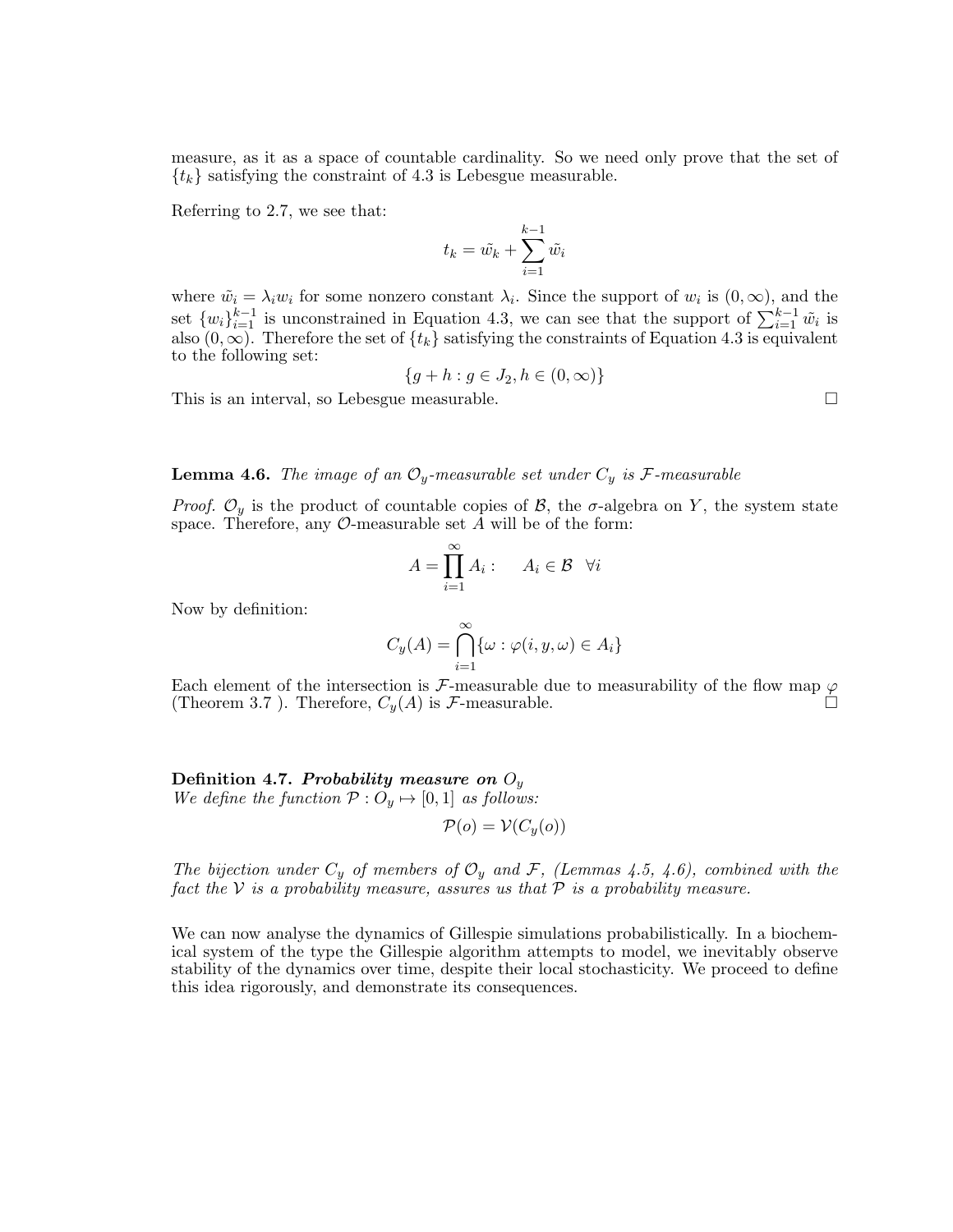measure, as it as a space of countable cardinality. So we need only prove that the set of  $\{t_k\}$  satisfying the constraint of 4.3 is Lebesgue measurable.

Referring to 2.7, we see that:

$$
t_k = \tilde{w_k} + \sum_{i=1}^{k-1} \tilde{w_i}
$$

where  $\tilde{w}_i = \lambda_i w_i$  for some nonzero constant  $\lambda_i$ . Since the support of  $w_i$  is  $(0, \infty)$ , and the set  $\{w_i\}_{i=1}^{k-1}$  is unconstrained in Equation 4.3, we can see that the support of  $\sum_{i=1}^{k-1} \tilde{w}_i$  is also  $(0, \infty)$ . Therefore the set of  $\{t_k\}$  satisfying the constraints of Equation 4.3 is equivalent to the following set:

$$
\{g + h : g \in J_2, h \in (0, \infty)\}
$$

This is an interval, so Lebesgue measurable.

### **Lemma 4.6.** The image of an  $\mathcal{O}_y$ -measurable set under  $C_y$  is F-measurable

*Proof.*  $\mathcal{O}_y$  is the product of countable copies of  $\mathcal{B}$ , the  $\sigma$ -algebra on Y, the system state space. Therefore, any  $\mathcal{O}$ -measurable set A will be of the form:

$$
A = \prod_{i=1}^{\infty} A_i : A_i \in \mathcal{B} \quad \forall i
$$

Now by definition:

$$
C_y(A) = \bigcap_{i=1}^{\infty} \{ \omega : \varphi(i, y, \omega) \in A_i \}
$$

Each element of the intersection is F-measurable due to measurability of the flow map  $\varphi$ (Theorem 3.7). Therefore,  $C_y(A)$  is  $\mathcal{F}\text{-measurable.}$ 

Definition 4.7. Probability measure on  $O_y$ We define the function  $P: O_y \mapsto [0, 1]$  as follows:

$$
\mathcal{P}(o) = \mathcal{V}(C_y(o))
$$

The bijection under  $C_y$  of members of  $\mathcal{O}_y$  and F, (Lemmas 4.5, 4.6), combined with the fact the V is a probability measure, assures us that  $P$  is a probability measure.

We can now analyse the dynamics of Gillespie simulations probabilistically. In a biochemical system of the type the Gillespie algorithm attempts to model, we inevitably observe stability of the dynamics over time, despite their local stochasticity. We proceed to define this idea rigorously, and demonstrate its consequences.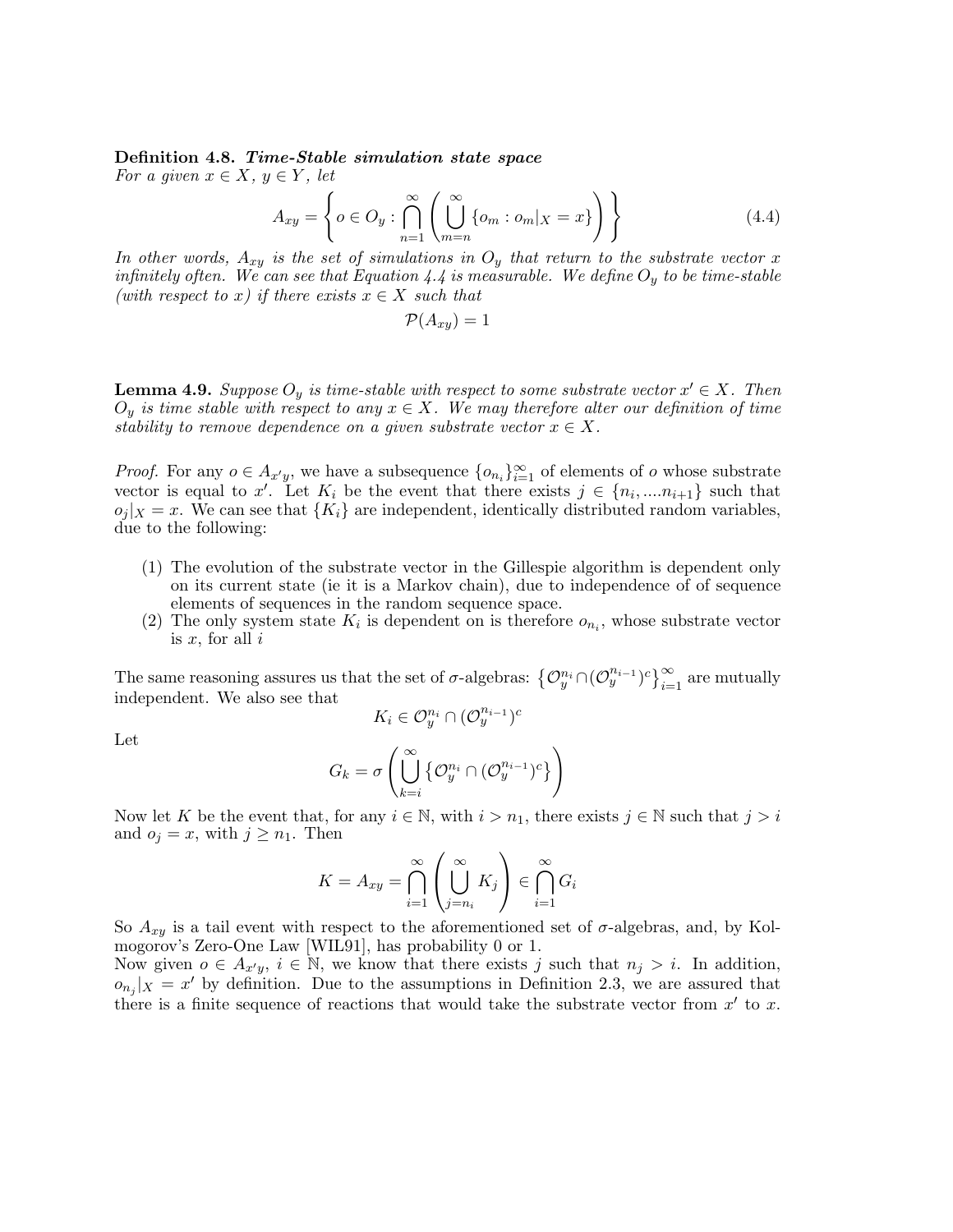# Definition 4.8. Time-Stable simulation state space

For a given  $x \in X$ ,  $y \in Y$ , let

$$
A_{xy} = \left\{ o \in O_y : \bigcap_{n=1}^{\infty} \left( \bigcup_{m=n}^{\infty} \{ o_m : o_m |_{X} = x \} \right) \right\}
$$
(4.4)

In other words,  $A_{xy}$  is the set of simulations in  $O_y$  that return to the substrate vector x infinitely often. We can see that Equation 4.4 is measurable. We define  $O_y$  to be time-stable (with respect to x) if there exists  $x \in X$  such that

$$
\mathcal{P}(A_{xy})=1
$$

**Lemma 4.9.** Suppose  $O_y$  is time-stable with respect to some substrate vector  $x' \in X$ . Then  $O_y$  is time stable with respect to any  $x \in X$ . We may therefore alter our definition of time stability to remove dependence on a given substrate vector  $x \in X$ .

*Proof.* For any  $o \in A_{x'y}$ , we have a subsequence  $\{o_{n_i}\}_{i=1}^{\infty}$  of elements of  $o$  whose substrate vector is equal to x'. Let  $K_i$  be the event that there exists  $j \in \{n_i, ..., n_{i+1}\}$  such that  $o_i |X = x$ . We can see that  ${K_i}$  are independent, identically distributed random variables, due to the following:

- (1) The evolution of the substrate vector in the Gillespie algorithm is dependent only on its current state (ie it is a Markov chain), due to independence of of sequence elements of sequences in the random sequence space.
- (2) The only system state  $K_i$  is dependent on is therefore  $o_{n_i}$ , whose substrate vector is  $x$ , for all  $i$

The same reasoning assures us that the set of  $\sigma$ -algebras:  $\{\mathcal{O}_y^{n_i} \cap (\mathcal{O}_y^{n_{i-1}})^c\}_{i=1}^{\infty}$  are mutually independent. We also see that  $K_i \in \mathcal{O}_y^{n_i} \cap (\mathcal{O}_y^{n_{i-1}})^c$ 

$$
\rm Let
$$

$$
G_k = \sigma\left(\bigcup_{k=i}^{\infty}\left\{\mathcal{O}_y^{n_i} \cap (\mathcal{O}_y^{n_{i-1}})^c\right\}\right)
$$

Now let K be the event that, for any  $i \in \mathbb{N}$ , with  $i > n_1$ , there exists  $j \in \mathbb{N}$  such that  $j > i$ and  $o_j = x$ , with  $j \geq n_1$ . Then

$$
K = A_{xy} = \bigcap_{i=1}^{\infty} \left( \bigcup_{j=n_i}^{\infty} K_j \right) \in \bigcap_{i=1}^{\infty} G_i
$$

So  $A_{xy}$  is a tail event with respect to the aforementioned set of  $\sigma$ -algebras, and, by Kolmogorov's Zero-One Law [WIL91], has probability 0 or 1.

Now given  $o \in A_{x'y}, i \in \mathbb{N}$ , we know that there exists j such that  $n_j > i$ . In addition,  $o_{n_j}|_X = x'$  by definition. Due to the assumptions in Definition 2.3, we are assured that there is a finite sequence of reactions that would take the substrate vector from  $x'$  to  $x$ .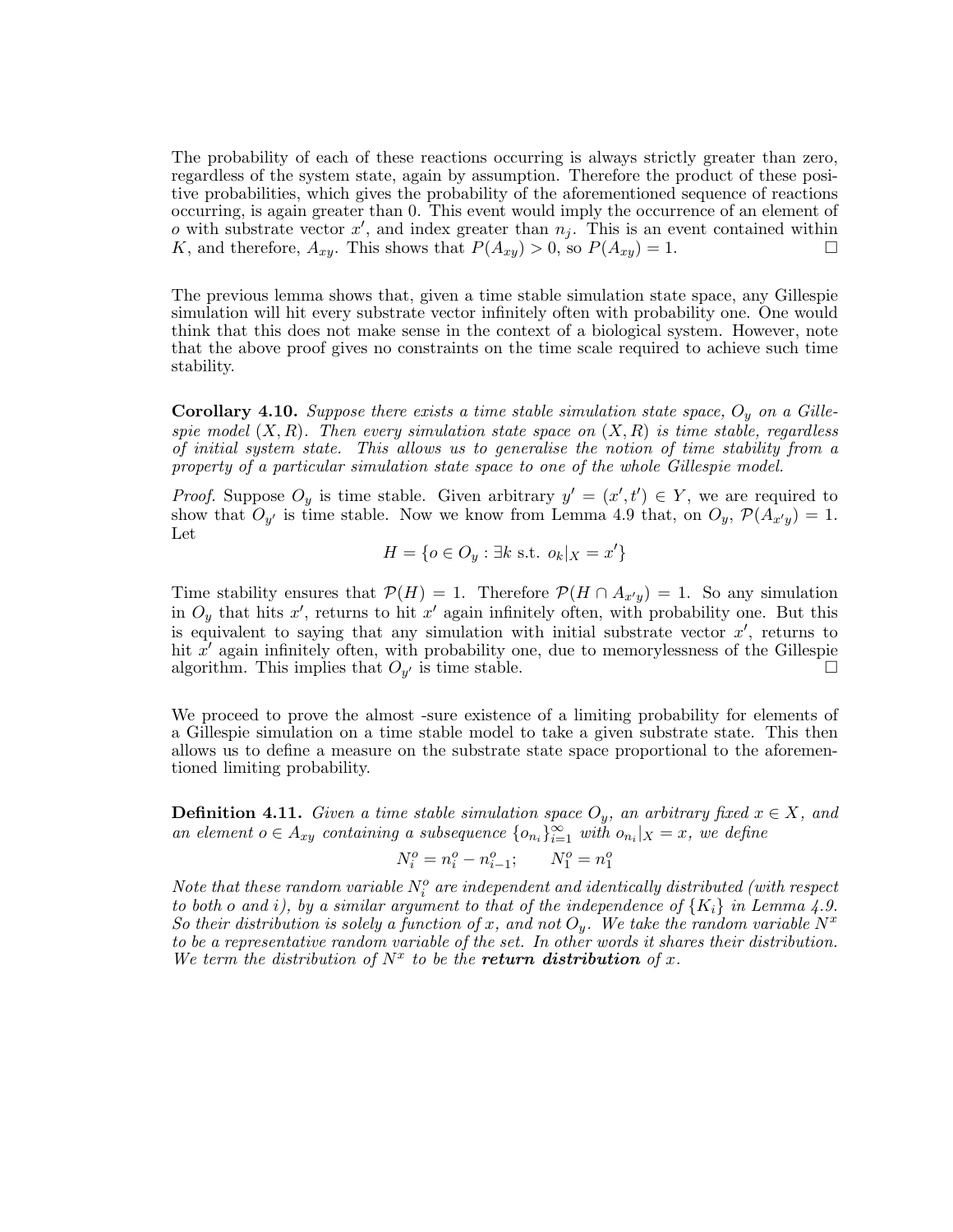The probability of each of these reactions occurring is always strictly greater than zero, regardless of the system state, again by assumption. Therefore the product of these positive probabilities, which gives the probability of the aforementioned sequence of reactions occurring, is again greater than 0. This event would imply the occurrence of an element of o with substrate vector  $x'$ , and index greater than  $n_j$ . This is an event contained within K, and therefore,  $A_{xy}$ . This shows that  $P(A_{xy}) > 0$ , so  $P(A_{xy}) = 1$ .

The previous lemma shows that, given a time stable simulation state space, any Gillespie simulation will hit every substrate vector infinitely often with probability one. One would think that this does not make sense in the context of a biological system. However, note that the above proof gives no constraints on the time scale required to achieve such time stability.

**Corollary 4.10.** Suppose there exists a time stable simulation state space,  $O_y$  on a Gillespie model  $(X, R)$ . Then every simulation state space on  $(X, R)$  is time stable, regardless of initial system state. This allows us to generalise the notion of time stability from a property of a particular simulation state space to one of the whole Gillespie model.

*Proof.* Suppose  $O_y$  is time stable. Given arbitrary  $y' = (x', t') \in Y$ , we are required to show that  $O_{y'}$  is time stable. Now we know from Lemma 4.9 that, on  $O_y$ ,  $\mathcal{P}(A_{x'y}) = 1$ . Let

$$
H = \{o \in O_y : \exists k \text{ s.t. } o_k | x = x'\}
$$

Time stability ensures that  $\mathcal{P}(H) = 1$ . Therefore  $\mathcal{P}(H \cap A_{x'y}) = 1$ . So any simulation in  $O_y$  that hits x', returns to hit x' again infinitely often, with probability one. But this is equivalent to saying that any simulation with initial substrate vector  $x'$ , returns to hit  $x'$  again infinitely often, with probability one, due to memorylessness of the Gillespie algorithm. This implies that  $O_{\eta'}$  is time stable.  $\overline{\phantom{a}}$  is time stable.

We proceed to prove the almost -sure existence of a limiting probability for elements of a Gillespie simulation on a time stable model to take a given substrate state. This then allows us to define a measure on the substrate state space proportional to the aforementioned limiting probability.

**Definition 4.11.** Given a time stable simulation space  $O_y$ , an arbitrary fixed  $x \in X$ , and an element  $o \in A_{xy}$  containing a subsequence  $\{o_{n_i}\}_{i=1}^{\infty}$  with  $o_{n_i}|_{X} = x$ , we define

$$
N_i^o=n_i^o-n_{i-1}^o;\qquad N_1^o=n_1^o
$$

Note that these random variable  $N_i^o$  are independent and identically distributed (with respect to both o and i), by a similar argument to that of the independence of  ${K_i}$  in Lemma 4.9. So their distribution is solely a function of x, and not  $O_y$ . We take the random variable  $N^x$ to be a representative random variable of the set. In other words it shares their distribution. We term the distribution of  $N^x$  to be the **return distribution** of x.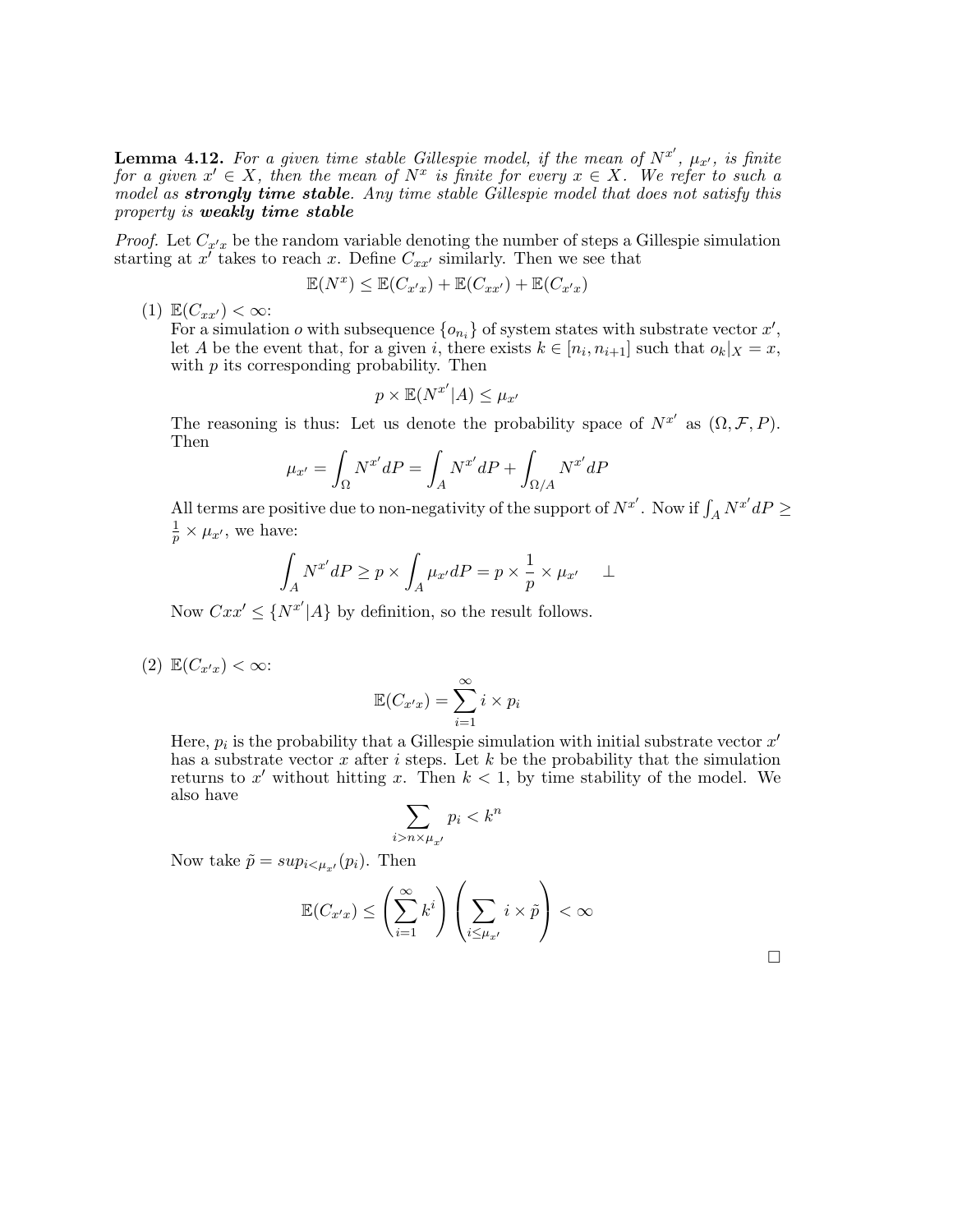**Lemma 4.12.** For a given time stable Gillespie model, if the mean of  $N^{x'}$ ,  $\mu_{x'}$ , is finite for a given  $x' \in X$ , then the mean of  $N^x$  is finite for every  $x \in X$ . We refer to such a model as strongly time stable. Any time stable Gillespie model that does not satisfy this property is weakly time stable

*Proof.* Let  $C_{x^{\prime}x}$  be the random variable denoting the number of steps a Gillespie simulation starting at  $x^{\tilde{\jmath}}$  takes to reach x. Define  $C_{xx'}$  similarly. Then we see that

$$
\mathbb{E}(N^x) \leq \mathbb{E}(C_{x'x}) + \mathbb{E}(C_{xx'}) + \mathbb{E}(C_{x'x})
$$

(1)  $\mathbb{E}(C_{xx'}) < \infty$ :

For a simulation  $o$  with subsequence  $\{o_{n_i}\}\$  of system states with substrate vector  $x'$ , let A be the event that, for a given i, there exists  $k \in [n_i, n_{i+1}]$  such that  $o_k | X = x$ , with  $p$  its corresponding probability. Then

$$
p \times \mathbb{E}(N^{x'}|A) \leq \mu_{x'}
$$

The reasoning is thus: Let us denote the probability space of  $N^{x'}$  as  $(\Omega, \mathcal{F}, P)$ . Then

$$
\mu_{x'} = \int_{\Omega} N^{x'} dP = \int_{A} N^{x'} dP + \int_{\Omega/A} N^{x'} dP
$$

All terms are positive due to non-negativity of the support of  $N^{x'}$ . Now if  $\int_A N^{x'} dP \ge$ 1  $\frac{1}{p} \times \mu_{x'}$ , we have:

$$
\int_A N^{x'} dP \ge p \times \int_A \mu_{x'} dP = p \times \frac{1}{p} \times \mu_{x'} \quad \perp
$$

Now  $Cxx' \leq \{N^{x'}|A\}$  by definition, so the result follows.

(2)  $\mathbb{E}(C_{x'x}) < \infty$ :

$$
\mathbb{E}(C_{x'x}) = \sum_{i=1}^{\infty} i \times p_i
$$

Here,  $p_i$  is the probability that a Gillespie simulation with initial substrate vector  $x'$ has a substrate vector x after i steps. Let  $k$  be the probability that the simulation returns to x' without hitting x. Then  $k < 1$ , by time stability of the model. We also have

$$
\sum_{i>n\times\mu_{x'}} p_i < k^n
$$

Now take  $\tilde{p} = sup_{i \leq \mu_{x'}}(p_i)$ . Then

$$
\mathbb{E}(C_{x'x}) \le \left(\sum_{i=1}^{\infty} k^i\right) \left(\sum_{i \le \mu_{x'}} i \times \tilde{p}\right) < \infty
$$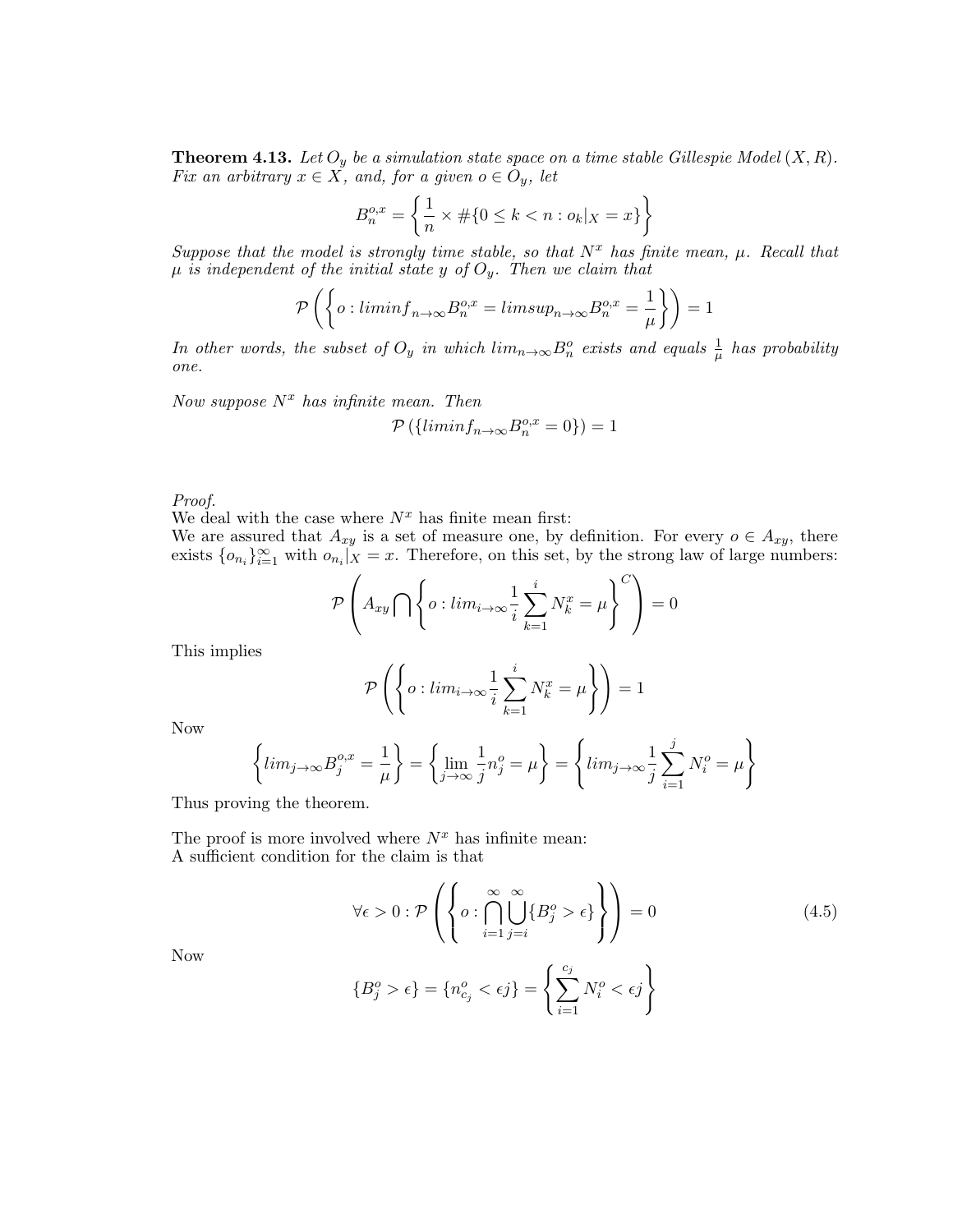**Theorem 4.13.** Let  $O_y$  be a simulation state space on a time stable Gillespie Model  $(X, R)$ . Fix an arbitrary  $x \in X$ , and, for a given  $o \in O_y$ , let

$$
B_n^{o,x} = \left\{ \frac{1}{n} \times \# \{ 0 \le k < n : o_k |_{X} = x \} \right\}
$$

Suppose that the model is strongly time stable, so that  $N^x$  has finite mean,  $\mu$ . Recall that  $\mu$  is independent of the initial state y of  $O_y$ . Then we claim that

$$
\mathcal{P}\left(\left\{o: \liminf_{n\to\infty} B_n^{o,x} = \limsup_{n\to\infty} B_n^{o,x} = \frac{1}{\mu}\right\}\right) = 1
$$

In other words, the subset of  $O_y$  in which  $lim_{n\to\infty} B_n^o$  exists and equals  $\frac{1}{\mu}$  has probability one.

Now suppose  $N^x$  has infinite mean. Then  $\mathcal{P}\left(\left\{ \liminf_{n\to\infty}B_n^{o,x}=0\right\}\right)=1$ 

Proof.

We deal with the case where  $N^x$  has finite mean first:

We are assured that  $A_{xy}$  is a set of measure one, by definition. For every  $o \in A_{xy}$ , there exists  $\{o_{n_i}\}_{i=1}^{\infty}$  with  $o_{n_i}|_X = x$ . Therefore, on this set, by the strong law of large numbers:

$$
\mathcal{P}\left(A_{xy}\bigcap\left\{o:lim_{i\to\infty}\frac{1}{i}\sum_{k=1}^i N_k^x=\mu\right\}^C\right)=0
$$

This implies

$$
\mathcal{P}\left(\left\{o: lim_{i\rightarrow\infty}\frac{1}{i}\sum_{k=1}^{i}N_{k}^{x}=\mu\right\}\right)=1
$$

Now

$$
\left\{ \lim_{j \to \infty} B_j^{o,x} = \frac{1}{\mu} \right\} = \left\{ \lim_{j \to \infty} \frac{1}{j} n_j^o = \mu \right\} = \left\{ \lim_{j \to \infty} \frac{1}{j} \sum_{i=1}^j N_i^o = \mu \right\}
$$

 ${B_j^o > \epsilon} = {n_{c_j}^o < \epsilon j} = \left\{ {\sum\limits_{i = 1}^{c_j} {} \right\}$ 

Thus proving the theorem.

The proof is more involved where  $N^x$  has infinite mean: A sufficient condition for the claim is that

$$
\forall \epsilon > 0 : \mathcal{P}\left(\left\{o : \bigcap_{i=1}^{\infty} \bigcup_{j=i}^{\infty} \{B_j^o > \epsilon\}\right\}\right) = 0 \tag{4.5}
$$

 $N_i^o < \epsilon j$ 

 $i=1$ 

Now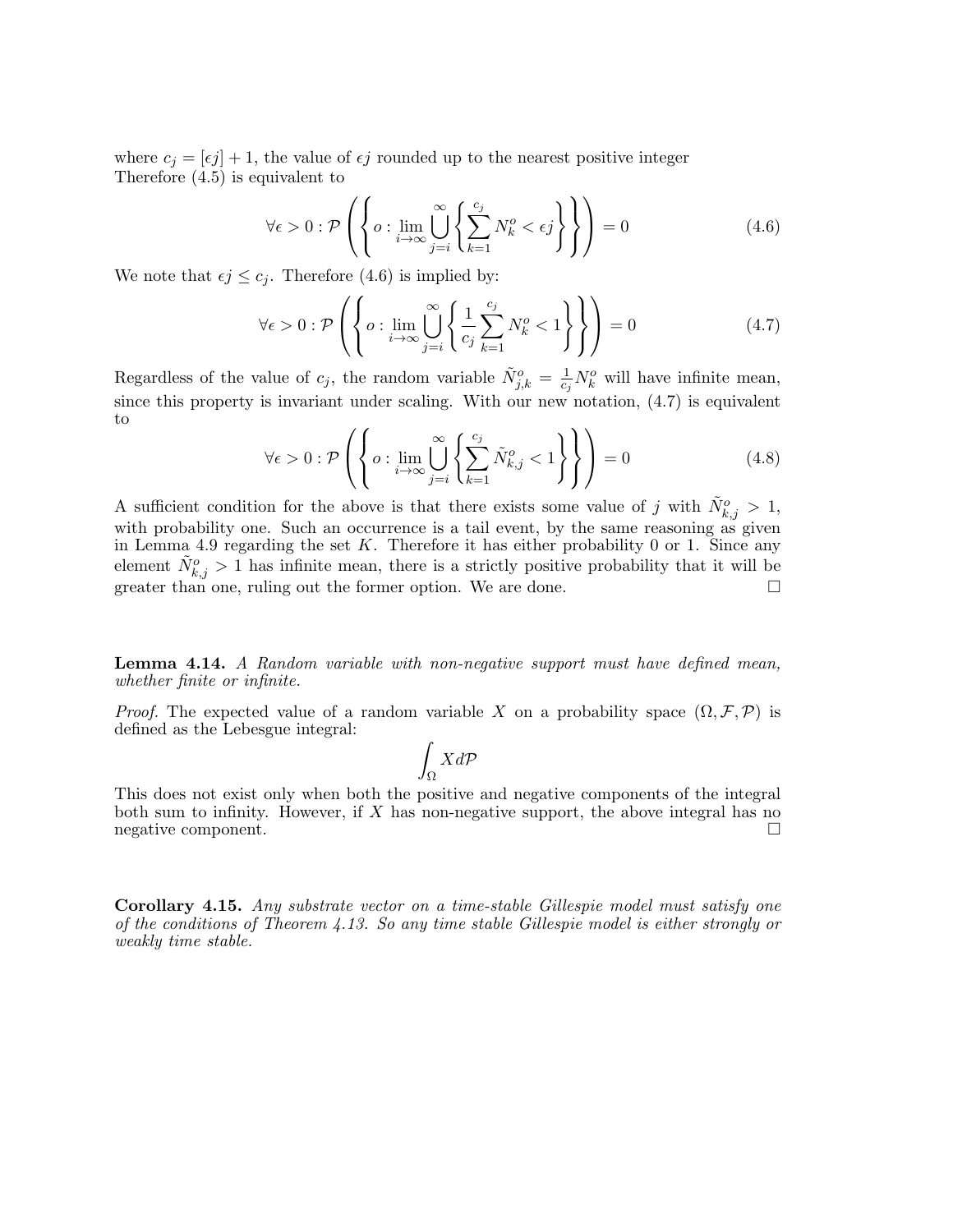where  $c_j = [\epsilon j] + 1$ , the value of  $\epsilon j$  rounded up to the nearest positive integer Therefore (4.5) is equivalent to

$$
\forall \epsilon > 0 : \mathcal{P}\left(\left\{o : \lim_{i \to \infty} \bigcup_{j=i}^{\infty} \left\{ \sum_{k=1}^{c_j} N_k^o < \epsilon_j \right\} \right\} \right) = 0 \tag{4.6}
$$

We note that  $\epsilon j \leq c_j$ . Therefore (4.6) is implied by:

$$
\forall \epsilon > 0 : \mathcal{P}\left(\left\{o : \lim_{i \to \infty} \bigcup_{j=i}^{\infty} \left\{\frac{1}{c_j} \sum_{k=1}^{c_j} N_k^o < 1\right\}\right\}\right) = 0\tag{4.7}
$$

Regardless of the value of  $c_j$ , the random variable  $\tilde{N}_{j,k}^o = \frac{1}{c_j}$  $\frac{1}{c_j}N_k^o$  will have infinite mean, since this property is invariant under scaling. With our new notation, (4.7) is equivalent to  $\lambda$ 

$$
\forall \epsilon > 0 : \mathcal{P}\left(\left\{o : \lim_{i \to \infty} \bigcup_{j=i}^{\infty} \left\{ \sum_{k=1}^{c_j} \tilde{N}_{k,j}^o < 1 \right\} \right\}\right) = 0 \tag{4.8}
$$

A sufficient condition for the above is that there exists some value of j with  $\tilde{N}_{k,j}^o > 1$ , with probability one. Such an occurrence is a tail event, by the same reasoning as given in Lemma 4.9 regarding the set  $K$ . Therefore it has either probability 0 or 1. Since any element  $\tilde{N}_{k,j}^o > 1$  has infinite mean, there is a strictly positive probability that it will be greater than one, ruling out the former option. We are done.

**Lemma 4.14.** A Random variable with non-negative support must have defined mean, whether finite or infinite.

*Proof.* The expected value of a random variable X on a probability space  $(\Omega, \mathcal{F}, \mathcal{P})$  is defined as the Lebesgue integral:

$$
\int_{\Omega} X d\mathcal{P}
$$

This does not exist only when both the positive and negative components of the integral both sum to infinity. However, if  $X$  has non-negative support, the above integral has no negative component.

Corollary 4.15. Any substrate vector on a time-stable Gillespie model must satisfy one of the conditions of Theorem 4.13. So any time stable Gillespie model is either strongly or weakly time stable.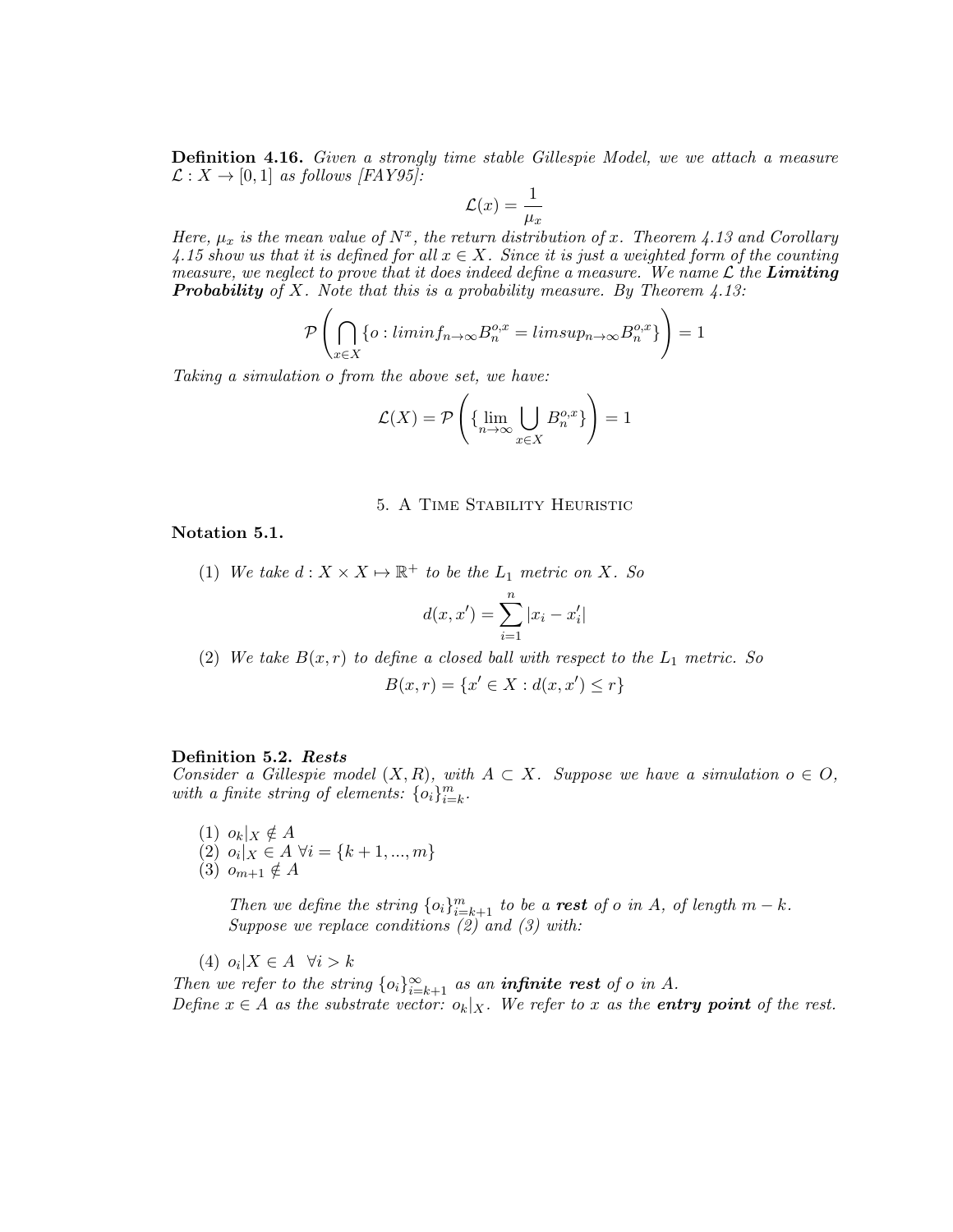**Definition 4.16.** Given a strongly time stable Gillespie Model, we we attach a measure  $\mathcal{L}: X \to [0,1]$  as follows [FAY95]:

$$
\mathcal{L}(x) = \frac{1}{\mu_x}
$$

Here,  $\mu_x$  is the mean value of  $N^x$ , the return distribution of x. Theorem 4.13 and Corollary 4.15 show us that it is defined for all  $x \in X$ . Since it is just a weighted form of the counting measure, we neglect to prove that it does indeed define a measure. We name  $\mathcal L$  the **Limiting Probability** of X. Note that this is a probability measure. By Theorem  $4.13$ :

$$
\mathcal{P}\left(\bigcap_{x\in X} \{o: \liminf_{n\to\infty} B_n^{o,x} = \limsup_{n\to\infty} B_n^{o,x}\}\right) = 1
$$

Taking a simulation o from the above set, we have:

$$
\mathcal{L}(X) = \mathcal{P}\left(\{\lim_{n \to \infty} \bigcup_{x \in X} B_n^{o,x}\}\right) = 1
$$

#### 5. A Time Stability Heuristic

Notation 5.1.

(1) We take  $d: X \times X \mapsto \mathbb{R}^+$  to be the  $L_1$  metric on X. So

$$
d(x, x') = \sum_{i=1}^{n} |x_i - x'_i|
$$

(2) We take  $B(x,r)$  to define a closed ball with respect to the  $L_1$  metric. So

$$
B(x,r) = \{x' \in X : d(x, x') \le r\}
$$

#### Definition 5.2. Rests

Consider a Gillespie model  $(X, R)$ , with  $A \subset X$ . Suppose we have a simulation  $o \in O$ , with a finite string of elements:  $\{o_i\}_{i=k}^m$ .

 $(1)$   $o_k|_X \notin A$ (2)  $o_i |_X \in A \ \forall i = \{k+1, ..., m\}$ 

(3)  $o_{m+1} \notin A$ 

Then we define the string  $\{o_i\}_{i=k+1}^m$  to be a **rest** of o in A, of length  $m - k$ . Suppose we replace conditions  $(2)$  and  $(3)$  with:

(4)  $o_i | X \in A \quad \forall i > k$ 

Then we refer to the string  ${o_i}_{i=k+1}^{\infty}$  as an **infinite rest** of o in A. Define  $x \in A$  as the substrate vector:  $o_k |_X$ . We refer to x as the **entry point** of the rest.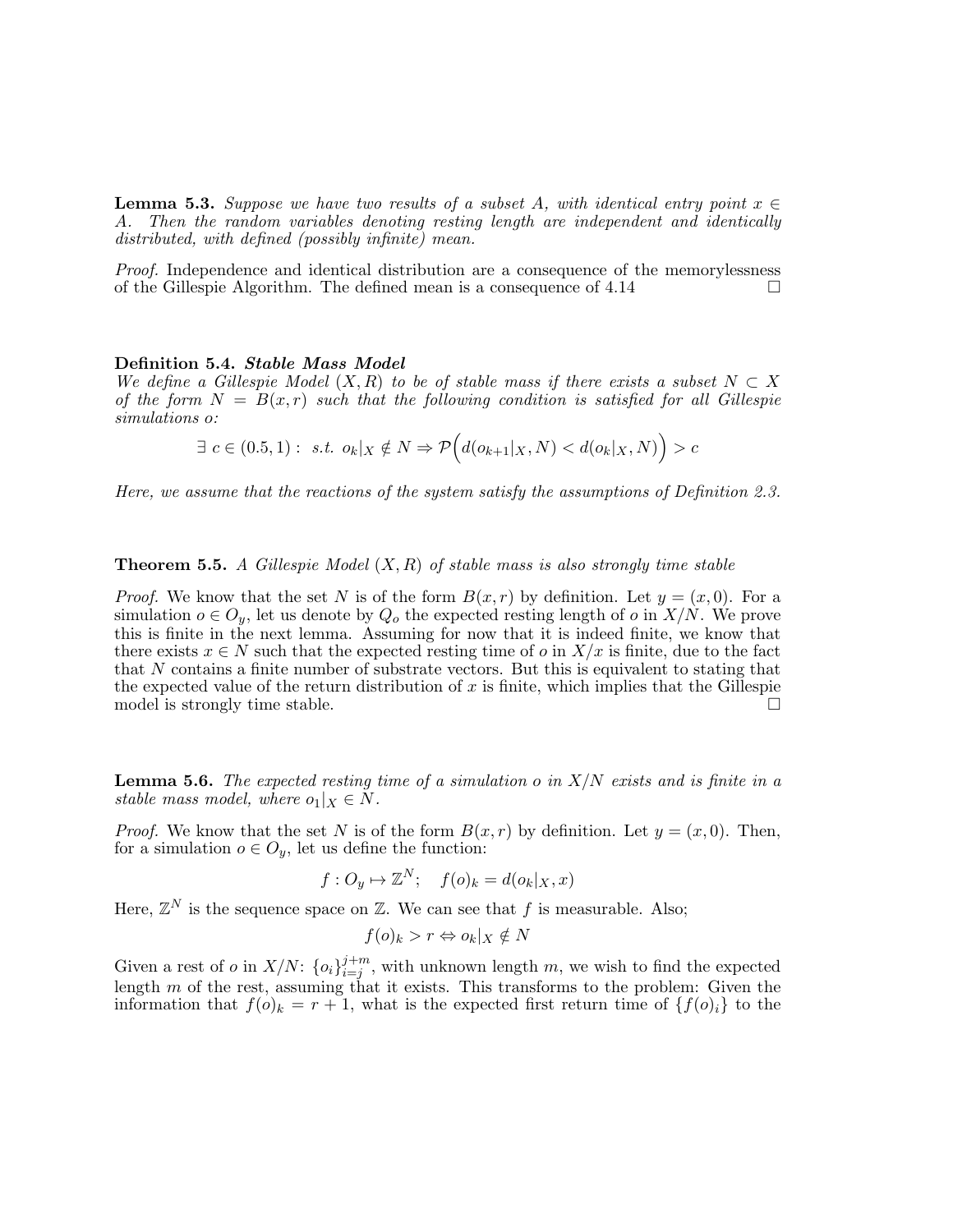**Lemma 5.3.** Suppose we have two results of a subset A, with identical entry point  $x \in$ A. Then the random variables denoting resting length are independent and identically distributed, with defined (possibly infinite) mean.

Proof. Independence and identical distribution are a consequence of the memorylessness of the Gillespie Algorithm. The defined mean is a consequence of  $4.14$ 

#### Definition 5.4. Stable Mass Model

We define a Gillespie Model  $(X, R)$  to be of stable mass if there exists a subset  $N \subset X$ of the form  $N = B(x,r)$  such that the following condition is satisfied for all Gillespie simulations o:

$$
\exists c \in (0.5, 1): s.t. \ o_k|_X \notin N \Rightarrow \mathcal{P}\Big(d(o_{k+1}|_X, N) < d(o_k|_X, N)\Big) > c
$$

Here, we assume that the reactions of the system satisfy the assumptions of Definition 2.3.

#### **Theorem 5.5.** A Gillespie Model  $(X, R)$  of stable mass is also strongly time stable

*Proof.* We know that the set N is of the form  $B(x, r)$  by definition. Let  $y = (x, 0)$ . For a simulation  $o \in O_y$ , let us denote by  $Q_o$  the expected resting length of o in  $X/N$ . We prove this is finite in the next lemma. Assuming for now that it is indeed finite, we know that there exists  $x \in N$  such that the expected resting time of o in  $X/x$  is finite, due to the fact that N contains a finite number of substrate vectors. But this is equivalent to stating that the expected value of the return distribution of  $x$  is finite, which implies that the Gillespie model is strongly time stable.  $\square$ 

**Lemma 5.6.** The expected resting time of a simulation o in  $X/N$  exists and is finite in a stable mass model, where  $o_1|_X \in N$ .

*Proof.* We know that the set N is of the form  $B(x, r)$  by definition. Let  $y = (x, 0)$ . Then, for a simulation  $o \in O_y$ , let us define the function:

$$
f: O_y \mapsto \mathbb{Z}^N
$$
;  $f(o)_k = d(o_k|_X, x)$ 

Here,  $\mathbb{Z}^N$  is the sequence space on  $\mathbb{Z}$ . We can see that f is measurable. Also;

$$
f(o)_k > r \Leftrightarrow o_k|_X \notin N
$$

Given a rest of *o* in  $X/N$ :  $\{o_i\}_{i=i}^{j+m}$  $i=j^{m}$ , with unknown length m, we wish to find the expected length  $m$  of the rest, assuming that it exists. This transforms to the problem: Given the information that  $f(o)_k = r + 1$ , what is the expected first return time of  $\{f(o)_i\}$  to the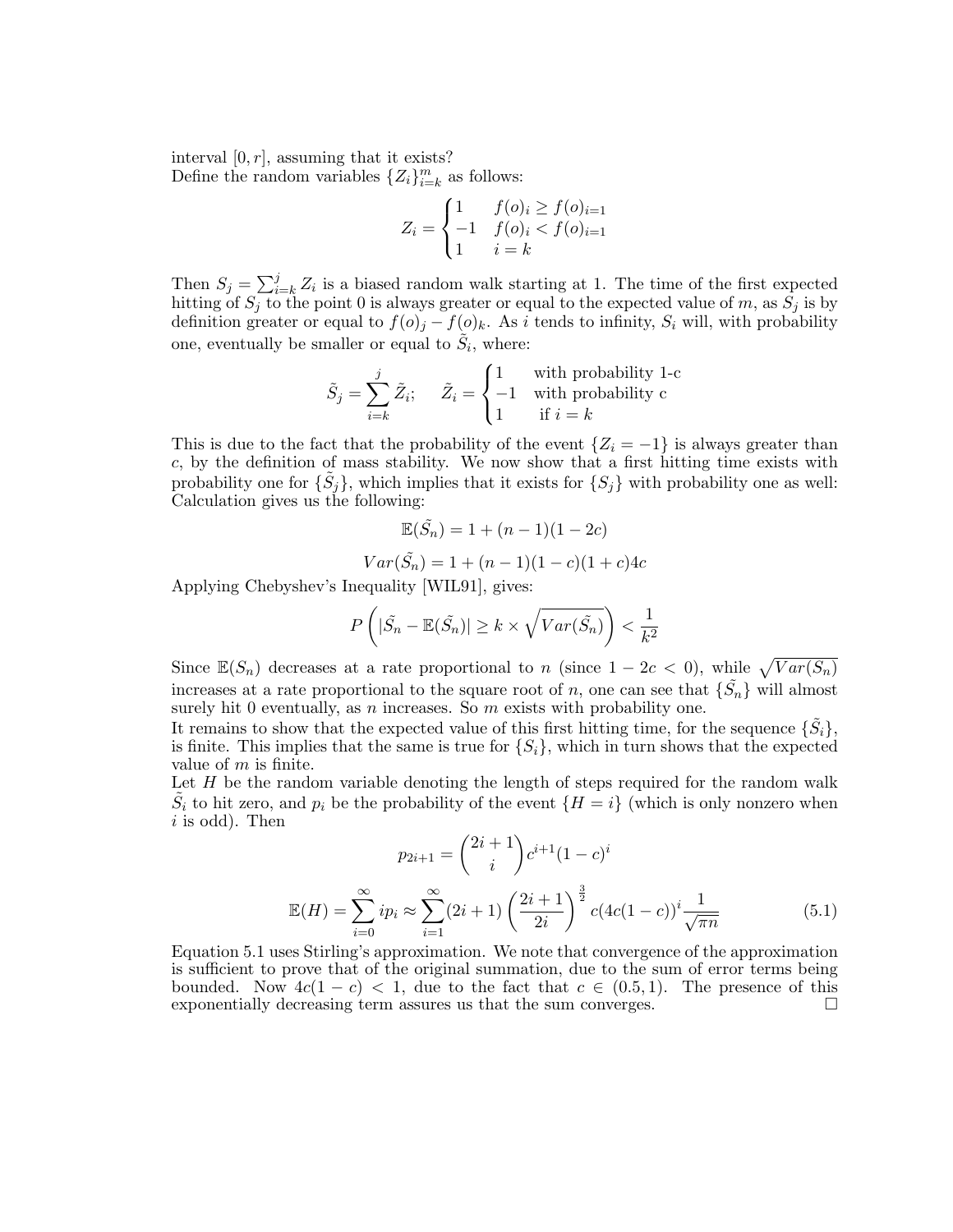interval  $[0, r]$ , assuming that it exists? Define the random variables  $\{Z_i\}_{i=k}^m$  as follows:

$$
Z_i = \begin{cases} 1 & f(o)_i \ge f(o)_{i=1} \\ -1 & f(o)_i < f(o)_{i=1} \\ 1 & i=k \end{cases}
$$

Then  $S_j = \sum_{i=k}^j Z_i$  is a biased random walk starting at 1. The time of the first expected hitting of  $S_j$  to the point 0 is always greater or equal to the expected value of m, as  $S_j$  is by definition greater or equal to  $f(o)_j - f(o)_k$ . As i tends to infinity,  $S_i$  will, with probability one, eventually be smaller or equal to  $\tilde{S}_i$ , where:

$$
\tilde{S}_j = \sum_{i=k}^j \tilde{Z}_i; \quad \tilde{Z}_i = \begin{cases} 1 & \text{with probability 1-c} \\ -1 & \text{with probability c} \\ 1 & \text{if } i = k \end{cases}
$$

This is due to the fact that the probability of the event  $\{Z_i = -1\}$  is always greater than c, by the definition of mass stability. We now show that a first hitting time exists with probability one for  $\{\tilde{S}_j\}$ , which implies that it exists for  $\{S_j\}$  with probability one as well: Calculation gives us the following:

$$
\mathbb{E}(\tilde{S}_n) = 1 + (n-1)(1-2c)
$$

$$
Var(\tilde{S}_n) = 1 + (n - 1)(1 - c)(1 + c)4c
$$

Applying Chebyshev's Inequality [WIL91], gives:

$$
P\left(|\tilde{S}_n - \mathbb{E}(\tilde{S}_n)| \ge k \times \sqrt{Var(\tilde{S}_n)}\right) < \frac{1}{k^2}
$$

Since  $\mathbb{E}(S_n)$  decreases at a rate proportional to n (since  $1-2c < 0$ ), while  $\sqrt{Var(S_n)}$ increases at a rate proportional to the square root of n, one can see that  $\{\tilde{S}_n\}$  will almost surely hit 0 eventually, as  $n$  increases. So  $m$  exists with probability one.

It remains to show that the expected value of this first hitting time, for the sequence  $\{\tilde{S}_i\},$ is finite. This implies that the same is true for  $\{S_i\}$ , which in turn shows that the expected value of  $m$  is finite.

Let  $H$  be the random variable denoting the length of steps required for the random walk  $\tilde{S}_i$  to hit zero, and  $p_i$  be the probability of the event  $\{H = i\}$  (which is only nonzero when  $i$  is odd). Then

$$
p_{2i+1} = {2i+1 \choose i} c^{i+1} (1-c)^i
$$

$$
\mathbb{E}(H) = \sum_{i=0}^{\infty} i p_i \approx \sum_{i=1}^{\infty} (2i+1) \left(\frac{2i+1}{2i}\right)^{\frac{3}{2}} c (4c(1-c))^i \frac{1}{\sqrt{\pi n}}
$$
(5.1)

Equation 5.1 uses Stirling's approximation. We note that convergence of the approximation is sufficient to prove that of the original summation, due to the sum of error terms being bounded. Now  $4c(1-c) < 1$ , due to the fact that  $c \in (0.5, 1)$ . The presence of this exponentially decreasing term assures us that the sum converges.  $\Box$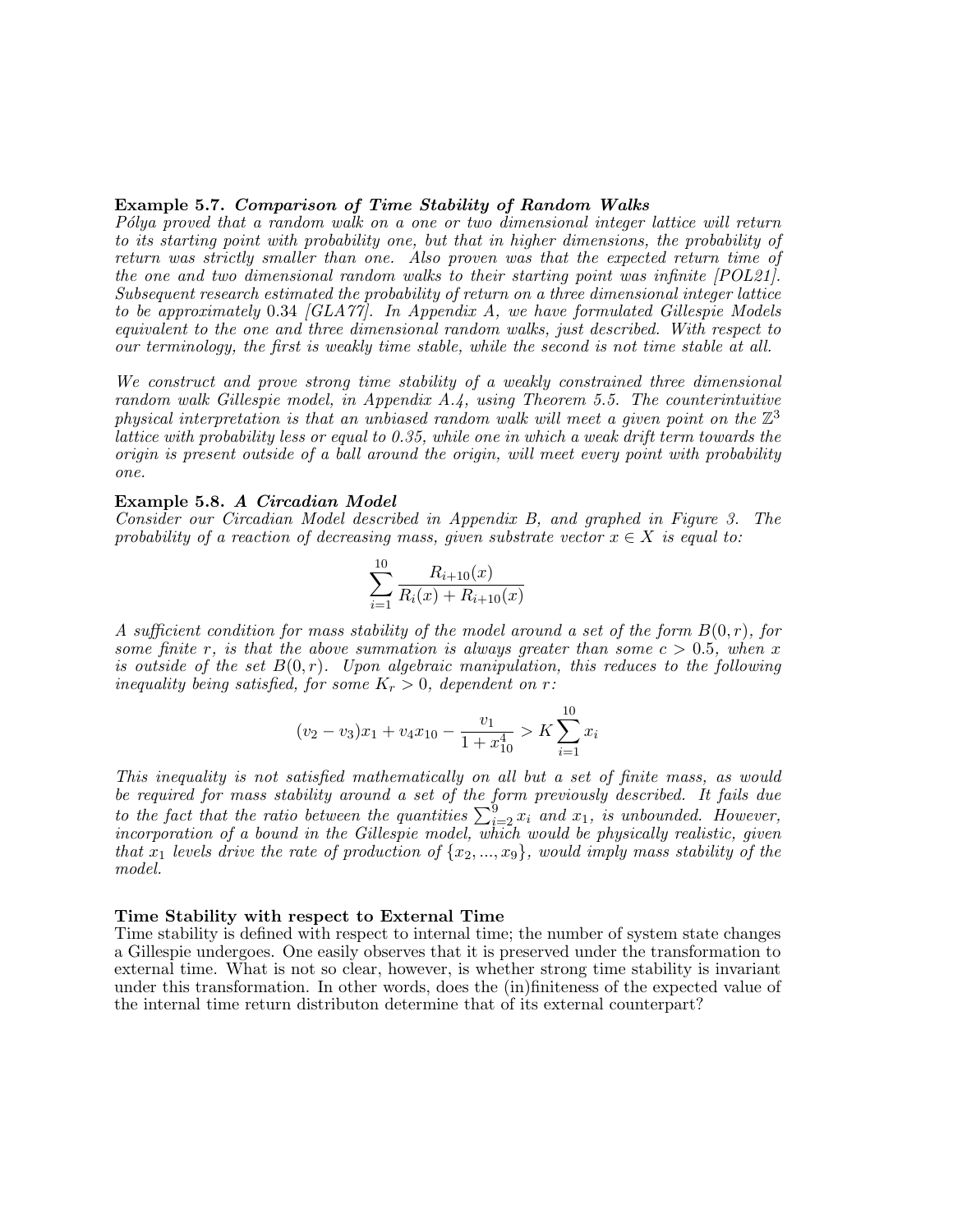### Example 5.7. Comparison of Time Stability of Random Walks

P'olya proved that a random walk on a one or two dimensional integer lattice will return to its starting point with probability one, but that in higher dimensions, the probability of return was strictly smaller than one. Also proven was that the expected return time of the one and two dimensional random walks to their starting point was infinite [POL21]. Subsequent research estimated the probability of return on a three dimensional integer lattice to be approximately 0.34 [GLA77]. In Appendix A, we have formulated Gillespie Models equivalent to the one and three dimensional random walks, just described. With respect to our terminology, the first is weakly time stable, while the second is not time stable at all.

We construct and prove strong time stability of a weakly constrained three dimensional random walk Gillespie model, in Appendix A.4, using Theorem 5.5. The counterintuitive physical interpretation is that an unbiased random walk will meet a given point on the  $\mathbb{Z}^3$ lattice with probability less or equal to 0.35, while one in which a weak drift term towards the origin is present outside of a ball around the origin, will meet every point with probability one.

#### Example 5.8. A Circadian Model

Consider our Circadian Model described in Appendix B, and graphed in Figure 3. The probability of a reaction of decreasing mass, given substrate vector  $x \in X$  is equal to:

$$
\sum_{i=1}^{10} \frac{R_{i+10}(x)}{R_i(x) + R_{i+10}(x)}
$$

A sufficient condition for mass stability of the model around a set of the form  $B(0,r)$ , for some finite r, is that the above summation is always greater than some  $c > 0.5$ , when x is outside of the set  $B(0,r)$ . Upon algebraic manipulation, this reduces to the following inequality being satisfied, for some  $K_r > 0$ , dependent on r:

$$
(v_2 - v_3)x_1 + v_4x_{10} - \frac{v_1}{1 + x_{10}^4} > K \sum_{i=1}^{10} x_i
$$

This inequality is not satisfied mathematically on all but a set of finite mass, as would be required for mass stability around a set of the form previously described. It fails due to the fact that the ratio between the quantities  $\sum_{i=2}^{9} x_i$  and  $x_1$ , is unbounded. However, incorporation of a bound in the Gillespie model, which would be physically realistic, given that  $x_1$  levels drive the rate of production of  $\{x_2, ..., x_9\}$ , would imply mass stability of the model.

#### Time Stability with respect to External Time

Time stability is defined with respect to internal time; the number of system state changes a Gillespie undergoes. One easily observes that it is preserved under the transformation to external time. What is not so clear, however, is whether strong time stability is invariant under this transformation. In other words, does the (in)finiteness of the expected value of the internal time return distributon determine that of its external counterpart?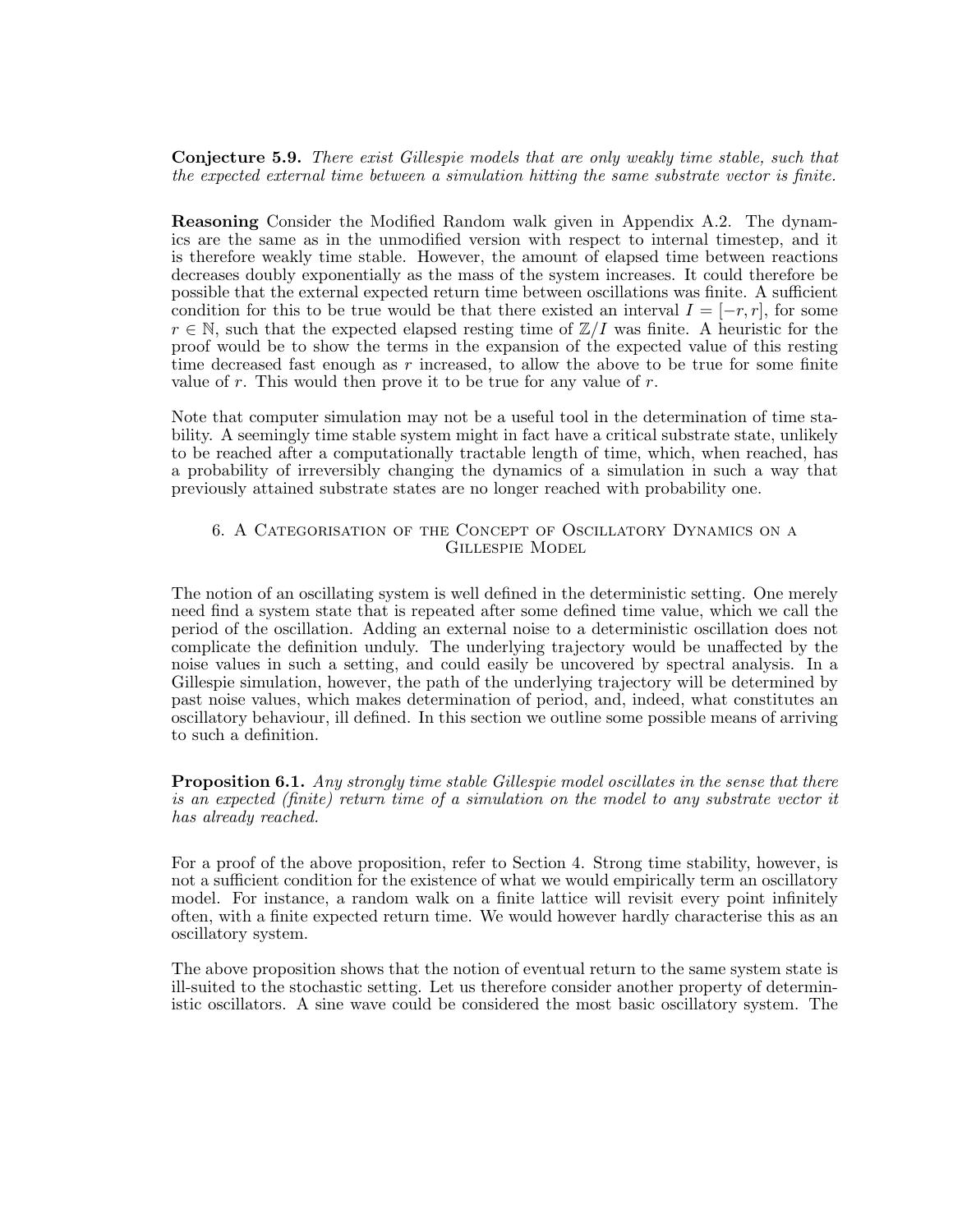Conjecture 5.9. There exist Gillespie models that are only weakly time stable, such that the expected external time between a simulation hitting the same substrate vector is finite.

Reasoning Consider the Modified Random walk given in Appendix A.2. The dynamics are the same as in the unmodified version with respect to internal timestep, and it is therefore weakly time stable. However, the amount of elapsed time between reactions decreases doubly exponentially as the mass of the system increases. It could therefore be possible that the external expected return time between oscillations was finite. A sufficient condition for this to be true would be that there existed an interval  $I = [-r, r]$ , for some  $r \in \mathbb{N}$ , such that the expected elapsed resting time of  $\mathbb{Z}/I$  was finite. A heuristic for the proof would be to show the terms in the expansion of the expected value of this resting time decreased fast enough as r increased, to allow the above to be true for some finite value of  $r$ . This would then prove it to be true for any value of  $r$ .

Note that computer simulation may not be a useful tool in the determination of time stability. A seemingly time stable system might in fact have a critical substrate state, unlikely to be reached after a computationally tractable length of time, which, when reached, has a probability of irreversibly changing the dynamics of a simulation in such a way that previously attained substrate states are no longer reached with probability one.

### 6. A Categorisation of the Concept of Oscillatory Dynamics on a Gillespie Model

The notion of an oscillating system is well defined in the deterministic setting. One merely need find a system state that is repeated after some defined time value, which we call the period of the oscillation. Adding an external noise to a deterministic oscillation does not complicate the definition unduly. The underlying trajectory would be unaffected by the noise values in such a setting, and could easily be uncovered by spectral analysis. In a Gillespie simulation, however, the path of the underlying trajectory will be determined by past noise values, which makes determination of period, and, indeed, what constitutes an oscillatory behaviour, ill defined. In this section we outline some possible means of arriving to such a definition.

**Proposition 6.1.** Any strongly time stable Gillespie model oscillates in the sense that there is an expected (finite) return time of a simulation on the model to any substrate vector it has already reached.

For a proof of the above proposition, refer to Section 4. Strong time stability, however, is not a sufficient condition for the existence of what we would empirically term an oscillatory model. For instance, a random walk on a finite lattice will revisit every point infinitely often, with a finite expected return time. We would however hardly characterise this as an oscillatory system.

The above proposition shows that the notion of eventual return to the same system state is ill-suited to the stochastic setting. Let us therefore consider another property of deterministic oscillators. A sine wave could be considered the most basic oscillatory system. The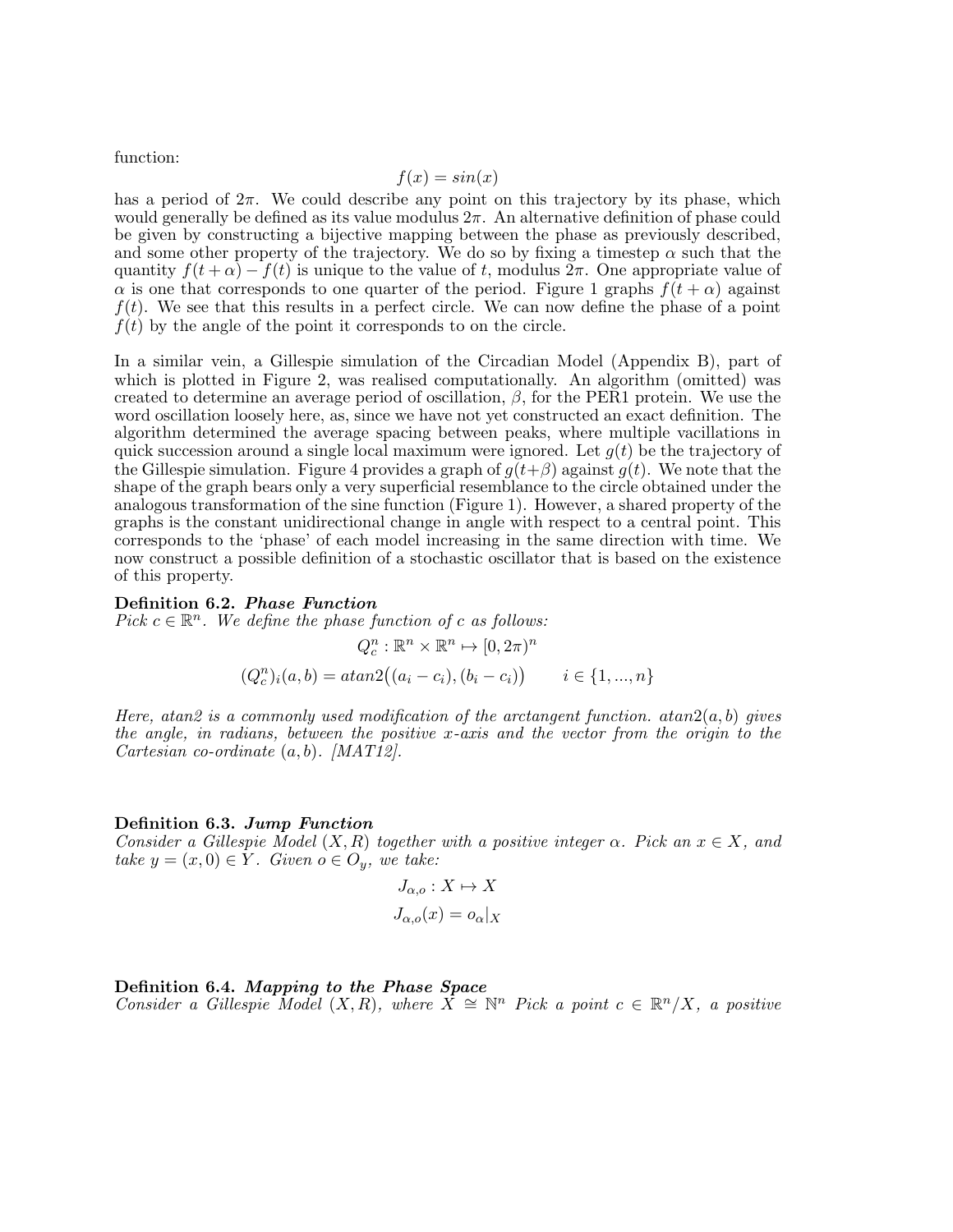function:

$$
f(x) = \sin(x)
$$

has a period of  $2\pi$ . We could describe any point on this trajectory by its phase, which would generally be defined as its value modulus  $2\pi$ . An alternative definition of phase could be given by constructing a bijective mapping between the phase as previously described, and some other property of the trajectory. We do so by fixing a timestep  $\alpha$  such that the quantity  $f(t + \alpha) - f(t)$  is unique to the value of t, modulus  $2\pi$ . One appropriate value of  $\alpha$  is one that corresponds to one quarter of the period. Figure 1 graphs  $f(t + \alpha)$  against  $f(t)$ . We see that this results in a perfect circle. We can now define the phase of a point  $f(t)$  by the angle of the point it corresponds to on the circle.

In a similar vein, a Gillespie simulation of the Circadian Model (Appendix B), part of which is plotted in Figure 2, was realised computationally. An algorithm (omitted) was created to determine an average period of oscillation,  $\beta$ , for the PER1 protein. We use the word oscillation loosely here, as, since we have not yet constructed an exact definition. The algorithm determined the average spacing between peaks, where multiple vacillations in quick succession around a single local maximum were ignored. Let  $g(t)$  be the trajectory of the Gillespie simulation. Figure 4 provides a graph of  $g(t+\beta)$  against  $g(t)$ . We note that the shape of the graph bears only a very superficial resemblance to the circle obtained under the analogous transformation of the sine function (Figure 1). However, a shared property of the graphs is the constant unidirectional change in angle with respect to a central point. This corresponds to the 'phase' of each model increasing in the same direction with time. We now construct a possible definition of a stochastic oscillator that is based on the existence of this property.

#### Definition 6.2. Phase Function

Pick  $c \in \mathbb{R}^n$ . We define the phase function of c as follows:

$$
Q_c^n : \mathbb{R}^n \times \mathbb{R}^n \mapsto [0, 2\pi)^n
$$
  

$$
(Q_c^n)_i(a, b) = \operatorname{atan2}((a_i - c_i), (b_i - c_i)) \qquad i \in \{1, ..., n\}
$$

Here, atan2 is a commonly used modification of the arctangent function.  $atan2(a, b)$  gives the angle, in radians, between the positive x-axis and the vector from the origin to the Cartesian co-ordinate  $(a, b)$ . [MAT12].

#### Definition 6.3. Jump Function

Consider a Gillespie Model  $(X, R)$  together with a positive integer  $\alpha$ . Pick an  $x \in X$ , and take  $y = (x, 0) \in Y$ . Given  $o \in O_y$ , we take:

$$
J_{\alpha,o}: X \mapsto X
$$

$$
J_{\alpha,o}(x) = o_{\alpha}|_X
$$

Definition 6.4. Mapping to the Phase Space  $Consider a Gilleopic Model (X, R), where X ≅ ℕ$  Pick a point  $c ∈ ℝ<sup>n</sup>/X$ , a positive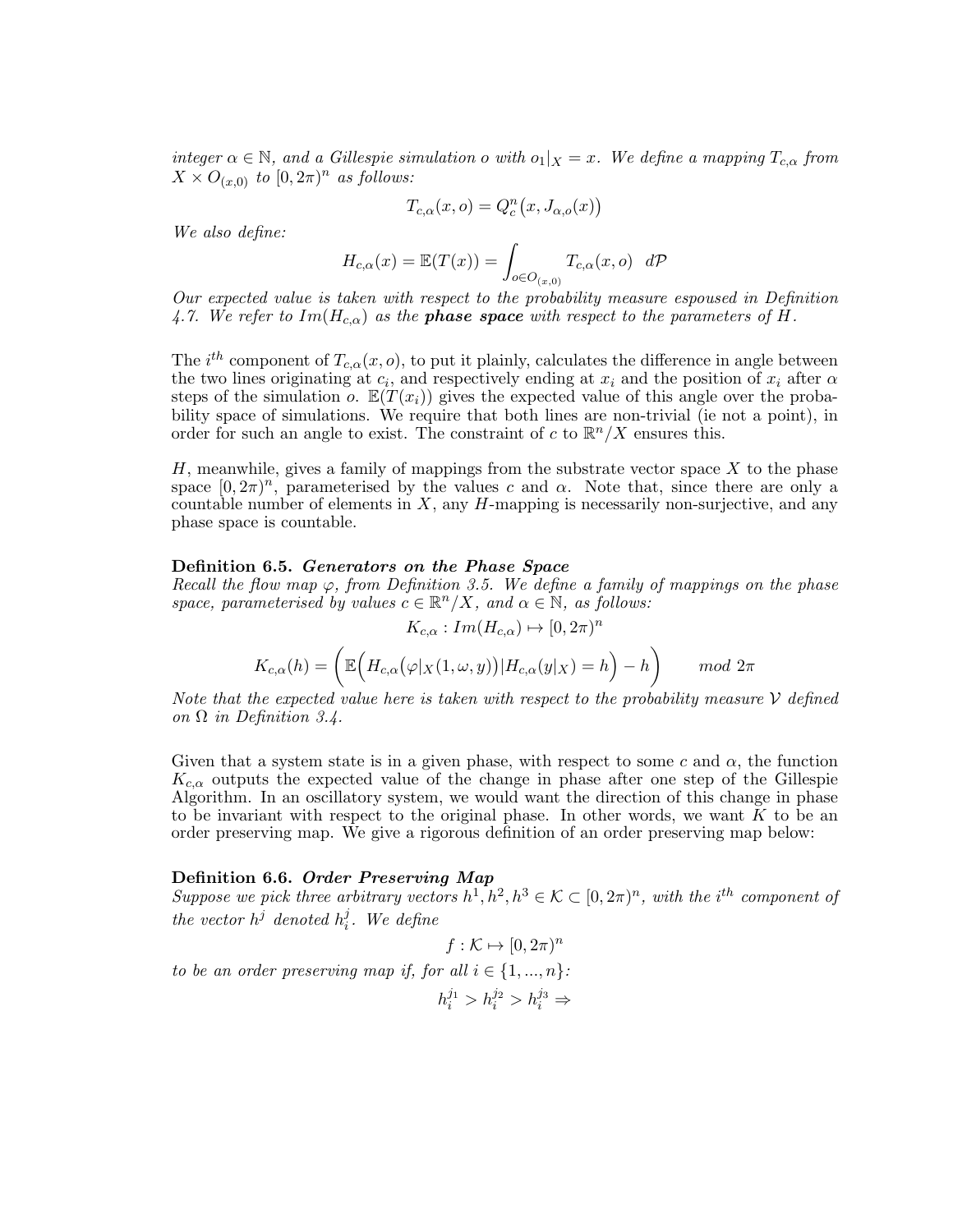integer  $\alpha \in \mathbb{N}$ , and a Gillespie simulation o with  $o_1|_X = x$ . We define a mapping  $T_{c,\alpha}$  from  $X \times O_{(x,0)}$  to  $[0,2\pi)^n$  as follows:

$$
T_{c,\alpha}(x,o) = Q_c^n(x, J_{\alpha,o}(x))
$$

We also define:

$$
H_{c,\alpha}(x) = \mathbb{E}(T(x)) = \int_{o \in O_{(x,0)}} T_{c,\alpha}(x,o) \ d\mathcal{P}
$$

Our expected value is taken with respect to the probability measure espoused in Definition 4.7. We refer to  $Im(H_{c,\alpha})$  as the **phase space** with respect to the parameters of H.

The  $i^{th}$  component of  $T_{c,\alpha}(x, o)$ , to put it plainly, calculates the difference in angle between the two lines originating at  $c_i$ , and respectively ending at  $x_i$  and the position of  $x_i$  after  $\alpha$ steps of the simulation o.  $\mathbb{E}(T(x_i))$  gives the expected value of this angle over the probability space of simulations. We require that both lines are non-trivial (ie not a point), in order for such an angle to exist. The constraint of c to  $\mathbb{R}^n/X$  ensures this.

 $H$ , meanwhile, gives a family of mappings from the substrate vector space  $X$  to the phase space  $[0, 2\pi)^n$ , parameterised by the values c and  $\alpha$ . Note that, since there are only a countable number of elements in  $X$ , any  $H$ -mapping is necessarily non-surjective, and any phase space is countable.

#### Definition 6.5. Generators on the Phase Space

Recall the flow map  $\varphi$ , from Definition 3.5. We define a family of mappings on the phase space, parameterised by values  $c \in \mathbb{R}^n / X$ , and  $\alpha \in \mathbb{N}$ , as follows:

$$
K_{c,\alpha}: Im(H_{c,\alpha}) \mapsto [0,2\pi)^n
$$

$$
K_{c,\alpha}(h) = \left( \mathbb{E}\Big(H_{c,\alpha}(\varphi|_X(1,\omega,y))|H_{c,\alpha}(y|_X) = h \Big) - h \right) \qquad mod \ 2\pi
$$

Note that the expected value here is taken with respect to the probability measure  $\mathcal V$  defined on  $\Omega$  in Definition 3.4.

Given that a system state is in a given phase, with respect to some c and  $\alpha$ , the function  $K_{c,\alpha}$  outputs the expected value of the change in phase after one step of the Gillespie Algorithm. In an oscillatory system, we would want the direction of this change in phase to be invariant with respect to the original phase. In other words, we want  $K$  to be an order preserving map. We give a rigorous definition of an order preserving map below:

#### Definition 6.6. Order Preserving Map

Suppose we pick three arbitrary vectors  $h^1, h^2, h^3 \in \mathcal{K} \subset [0, 2\pi)^n$ , with the i<sup>th</sup> component of the vector  $h^j$  denoted  $h_i^j$  $\frac{j}{i}$ . We define

$$
f: \mathcal{K} \mapsto [0, 2\pi)^n
$$

to be an order preserving map if, for all  $i \in \{1, ..., n\}$ :

 $h_i^{j_1} > h_i^{j_2} > h_i^{j_3} \Rightarrow$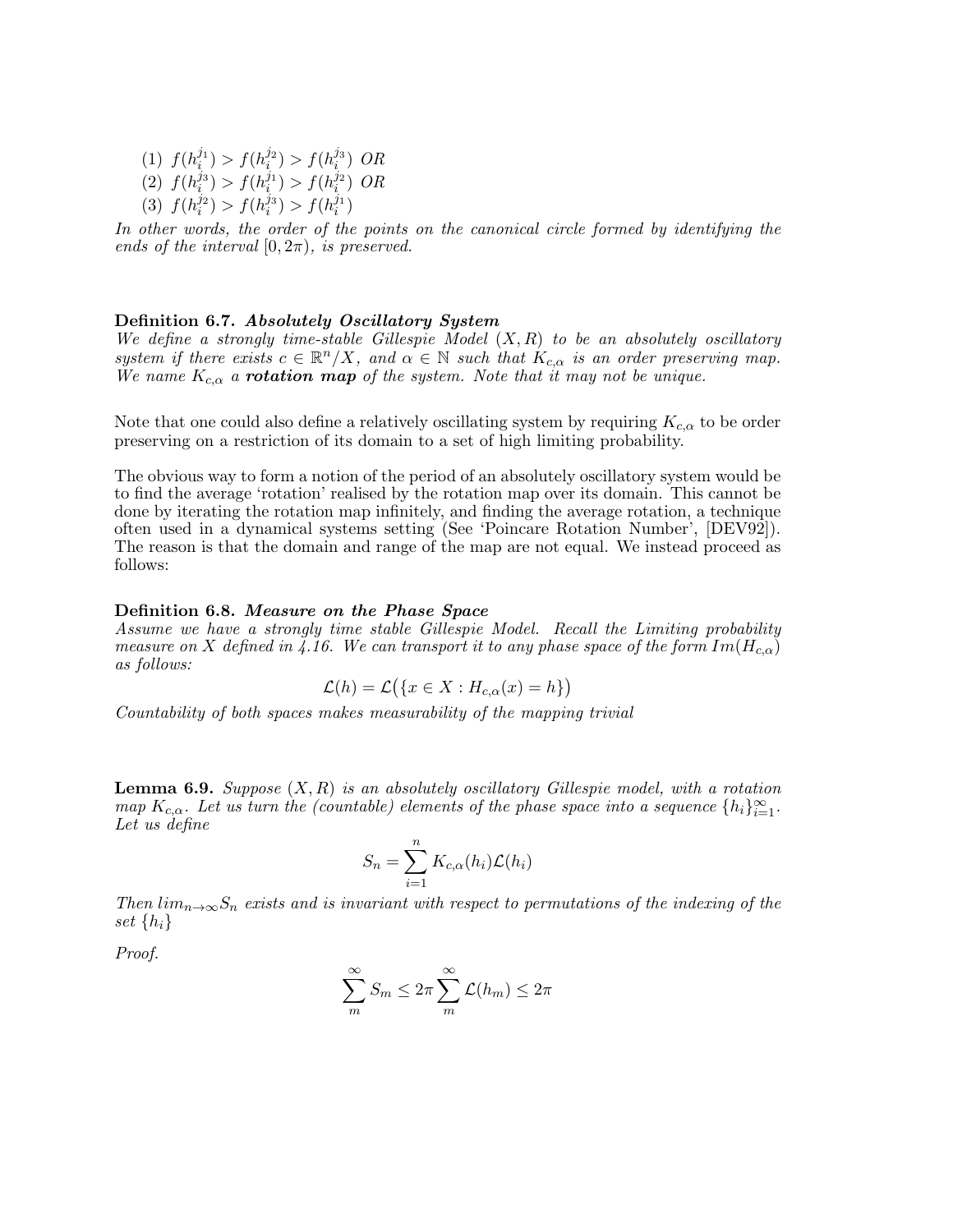(1)  $f(h_i^{j_1}) > f(h_i^{j_2}) > f(h_i^{j_3})$  OR (2)  $f(h_i^{j_3}) > f(h_i^{j_1}) > f(h_i^{j_2})$  OR (3)  $f(h_i^{j_2}) > f(h_i^{j_3}) > f(h_i^{j_1})$ 

In other words, the order of the points on the canonical circle formed by identifying the ends of the interval  $[0, 2\pi)$ , is preserved.

#### Definition 6.7. Absolutely Oscillatory System

We define a strongly time-stable Gillespie Model  $(X, R)$  to be an absolutely oscillatory system if there exists  $c \in \mathbb{R}^n / X$ , and  $\alpha \in \mathbb{N}$  such that  $K_{c,\alpha}$  is an order preserving map. We name  $K_{c,\alpha}$  a **rotation map** of the system. Note that it may not be unique.

Note that one could also define a relatively oscillating system by requiring  $K_{c,\alpha}$  to be order preserving on a restriction of its domain to a set of high limiting probability.

The obvious way to form a notion of the period of an absolutely oscillatory system would be to find the average 'rotation' realised by the rotation map over its domain. This cannot be done by iterating the rotation map infinitely, and finding the average rotation, a technique often used in a dynamical systems setting (See 'Poincare Rotation Number', [DEV92]). The reason is that the domain and range of the map are not equal. We instead proceed as follows:

#### Definition 6.8. Measure on the Phase Space

Assume we have a strongly time stable Gillespie Model. Recall the Limiting probability measure on X defined in 4.16. We can transport it to any phase space of the form  $Im(H_{c,\alpha})$ as follows:

$$
\mathcal{L}(h) = \mathcal{L}(\{x \in X : H_{c,\alpha}(x) = h\})
$$

Countability of both spaces makes measurability of the mapping trivial

**Lemma 6.9.** Suppose  $(X, R)$  is an absolutely oscillatory Gillespie model, with a rotation map  $K_{c,\alpha}$ . Let us turn the (countable) elements of the phase space into a sequence  $\{h_i\}_{i=1}^{\infty}$ . Let us define

$$
S_n = \sum_{i=1}^n K_{c,\alpha}(h_i) \mathcal{L}(h_i)
$$

Then  $\lim_{n\to\infty}S_n$  exists and is invariant with respect to permutations of the indexing of the set  $\{h_i\}$ 

Proof.

$$
\sum_{m}^{\infty} S_m \le 2\pi \sum_{m}^{\infty} \mathcal{L}(h_m) \le 2\pi
$$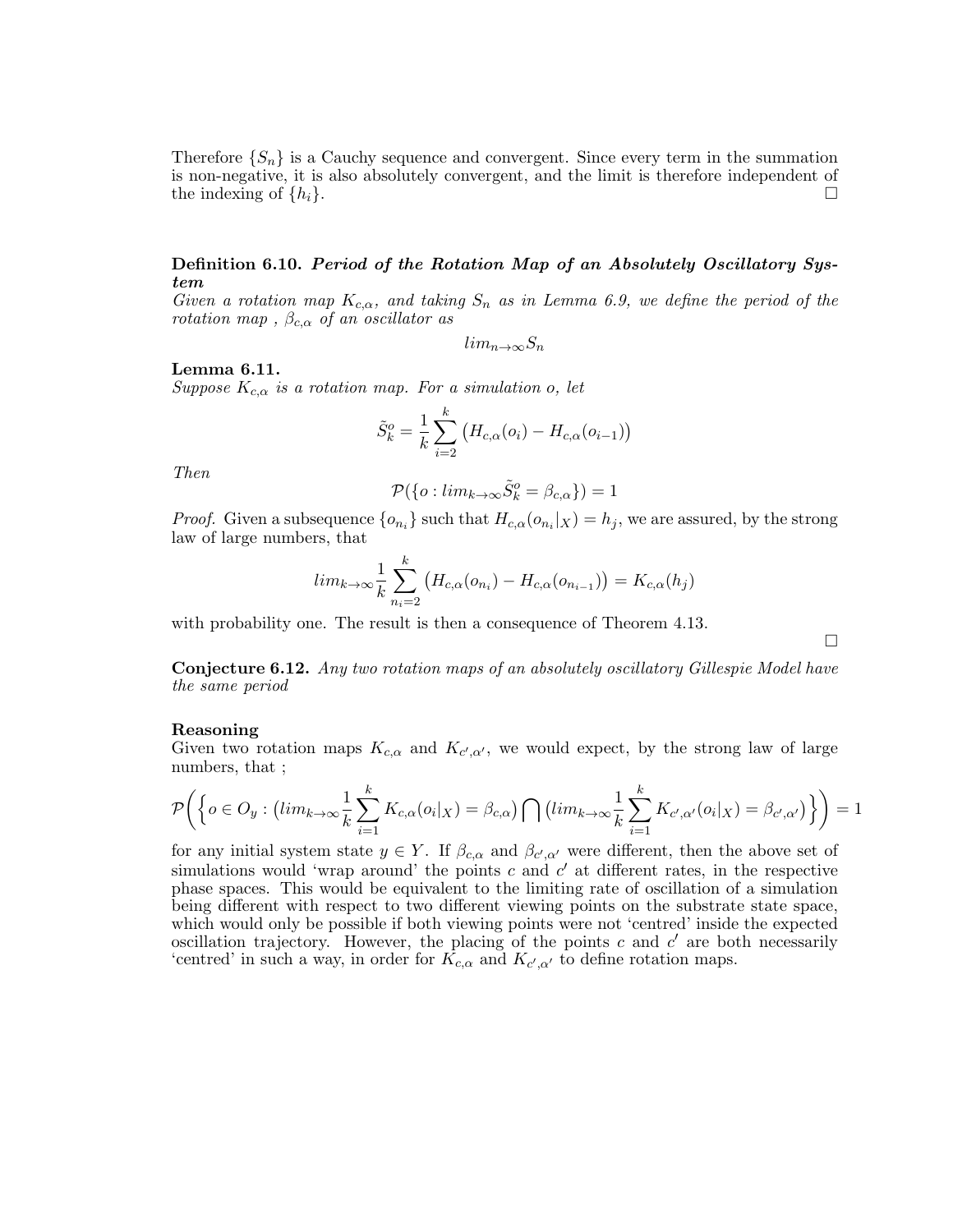Therefore  $\{S_n\}$  is a Cauchy sequence and convergent. Since every term in the summation is non-negative, it is also absolutely convergent, and the limit is therefore independent of the indexing of  $\{h_i\}$ .

### Definition 6.10. Period of the Rotation Map of an Absolutely Oscillatory System

Given a rotation map  $K_{c,\alpha}$ , and taking  $S_n$  as in Lemma 6.9, we define the period of the rotation map,  $\beta_{c,\alpha}$  of an oscillator as

 $lim_{n\rightarrow\infty}S_n$ 

### Lemma 6.11.

Suppose  $K_{c,\alpha}$  is a rotation map. For a simulation o, let

$$
\tilde{S}_{k}^{o} = \frac{1}{k} \sum_{i=2}^{k} (H_{c,\alpha}(o_{i}) - H_{c,\alpha}(o_{i-1}))
$$

Then

$$
\mathcal{P}(\{o: \lim_{k \to \infty} \tilde{S}_k^o = \beta_{c,\alpha}\}) = 1
$$

*Proof.* Given a subsequence  $\{o_{n_i}\}\$  such that  $H_{c,\alpha}(o_{n_i}|X) = h_j$ , we are assured, by the strong law of large numbers, that

$$
lim_{k \to \infty} \frac{1}{k} \sum_{n_i=2}^{k} (H_{c,\alpha}(o_{n_i}) - H_{c,\alpha}(o_{n_{i-1}})) = K_{c,\alpha}(h_j)
$$

with probability one. The result is then a consequence of Theorem 4.13.

 $\Box$ 

Conjecture 6.12. Any two rotation maps of an absolutely oscillatory Gillespie Model have the same period

#### Reasoning

Given two rotation maps  $K_{c,\alpha}$  and  $K_{c',\alpha'}$ , we would expect, by the strong law of large numbers, that ;

$$
\mathcal{P}\bigg(\bigg\{o\in O_y: \big(lim_{k\to\infty}\frac{1}{k}\sum_{i=1}^k K_{c,\alpha}(o_i|x) = \beta_{c,\alpha}\big)\bigcap \big(lim_{k\to\infty}\frac{1}{k}\sum_{i=1}^k K_{c',\alpha'}(o_i|x) = \beta_{c',\alpha'}\big)\bigg\}\bigg) = 1
$$

for any initial system state  $y \in Y$ . If  $\beta_{c,\alpha}$  and  $\beta_{c',\alpha'}$  were different, then the above set of simulations would 'wrap around' the points c and  $c'$  at different rates, in the respective phase spaces. This would be equivalent to the limiting rate of oscillation of a simulation being different with respect to two different viewing points on the substrate state space, which would only be possible if both viewing points were not 'centred' inside the expected oscillation trajectory. However, the placing of the points c and  $c'$  are both necessarily 'centred' in such a way, in order for  $K_{c,\alpha}$  and  $K_{c',\alpha'}$  to define rotation maps.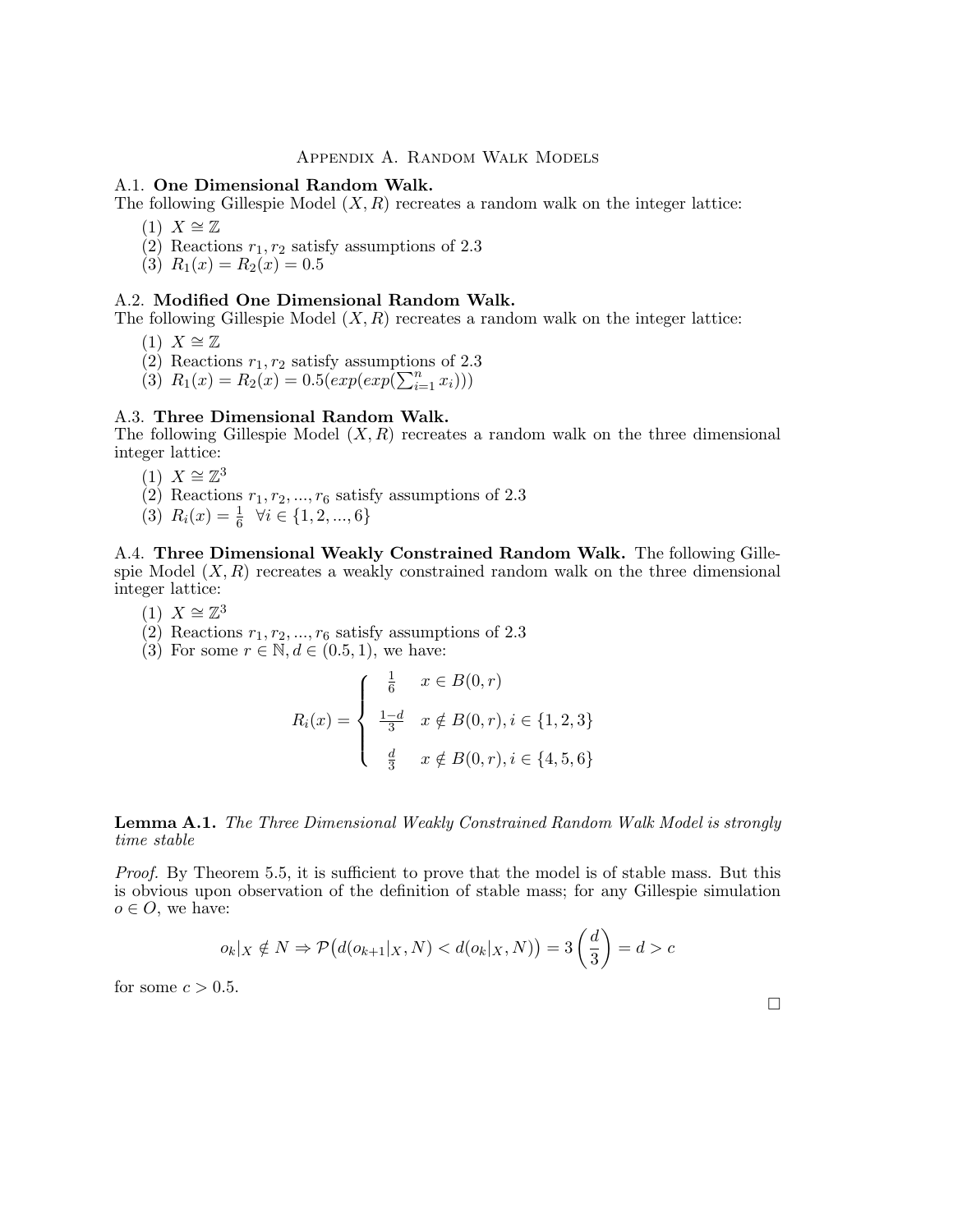### Appendix A. Random Walk Models

#### A.1. One Dimensional Random Walk.

The following Gillespie Model  $(X, R)$  recreates a random walk on the integer lattice:

- $(1)$   $X \cong \mathbb{Z}$
- (2) Reactions  $r_1, r_2$  satisfy assumptions of 2.3
- (3)  $R_1(x) = R_2(x) = 0.5$

### A.2. Modified One Dimensional Random Walk.

The following Gillespie Model  $(X, R)$  recreates a random walk on the integer lattice:

- $(1)$   $X \cong \mathbb{Z}$
- (2) Reactions  $r_1, r_2$  satisfy assumptions of 2.3
- (3)  $R_1(x) = R_2(x) = 0.5(exp(exp(\sum_{i=1}^n x_i)))$

#### A.3. Three Dimensional Random Walk.

The following Gillespie Model  $(X, R)$  recreates a random walk on the three dimensional integer lattice:

- $(1)$   $X \cong \mathbb{Z}^3$
- (2) Reactions  $r_1, r_2, \ldots, r_6$  satisfy assumptions of 2.3
- (3)  $R_i(x) = \frac{1}{6} \quad \forall i \in \{1, 2, ..., 6\}$

A.4. Three Dimensional Weakly Constrained Random Walk. The following Gillespie Model  $(X, R)$  recreates a weakly constrained random walk on the three dimensional integer lattice:

- (1)  $X \cong \mathbb{Z}^3$
- (2) Reactions  $r_1, r_2, ..., r_6$  satisfy assumptions of 2.3
- (3) For some  $r \in \mathbb{N}, d \in (0.5, 1)$ , we have:

$$
R_i(x) = \begin{cases} \frac{1}{6} & x \in B(0, r) \\ \frac{1-d}{3} & x \notin B(0, r), i \in \{1, 2, 3\} \\ \frac{d}{3} & x \notin B(0, r), i \in \{4, 5, 6\} \end{cases}
$$

### Lemma A.1. The Three Dimensional Weakly Constrained Random Walk Model is strongly time stable

Proof. By Theorem 5.5, it is sufficient to prove that the model is of stable mass. But this is obvious upon observation of the definition of stable mass; for any Gillespie simulation  $o \in O$ , we have:

$$
o_k|_X \notin N \Rightarrow \mathcal{P}\big(d(o_{k+1}|_X, N) < d(o_k|_X, N)\big) = 3\left(\frac{d}{3}\right) = d > c
$$

for some  $c > 0.5$ .

 $\Box$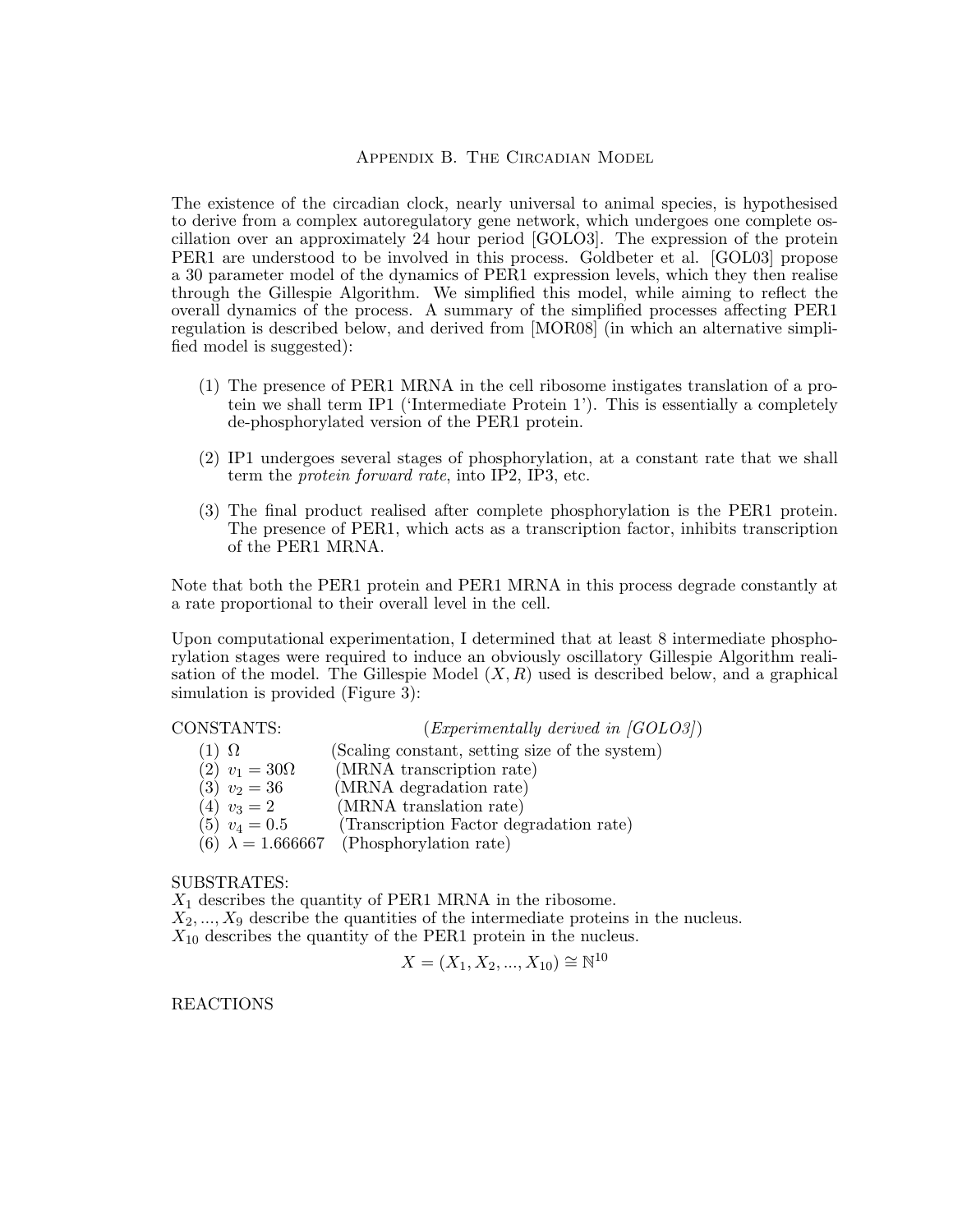### Appendix B. The Circadian Model

The existence of the circadian clock, nearly universal to animal species, is hypothesised to derive from a complex autoregulatory gene network, which undergoes one complete oscillation over an approximately 24 hour period [GOLO3]. The expression of the protein PER1 are understood to be involved in this process. Goldbeter et al. [GOL03] propose a 30 parameter model of the dynamics of PER1 expression levels, which they then realise through the Gillespie Algorithm. We simplified this model, while aiming to reflect the overall dynamics of the process. A summary of the simplified processes affecting PER1 regulation is described below, and derived from [MOR08] (in which an alternative simplified model is suggested):

- (1) The presence of PER1 MRNA in the cell ribosome instigates translation of a protein we shall term IP1 ('Intermediate Protein 1'). This is essentially a completely de-phosphorylated version of the PER1 protein.
- (2) IP1 undergoes several stages of phosphorylation, at a constant rate that we shall term the protein forward rate, into IP2, IP3, etc.
- (3) The final product realised after complete phosphorylation is the PER1 protein. The presence of PER1, which acts as a transcription factor, inhibits transcription of the PER1 MRNA.

Note that both the PER1 protein and PER1 MRNA in this process degrade constantly at a rate proportional to their overall level in the cell.

Upon computational experimentation, I determined that at least 8 intermediate phosphorylation stages were required to induce an obviously oscillatory Gillespie Algorithm realisation of the model. The Gillespie Model  $(X, R)$  used is described below, and a graphical simulation is provided (Figure 3):

# CONSTANTS:  $(Experimentally derived in [GOLO3])$ (1)  $\Omega$  (Scaling constant, setting size of the system) (2)  $v_1 = 30\Omega$  (MRNA transcription rate)<br>(3)  $v_2 = 36$  (MRNA degradation rate) (3)  $v_2 = 36$  (MRNA degradation rate)<br>(4)  $v_3 = 2$  (MRNA translation rate) (MRNA translation rate) (5)  $v_4 = 0.5$  (Transcription Factor degradation rate)<br>(6)  $\lambda = 1.666667$  (Phosphorylation rate) (Phosphorylation rate)

### SUBSTRATES:

 $X_1$  describes the quantity of PER1 MRNA in the ribosome.

 $X_2, \ldots, X_9$  describe the quantities of the intermediate proteins in the nucleus.  $X_{10}$  describes the quantity of the PER1 protein in the nucleus.

$$
X = (X_1, X_2, ..., X_{10}) \cong \mathbb{N}^{10}
$$

REACTIONS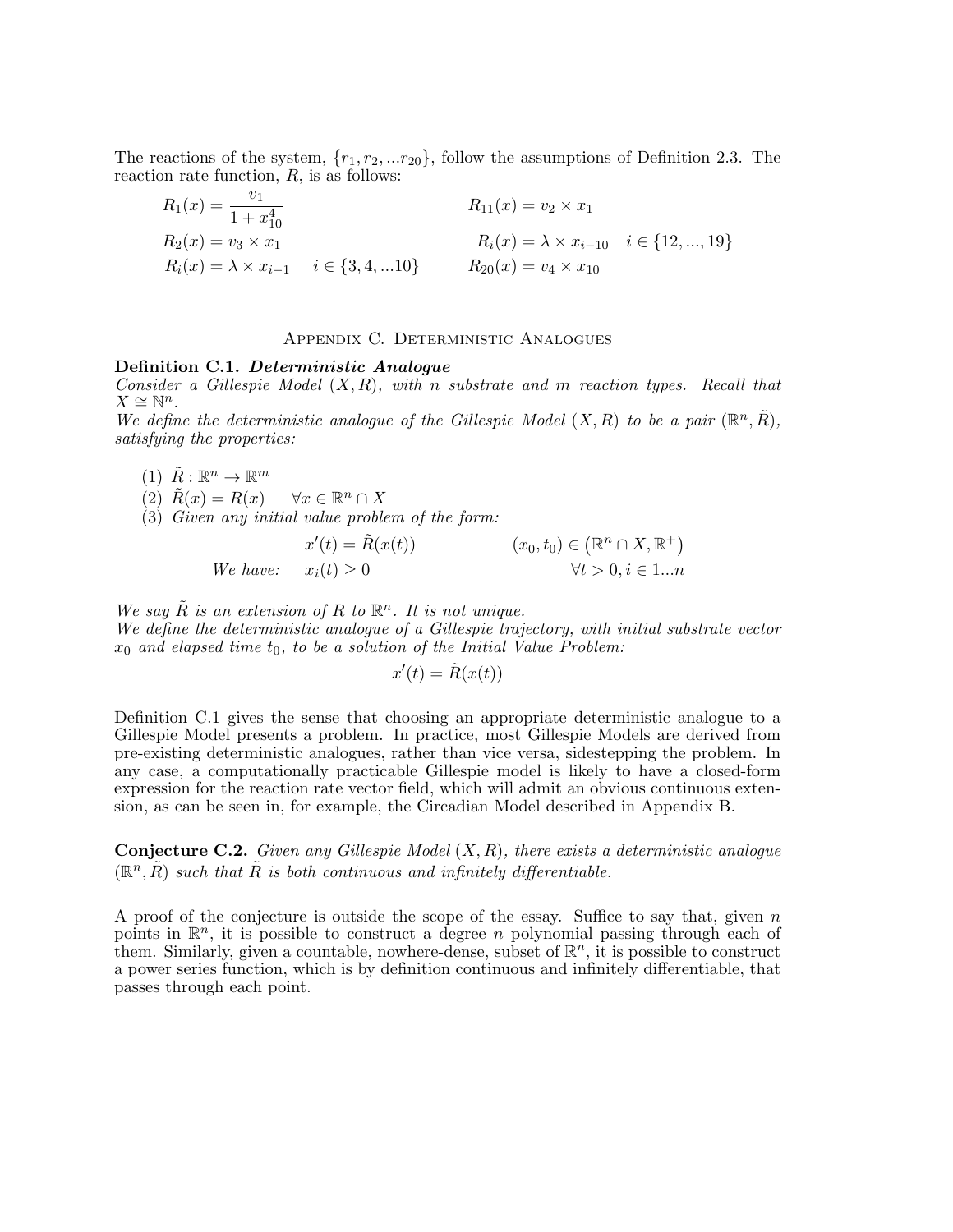The reactions of the system,  $\{r_1, r_2, ... r_{20}\}$ , follow the assumptions of Definition 2.3. The reaction rate function,  $R$ , is as follows:

$$
R_1(x) = \frac{v_1}{1 + x_{10}^4}
$$
  
\n
$$
R_2(x) = v_3 \times x_1
$$
  
\n
$$
R_i(x) = \lambda \times x_{i-1}
$$
  
\n
$$
R_i(x) = \lambda \times x_{i-1}
$$
  
\n
$$
R_i(x) = \lambda \times x_{i-10}
$$
  
\n
$$
R_1(x) = v_2 \times x_1
$$
  
\n
$$
R_i(x) = \lambda \times x_{i-10}
$$
  
\n
$$
R_2(0) = v_4 \times x_{10}
$$
  
\n
$$
R_3(x) = v_4 \times x_{10}
$$

### Appendix C. Deterministic Analogues

#### Definition C.1. Deterministic Analogue

Consider a Gillespie Model  $(X, R)$ , with n substrate and m reaction types. Recall that  $X \cong \mathbb{N}^n$ .

We define the deterministic analogue of the Gillespie Model  $(X, R)$  to be a pair  $(\mathbb{R}^n, \tilde{R})$ , satisfying the properties:

 $(1)$   $\tilde{R}: \mathbb{R}^n \to \mathbb{R}^m$ 

(2)  $\tilde{R}(x) = R(x) \quad \forall x \in \mathbb{R}^n \cap X$ 

 $(3)$  Given any initial value problem of the form:

 $x'(t) = \tilde{R}(x(t))$   $(x_0, t_0) \in$  $(\mathbb{R}^n \cap X, \mathbb{R}^+)$ We have:  $x_i(t) \geq 0$   $\forall t > 0, i \in 1...n$ 

We say  $\tilde{R}$  is an extension of R to  $\mathbb{R}^n$ . It is not unique. We define the deterministic analogue of a Gillespie trajectory, with initial substrate vector  $x_0$  and elapsed time  $t_0$ , to be a solution of the Initial Value Problem:

$$
x'(t) = \tilde{R}(x(t))
$$

Definition C.1 gives the sense that choosing an appropriate deterministic analogue to a Gillespie Model presents a problem. In practice, most Gillespie Models are derived from pre-existing deterministic analogues, rather than vice versa, sidestepping the problem. In any case, a computationally practicable Gillespie model is likely to have a closed-form expression for the reaction rate vector field, which will admit an obvious continuous extension, as can be seen in, for example, the Circadian Model described in Appendix B.

**Conjecture C.2.** Given any Gillespie Model  $(X, R)$ , there exists a deterministic analogue  $(\mathbb{R}^n, \tilde{R})$  such that  $\tilde{R}$  is both continuous and infinitely differentiable.

A proof of the conjecture is outside the scope of the essay. Suffice to say that, given  $n$ points in  $\mathbb{R}^n$ , it is possible to construct a degree *n* polynomial passing through each of them. Similarly, given a countable, nowhere-dense, subset of  $\mathbb{R}^n$ , it is possible to construct a power series function, which is by definition continuous and infinitely differentiable, that passes through each point.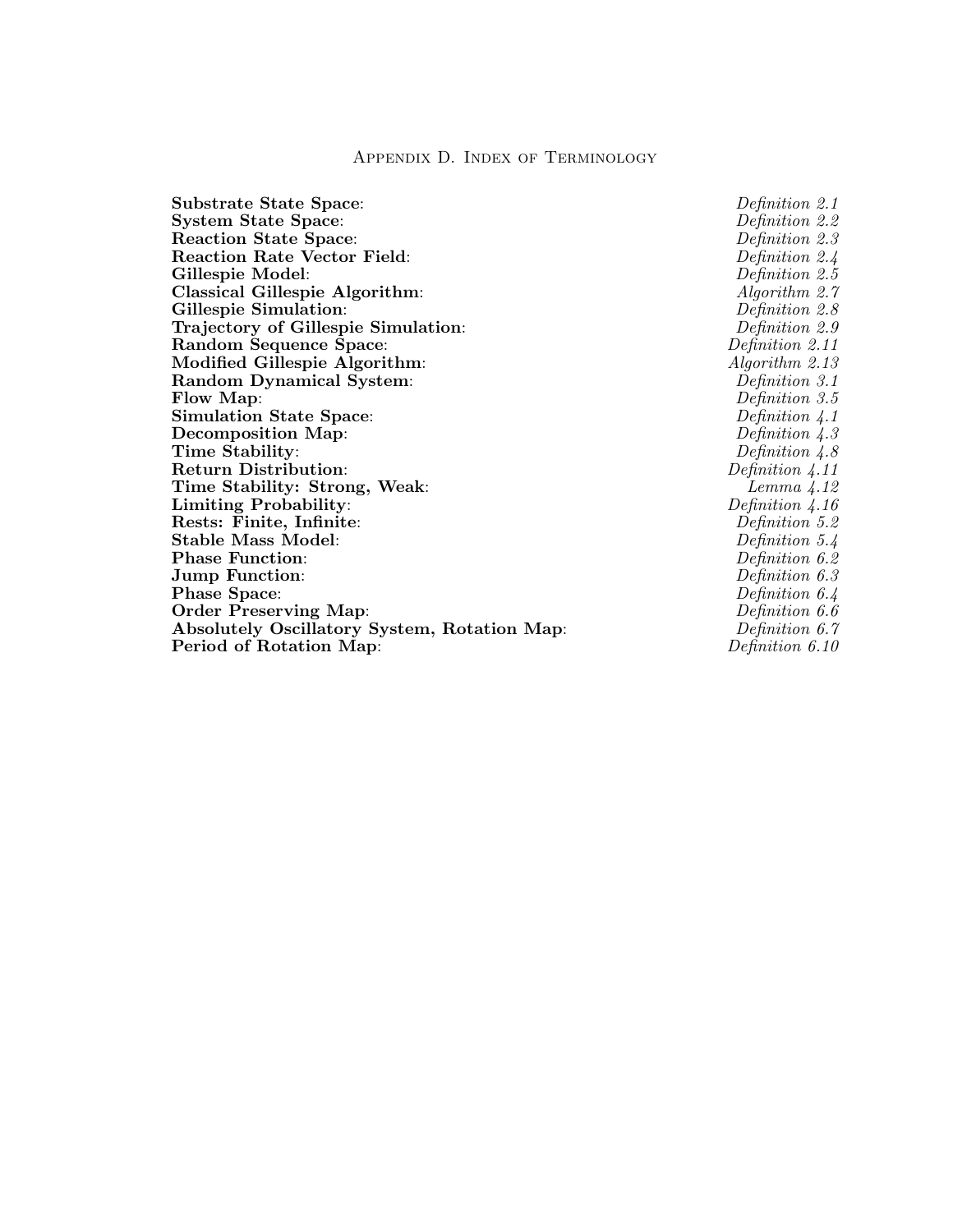### Appendix D. Index of Terminology

Substrate State Space:  $\begin{array}{ccc}\n\textbf{Substrate State Space:} & \textbf{D} & \textbf{Definition 2.1}\n\end{array}$ System State Space:<br>
Reaction State Space:<br>
Definition 2.2<br>
Definition 2.3 Reaction State Space: Reaction Rate Vector Field: Definition 2.4 Gillespie Model:  $Definition\ 2.5$ Classical Gillespie Algorithm: <br>
Gillespie Simulation:  $A$ lgorithm 2.7<br>  $D$  *Cillespie Simulation*:  $D$ Gillespie Simulation: Trajectory of Gillespie Simulation: Definition 2.9 Random Sequence Space:  $Definition\ 2.11$ Modified Gillespie Algorithm:  $Algorithm:$  Algorithm 2.13 Random Dynamical System:  $Definition\ 3.1$ Flow Map:  $Definition 3.5$ Simulation State Space:  $Definition \n4.1$ Decomposition Map:  $Definition 4.3$ Time Stability:  $Definition\ 4.8$ Return Distribution:<br>
Time Stability: Strong, Weak:<br>
Lemma 4.12 Time Stability: Strong, Weak:<br>
Limiting Probability:  $\begin{array}{cc}\n\text{Lemma 4.12} \\
\text{Limiting Probability:} \\
\end{array}$ Limiting Probability:  $\begin{array}{ccc} \textbf{Limit} & \textbf{Definition 4.16} \ \textbf{Rests: Finite, Infinite:} & & \textbf{Definition 5.2} \end{array}$ Rests: Finite, Infinite: Stable Mass Model:  $Definition 5.4$ Phase Function:  $Definition\ 6.2$ <br>
Jump Function:  $Definition\ 6.3$ Jump Function:  $\begin{array}{ccc}\n\textbf{J} & \textbf{Definition 6.3} \\
\textbf{Phase Space:} & \textbf{Definition 6.4}\n\end{array}$ Phase Space: Order Preserving Map:  $Definition\ 6.6$ Absolutely Oscillatory System, Rotation Map: Definition 6.7 Period of Rotation Map:  $Definition 6.10$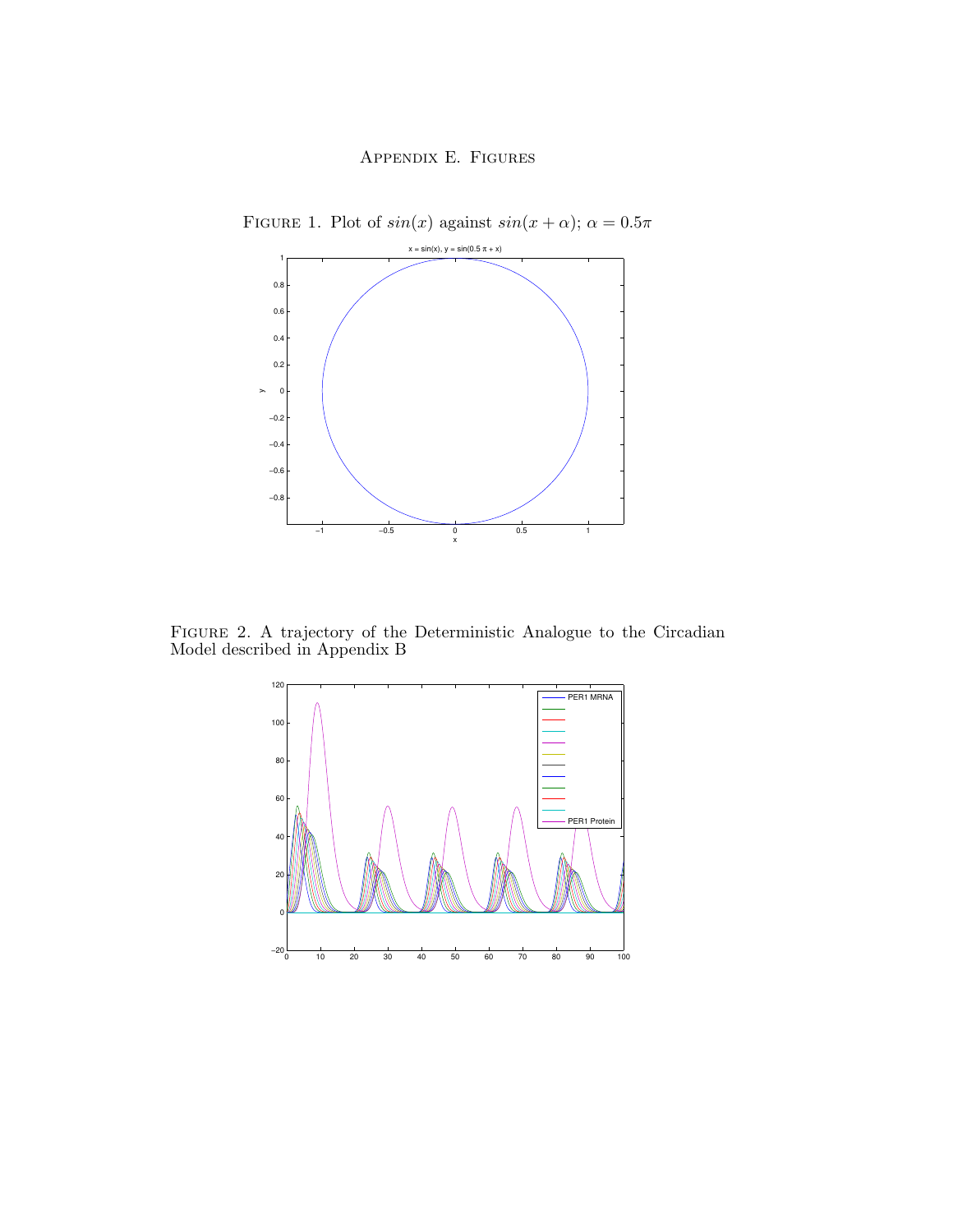

FIGURE 1. Plot of  $sin(x)$  against  $sin(x + \alpha)$ ;  $\alpha = 0.5\pi$ 

Figure 2. A trajectory of the Deterministic Analogue to the Circadian Model described in Appendix B

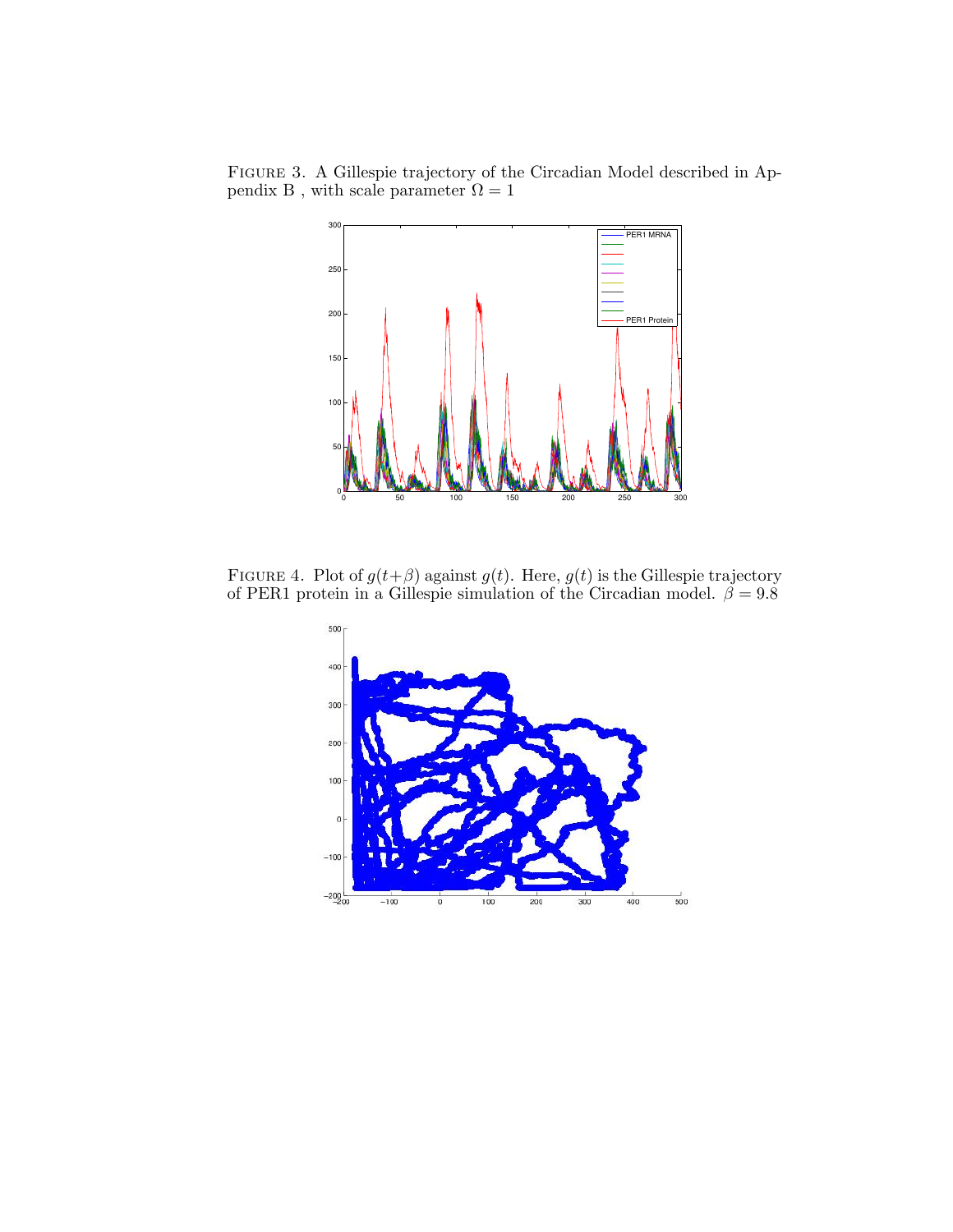Figure 3. A Gillespie trajectory of the Circadian Model described in Appendix B, with scale parameter  $\Omega = 1$ 



FIGURE 4. Plot of  $g(t+\beta)$  against  $g(t)$ . Here,  $g(t)$  is the Gillespie trajectory of PER1 protein in a Gillespie simulation of the Circadian model.  $\beta = 9.8$ 

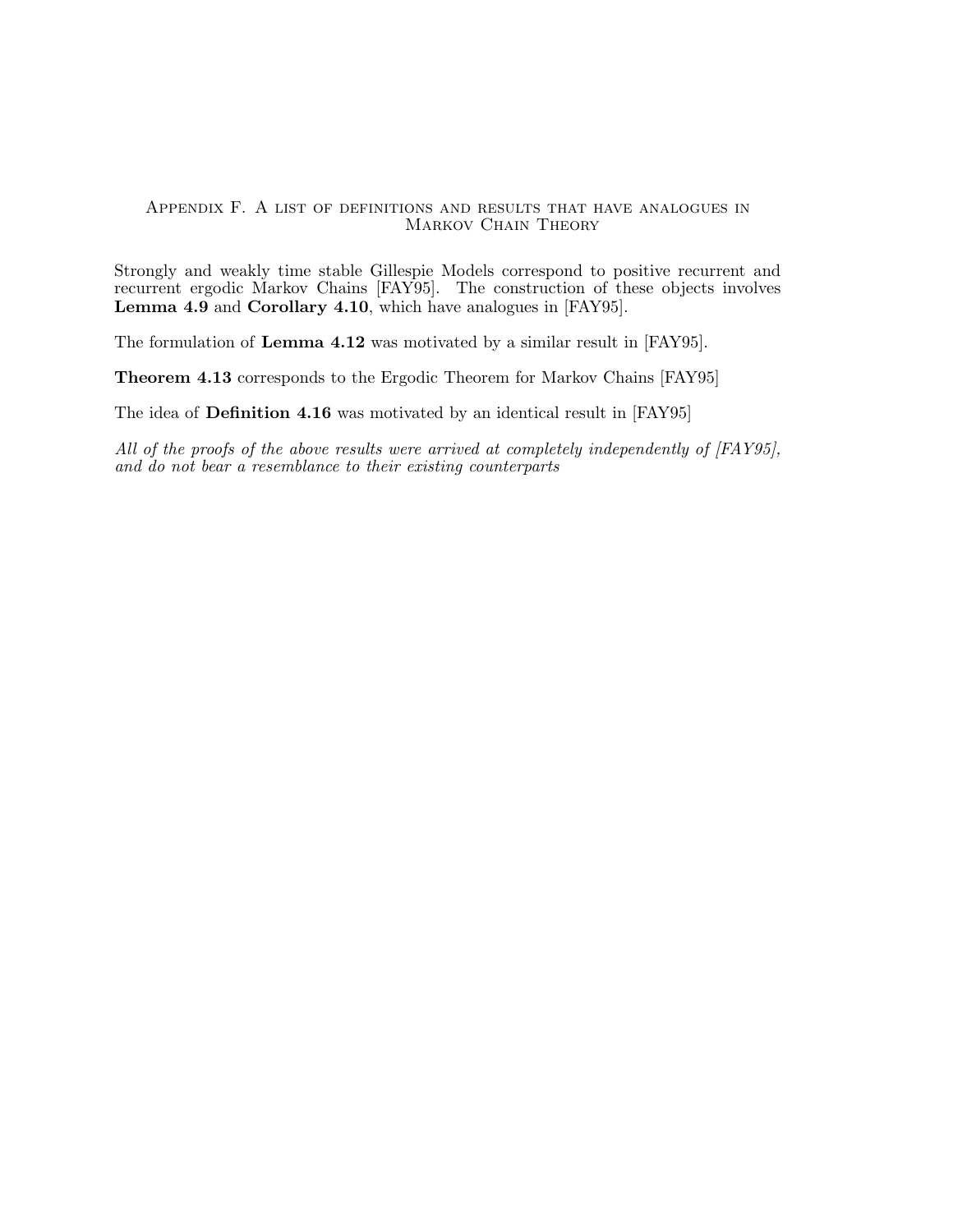### Appendix F. A list of definitions and results that have analogues in MARKOV CHAIN THEORY

Strongly and weakly time stable Gillespie Models correspond to positive recurrent and recurrent ergodic Markov Chains [FAY95]. The construction of these objects involves Lemma 4.9 and Corollary 4.10, which have analogues in [FAY95].

The formulation of Lemma 4.12 was motivated by a similar result in [FAY95].

Theorem 4.13 corresponds to the Ergodic Theorem for Markov Chains [FAY95]

The idea of Definition 4.16 was motivated by an identical result in [FAY95]

All of the proofs of the above results were arrived at completely independently of [FAY95], and do not bear a resemblance to their existing counterparts